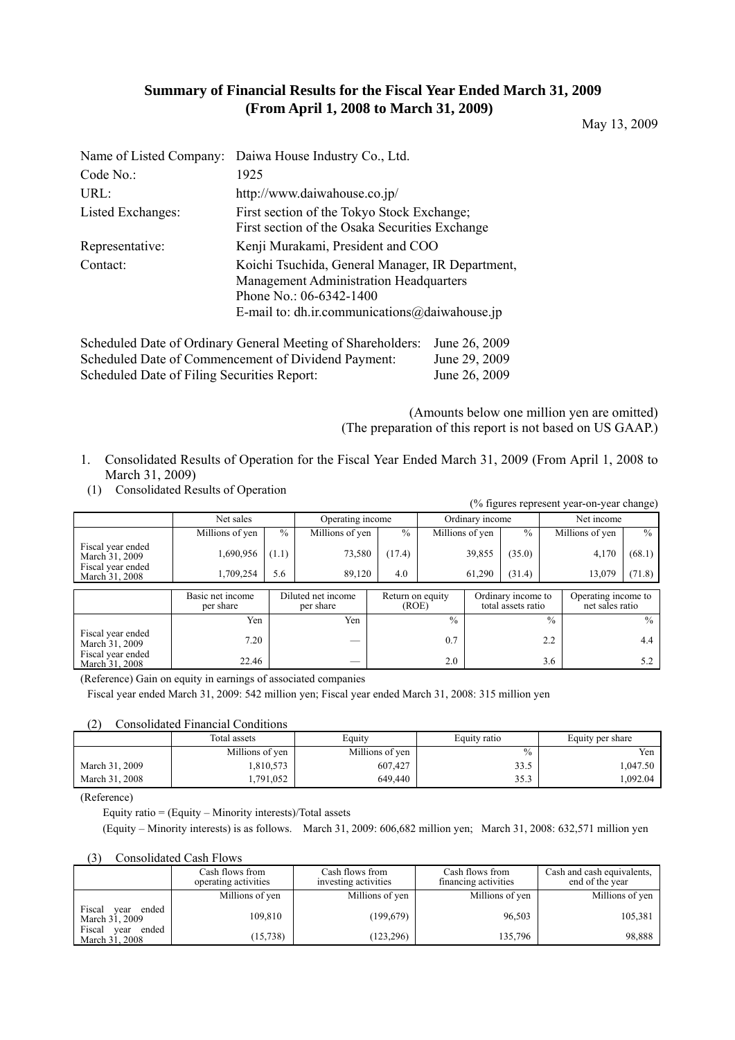## **Summary of Financial Results for the Fiscal Year Ended March 31, 2009 (From April 1, 2008 to March 31, 2009)**

May 13, 2009

|                   | Name of Listed Company: Daiwa House Industry Co., Ltd.                                                                                                                        |
|-------------------|-------------------------------------------------------------------------------------------------------------------------------------------------------------------------------|
| Code No.          | 1925                                                                                                                                                                          |
| URL:              | http://www.daiwahouse.co.jp/                                                                                                                                                  |
| Listed Exchanges: | First section of the Tokyo Stock Exchange;<br>First section of the Osaka Securities Exchange                                                                                  |
| Representative:   | Kenji Murakami, President and COO                                                                                                                                             |
| Contact:          | Koichi Tsuchida, General Manager, IR Department,<br><b>Management Administration Headquarters</b><br>Phone No.: 06-6342-1400<br>E-mail to: dh.ir.communications@daiwahouse.jp |

Scheduled Date of Ordinary General Meeting of Shareholders: June 26, 2009 Scheduled Date of Commencement of Dividend Payment: June 29, 2009 Scheduled Date of Filing Securities Report: June 26, 2009

> (Amounts below one million yen are omitted) (The preparation of this report is not based on US GAAP.)

- 1. Consolidated Results of Operation for the Fiscal Year Ended March 31, 2009 (From April 1, 2008 to March 31, 2009)
- (1) Consolidated Results of Operation

| (% figures represent year-on-year change) |                 |               |                  |               |                 |               |                 |               |  |  |  |
|-------------------------------------------|-----------------|---------------|------------------|---------------|-----------------|---------------|-----------------|---------------|--|--|--|
|                                           | Net sales       |               | Operating income |               | Ordinary income |               | Net income      |               |  |  |  |
|                                           | Millions of yen | $\frac{0}{0}$ | Millions of yen  | $\frac{0}{0}$ | Millions of yen | $\frac{0}{0}$ | Millions of yen | $\frac{0}{0}$ |  |  |  |
| Fiscal year ended<br>March 31, 2009       | 1,690,956       | (1.1)         | 73,580           | (17.4)        | 39,855          | (35.0)        | 4,170           | (68.1)        |  |  |  |
| Fiscal year ended<br>March 31, 2008       | 1.709.254       | 5.6           | 89.120           | 4.0           | 61.290          | (31.4)        | 13.079          | (71.8)        |  |  |  |

|                                     | Basic net income<br>per share | Diluted net income<br>per share | Return on equity<br>(ROE) | Ordinary income to<br>total assets ratio | Operating income to<br>net sales ratio |
|-------------------------------------|-------------------------------|---------------------------------|---------------------------|------------------------------------------|----------------------------------------|
|                                     | Yen                           | Yen                             | $\frac{0}{0}$             | $\frac{0}{0}$                            | $\%$                                   |
| Fiscal year ended<br>March 31, 2009 | 7.20                          | _                               | 0.7                       | 2.2                                      | 4.4                                    |
| Fiscal year ended<br>March 31, 2008 | 22.46                         | —                               | 2.0                       | 3.6                                      |                                        |

(Reference) Gain on equity in earnings of associated companies

Fiscal year ended March 31, 2009: 542 million yen; Fiscal year ended March 31, 2008: 315 million yen

#### (2) Consolidated Financial Conditions

|                | Total assets    | Equity          | Equity ratio | Equity per share |  |
|----------------|-----------------|-----------------|--------------|------------------|--|
|                | Millions of yen | Millions of yen | $\%$         | Yen              |  |
| March 31, 2009 | .810,573        | 607,427         | 33.5         | 1.047.50         |  |
| March 31, 2008 | .791.052        | 649.440         | 252<br>ر . ر | .092.04          |  |

(Reference)

Equity ratio = (Equity – Minority interests)/Total assets

(Equity – Minority interests) is as follows. March 31, 2009: 606,682 million yen; March 31, 2008: 632,571 million yen

### (3) Consolidated Cash Flows

|                                           | Cash flows from<br>operating activities | Cash flows from<br>investing activities | Cash flows from<br>financing activities | Cash and cash equivalents.<br>end of the year |
|-------------------------------------------|-----------------------------------------|-----------------------------------------|-----------------------------------------|-----------------------------------------------|
|                                           | Millions of yen                         | Millions of yen                         | Millions of yen                         | Millions of yen                               |
| Fiscal<br>ended<br>year<br>March 31, 2009 | 109.810                                 | (199, 679)                              | 96,503                                  | 105,381                                       |
| Fiscal<br>ended<br>year<br>March 31, 2008 | (15, 738)                               | (123, 296)                              | 135,796                                 | 98,888                                        |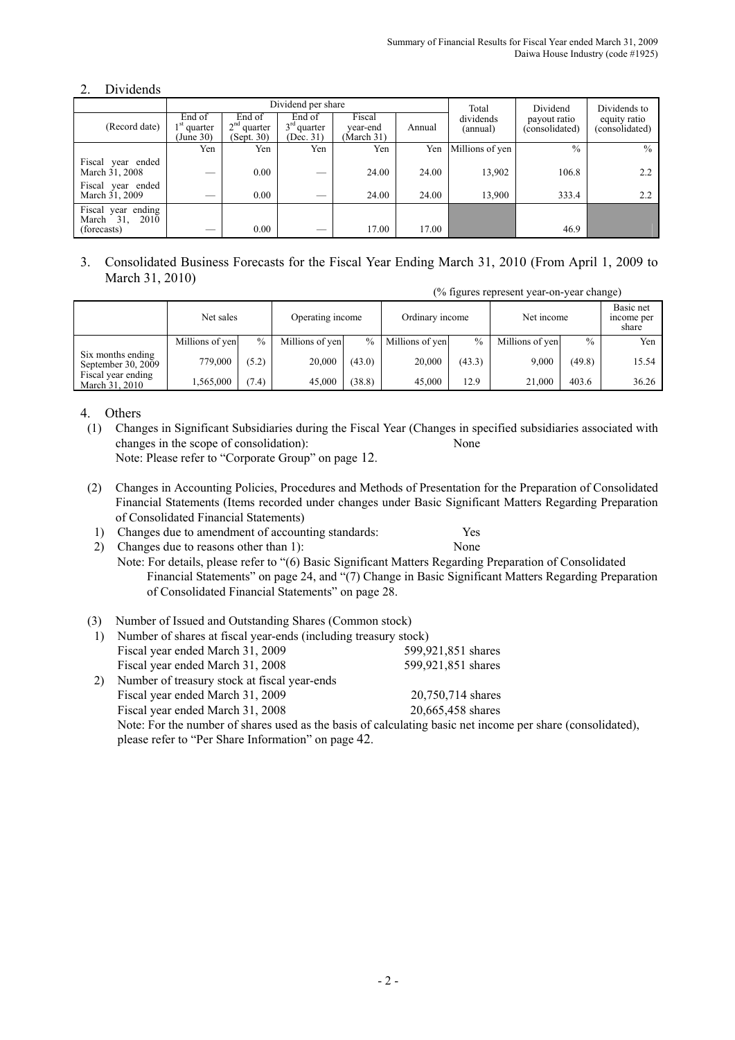### 2. Dividends

|                                                     |                                      |                                       | Dividend per share                   | Total                            | Dividend | Dividends to          |                                |                                |
|-----------------------------------------------------|--------------------------------------|---------------------------------------|--------------------------------------|----------------------------------|----------|-----------------------|--------------------------------|--------------------------------|
| (Record date)                                       | End of<br>$1st$ quarter<br>(June 30) | End of<br>$2nd$ quarter<br>(Sept. 30) | End of<br>$3rd$ quarter<br>(Dec. 31) | Fiscal<br>year-end<br>(March 31) | Annual   | dividends<br>(annual) | payout ratio<br>(consolidated) | equity ratio<br>(consolidated) |
|                                                     | Yen                                  | Yen                                   | Yen                                  | Yen                              | Yen      | Millions of yen       | $\frac{0}{0}$                  | $\frac{0}{0}$                  |
| Fiscal year ended<br>March 31, 2008                 |                                      | 0.00                                  |                                      | 24.00                            | 24.00    | 13,902                | 106.8                          | 2.2                            |
| Fiscal year ended<br>March 31, 2009                 | --                                   | 0.00                                  |                                      | 24.00                            | 24.00    | 13,900                | 333.4                          | 2.2                            |
| Fiscal year ending<br>March 31, 2010<br>(forecasts) |                                      | 0.00                                  |                                      | 17.00                            | 17.00    |                       | 46.9                           |                                |

3. Consolidated Business Forecasts for the Fiscal Year Ending March 31, 2010 (From April 1, 2009 to March 31, 2010)

(% figures represent year-on-year change)

|                                         | Net sales       |       | Operating income |               | Ordinary income |        | Net income      |               | Basic net<br>income per<br>share |
|-----------------------------------------|-----------------|-------|------------------|---------------|-----------------|--------|-----------------|---------------|----------------------------------|
|                                         | Millions of yen | $\%$  | Millions of yen  | $\frac{0}{0}$ | Millions of yen | $\%$   | Millions of yen | $\frac{0}{0}$ | Yen                              |
| Six months ending<br>September 30, 2009 | 779,000         | (5.2) | 20,000           | (43.0)        | 20,000          | (43.3) | 9.000           | (49.8)        | 15.54                            |
| Fiscal year ending<br>March 31, 2010    | .565,000        | (7.4) | 45,000           | (38.8)        | 45.000          | 12.9   | 21,000          | 403.6         | 36.26                            |

4. Others

- (1) Changes in Significant Subsidiaries during the Fiscal Year (Changes in specified subsidiaries associated with changes in the scope of consolidation): None Note: Please refer to "Corporate Group" on page 12.
- (2) Changes in Accounting Policies, Procedures and Methods of Presentation for the Preparation of Consolidated Financial Statements (Items recorded under changes under Basic Significant Matters Regarding Preparation of Consolidated Financial Statements)
	- 1) Changes due to amendment of accounting standards: Yes

of Consolidated Financial Statements" on page 28.

2) Changes due to reasons other than 1): None Note: For details, please refer to "(6) Basic Significant Matters Regarding Preparation of Consolidated Financial Statements" on page 24, and "(7) Change in Basic Significant Matters Regarding Preparation

### (3) Number of Issued and Outstanding Shares (Common stock)

|    |                                                                 | $\ldots$                                                                                                   |
|----|-----------------------------------------------------------------|------------------------------------------------------------------------------------------------------------|
|    | Number of shares at fiscal year-ends (including treasury stock) |                                                                                                            |
|    | Fiscal year ended March 31, 2009                                | 599,921,851 shares                                                                                         |
|    | Fiscal year ended March 31, 2008                                | 599,921,851 shares                                                                                         |
| 2) | Number of treasury stock at fiscal year-ends                    |                                                                                                            |
|    | Fiscal year ended March 31, 2009                                | 20,750,714 shares                                                                                          |
|    | Fiscal year ended March 31, 2008                                | 20,665,458 shares                                                                                          |
|    |                                                                 | Note: For the number of shares used as the basis of calculating basic net income per share (consolidated), |
|    | please refer to "Per Share Information" on page 42.             |                                                                                                            |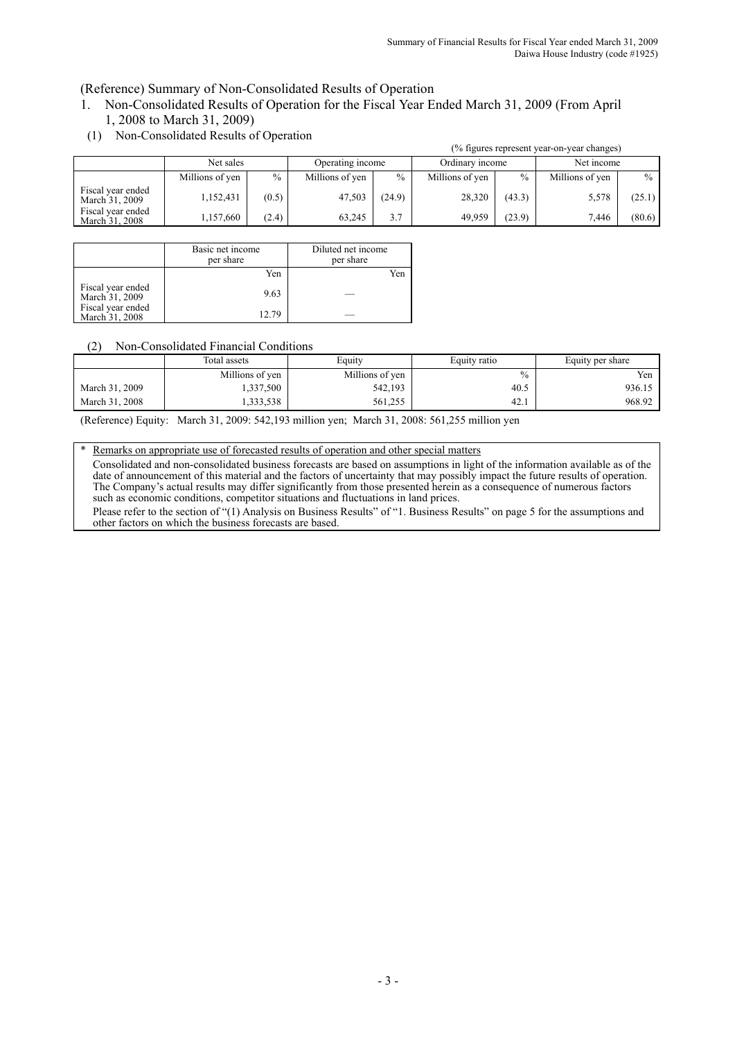(Reference) Summary of Non-Consolidated Results of Operation

- 1. Non-Consolidated Results of Operation for the Fiscal Year Ended March 31, 2009 (From April 1, 2008 to March 31, 2009)
- (1) Non-Consolidated Results of Operation

|                                     | (% figures represent year-on-year changes) |       |                  |        |                 |               |                 |               |  |  |  |
|-------------------------------------|--------------------------------------------|-------|------------------|--------|-----------------|---------------|-----------------|---------------|--|--|--|
|                                     | Net sales                                  |       | Operating income |        | Ordinary income |               | Net income      |               |  |  |  |
|                                     | Millions of yen                            | $\%$  | Millions of yen  | $\%$   | Millions of yen | $\frac{0}{0}$ | Millions of yen | $\frac{0}{0}$ |  |  |  |
| Fiscal year ended<br>March 31, 2009 | 1,152,431                                  | (0.5) | 47,503           | (24.9) | 28,320          | (43.3)        | 5,578           | (25.1)        |  |  |  |
| Fiscal year ended<br>March 31, 2008 | 1,157,660                                  | (2.4) | 63.245           | 3.7    | 49.959          | (23.9)        | 7.446           | (80.6)        |  |  |  |

|                                     | Basic net income<br>per share | Diluted net income<br>per share |
|-------------------------------------|-------------------------------|---------------------------------|
|                                     | Yen                           | Yen                             |
| Fiscal year ended<br>March 31, 2009 | 9.63                          |                                 |
| Fiscal year ended<br>March 31, 2008 | 12.79                         |                                 |

### (2) Non-Consolidated Financial Conditions

|                | Total assets    | Equity          | Equity ratio  | Equity per share |
|----------------|-----------------|-----------------|---------------|------------------|
|                | Millions of yen | Millions of yen | $\frac{0}{0}$ | Yen              |
| March 31, 2009 | .337,500        | 542,193         | 40.5          | 936.15           |
| March 31, 2008 | .333,538        | 561,255         | 42.1          | 968.92           |

(Reference) Equity: March 31, 2009: 542,193 million yen; March 31, 2008: 561,255 million yen

Remarks on appropriate use of forecasted results of operation and other special matters

Consolidated and non-consolidated business forecasts are based on assumptions in light of the information available as of the date of announcement of this material and the factors of uncertainty that may possibly impact the future results of operation. The Company's actual results may differ significantly from those presented herein as a consequence of numerous factors such as economic conditions, competitor situations and fluctuations in land prices. Please refer to the section of "(1) Analysis on Business Results" of "1. Business Results" on page 5 for the assumptions and other factors on which the business forecasts are based.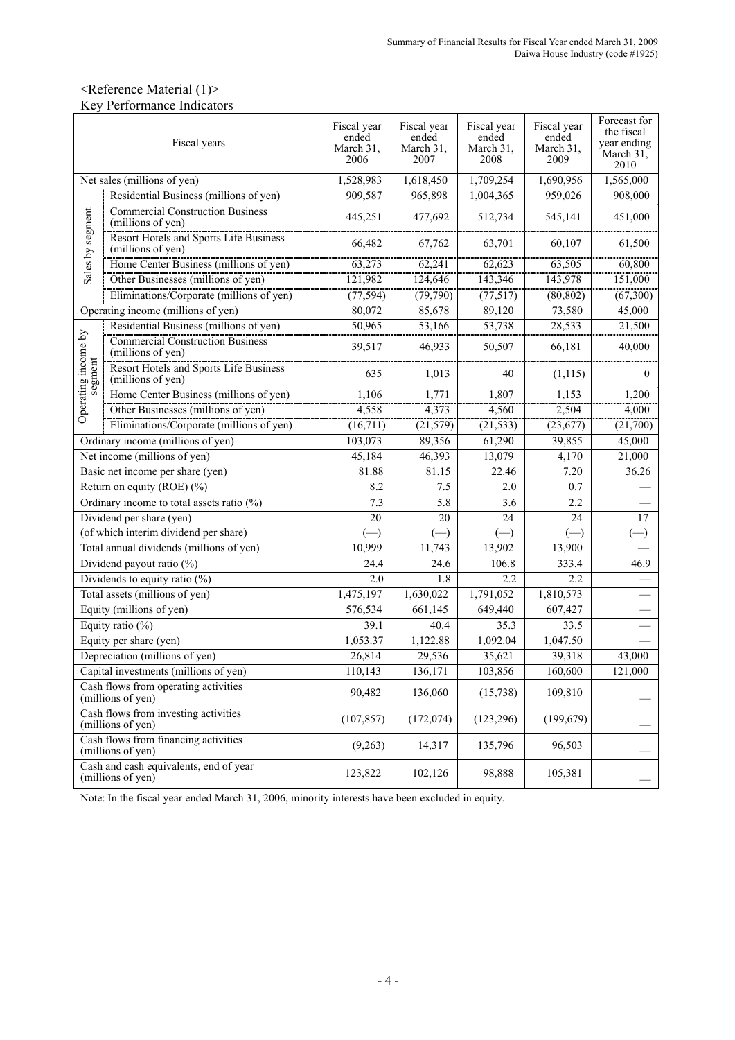## <Reference Material (1)> Key Performance Indicators

|                     | Fiscal years                                                 | Fiscal year<br>ended<br>March 31.<br>2006 | Fiscal year<br>ended<br>March 31,<br>2007 | Fiscal year<br>ended<br>March 31.<br>2008 | Fiscal year<br>ended<br>March 31,<br>2009 | Forecast for<br>the fiscal<br>year ending<br>March 31.<br>2010 |
|---------------------|--------------------------------------------------------------|-------------------------------------------|-------------------------------------------|-------------------------------------------|-------------------------------------------|----------------------------------------------------------------|
|                     | Net sales (millions of yen)                                  | 1,528,983                                 | 1,618,450                                 | 1,709,254                                 | 1,690,956                                 | 1,565,000                                                      |
|                     | Residential Business (millions of yen)                       | 909,587                                   | 965,898                                   | 1,004,365                                 | 959,026                                   | 908,000                                                        |
|                     | <b>Commercial Construction Business</b><br>(millions of yen) | 445,251                                   | 477,692                                   | 512,734                                   | 545,141                                   | 451,000                                                        |
| Sales by segment    | Resort Hotels and Sports Life Business<br>(millions of yen)  | 66,482                                    | 67,762                                    | 63,701                                    | 60,107                                    | 61,500                                                         |
|                     | Home Center Business (millions of yen)                       | 63,273                                    | 62,241                                    | 62,623                                    | 63,505                                    | 60,800                                                         |
|                     | Other Businesses (millions of yen)                           | 121,982                                   | 124,646                                   | 143,346                                   | 143,978                                   | 151,000                                                        |
|                     | Eliminations/Corporate (millions of yen)                     | (77, 594)                                 | (79, 790)                                 | (77, 517)                                 | (80, 802)                                 | (67,300)                                                       |
|                     | Operating income (millions of yen)                           | 80,072                                    | 85,678                                    | 89,120                                    | 73,580                                    | 45,000                                                         |
|                     | Residential Business (millions of yen)                       | 50,965                                    | 53,166                                    | 53,738                                    | 28,533                                    | 21,500                                                         |
| Operating income by | <b>Commercial Construction Business</b><br>(millions of yen) | 39,517                                    | 46,933                                    | 50,507                                    | 66,181                                    | 40,000                                                         |
| segment             | Resort Hotels and Sports Life Business<br>(millions of yen)  | 635                                       | 1,013                                     | 40                                        | (1, 115)                                  | 0                                                              |
|                     | Home Center Business (millions of yen)                       | 1,106                                     | 1,771                                     | 1,807                                     | 1,153                                     | 1,200                                                          |
|                     | Other Businesses (millions of yen)                           | 4,558                                     | 4,373                                     | 4,560                                     | 2,504                                     | 4,000                                                          |
|                     | Eliminations/Corporate (millions of yen)                     | (16,711)                                  | (21, 579)                                 | (21, 533)                                 | (23, 677)                                 | (21,700)                                                       |
|                     | Ordinary income (millions of yen)                            | 103,073                                   | 89,356                                    | 61,290                                    | 39,855                                    | 45,000                                                         |
|                     | Net income (millions of yen)                                 | 45,184                                    | 46,393                                    | 13,079                                    | 4,170                                     | 21,000                                                         |
|                     | Basic net income per share (yen)                             | 81.88                                     | 81.15                                     | 22.46                                     | 7.20                                      | 36.26                                                          |
|                     | Return on equity (ROE) (%)                                   | 8.2                                       | 7.5                                       | 2.0                                       | 0.7                                       |                                                                |
|                     | Ordinary income to total assets ratio $(\%)$                 | 7.3                                       | $\overline{5.8}$                          | $\overline{3.6}$                          | 2.2                                       |                                                                |
|                     | Dividend per share (yen)                                     | $\overline{20}$                           | 20                                        | 24                                        | 24                                        | 17                                                             |
|                     | (of which interim dividend per share)                        | $(-)$                                     |                                           | $(-)$                                     |                                           |                                                                |
|                     | Total annual dividends (millions of yen)                     | 10,999                                    | 11,743                                    | 13,902                                    | 13,900                                    |                                                                |
|                     | Dividend payout ratio (%)                                    | 24.4                                      | 24.6                                      | 106.8                                     | 333.4                                     | 46.9                                                           |
|                     | Dividends to equity ratio $(\%)$                             | 2.0                                       | 1.8                                       | 2.2                                       | 2.2                                       |                                                                |
|                     | Total assets (millions of yen)                               | 1,475,197                                 | 1,630,022                                 | 1,791,052                                 | 1,810,573                                 |                                                                |
|                     | Equity (millions of yen)                                     | 576,534                                   | 661,145                                   | 649,440                                   | 607,427                                   |                                                                |
|                     | Equity ratio (%)                                             | 39.1                                      | 40.4                                      | 35.3                                      | 33.5                                      |                                                                |
|                     | Equity per share (yen)                                       | 1,053.37                                  | 1,122.88                                  | 1,092.04                                  | 1,047.50                                  |                                                                |
|                     | Depreciation (millions of yen)                               | 26,814                                    | 29,536                                    | 35,621                                    | 39,318                                    | 43,000                                                         |
|                     | Capital investments (millions of yen)                        | 110,143                                   | 136,171                                   | 103,856                                   | 160,600                                   | 121,000                                                        |
|                     | Cash flows from operating activities<br>(millions of yen)    | 90,482                                    | 136,060                                   | (15, 738)                                 | 109,810                                   |                                                                |
|                     | Cash flows from investing activities<br>(millions of yen)    | (107, 857)                                | (172, 074)                                | (123, 296)                                | (199, 679)                                |                                                                |
|                     | Cash flows from financing activities<br>(millions of yen)    | (9,263)                                   | 14,317                                    | 135,796                                   | 96,503                                    |                                                                |
|                     | Cash and cash equivalents, end of year<br>(millions of yen)  | 123,822                                   | 102,126                                   | 98,888                                    | 105,381                                   |                                                                |

Note: In the fiscal year ended March 31, 2006, minority interests have been excluded in equity.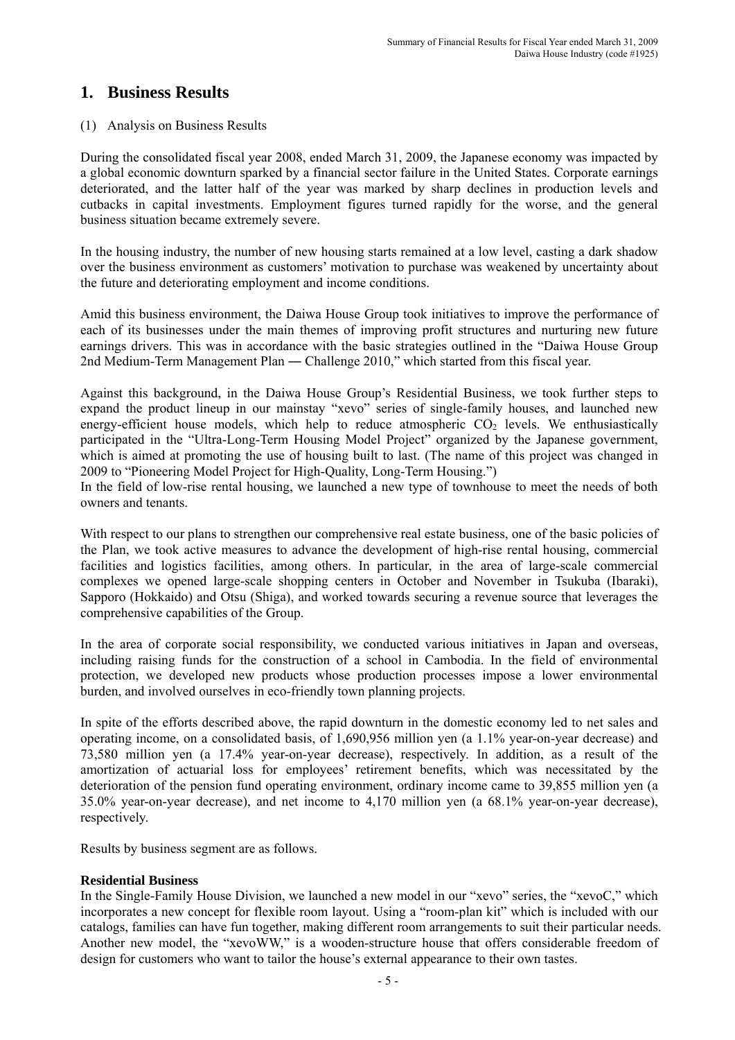# **1. Business Results**

### (1) Analysis on Business Results

During the consolidated fiscal year 2008, ended March 31, 2009, the Japanese economy was impacted by a global economic downturn sparked by a financial sector failure in the United States. Corporate earnings deteriorated, and the latter half of the year was marked by sharp declines in production levels and cutbacks in capital investments. Employment figures turned rapidly for the worse, and the general business situation became extremely severe.

In the housing industry, the number of new housing starts remained at a low level, casting a dark shadow over the business environment as customers' motivation to purchase was weakened by uncertainty about the future and deteriorating employment and income conditions.

Amid this business environment, the Daiwa House Group took initiatives to improve the performance of each of its businesses under the main themes of improving profit structures and nurturing new future earnings drivers. This was in accordance with the basic strategies outlined in the "Daiwa House Group 2nd Medium-Term Management Plan ― Challenge 2010," which started from this fiscal year.

Against this background, in the Daiwa House Group's Residential Business, we took further steps to expand the product lineup in our mainstay "xevo" series of single-family houses, and launched new energy-efficient house models, which help to reduce atmospheric  $CO<sub>2</sub>$  levels. We enthusiastically participated in the "Ultra-Long-Term Housing Model Project" organized by the Japanese government, which is aimed at promoting the use of housing built to last. (The name of this project was changed in 2009 to "Pioneering Model Project for High-Quality, Long-Term Housing.")

In the field of low-rise rental housing, we launched a new type of townhouse to meet the needs of both owners and tenants.

With respect to our plans to strengthen our comprehensive real estate business, one of the basic policies of the Plan, we took active measures to advance the development of high-rise rental housing, commercial facilities and logistics facilities, among others. In particular, in the area of large-scale commercial complexes we opened large-scale shopping centers in October and November in Tsukuba (Ibaraki), Sapporo (Hokkaido) and Otsu (Shiga), and worked towards securing a revenue source that leverages the comprehensive capabilities of the Group.

In the area of corporate social responsibility, we conducted various initiatives in Japan and overseas, including raising funds for the construction of a school in Cambodia. In the field of environmental protection, we developed new products whose production processes impose a lower environmental burden, and involved ourselves in eco-friendly town planning projects.

In spite of the efforts described above, the rapid downturn in the domestic economy led to net sales and operating income, on a consolidated basis, of 1,690,956 million yen (a 1.1% year-on-year decrease) and 73,580 million yen (a 17.4% year-on-year decrease), respectively. In addition, as a result of the amortization of actuarial loss for employees' retirement benefits, which was necessitated by the deterioration of the pension fund operating environment, ordinary income came to 39,855 million yen (a 35.0% year-on-year decrease), and net income to 4,170 million yen (a 68.1% year-on-year decrease), respectively.

Results by business segment are as follows.

### **Residential Business**

In the Single-Family House Division, we launched a new model in our "xevo" series, the "xevoC," which incorporates a new concept for flexible room layout. Using a "room-plan kit" which is included with our catalogs, families can have fun together, making different room arrangements to suit their particular needs. Another new model, the "xevoWW," is a wooden-structure house that offers considerable freedom of design for customers who want to tailor the house's external appearance to their own tastes.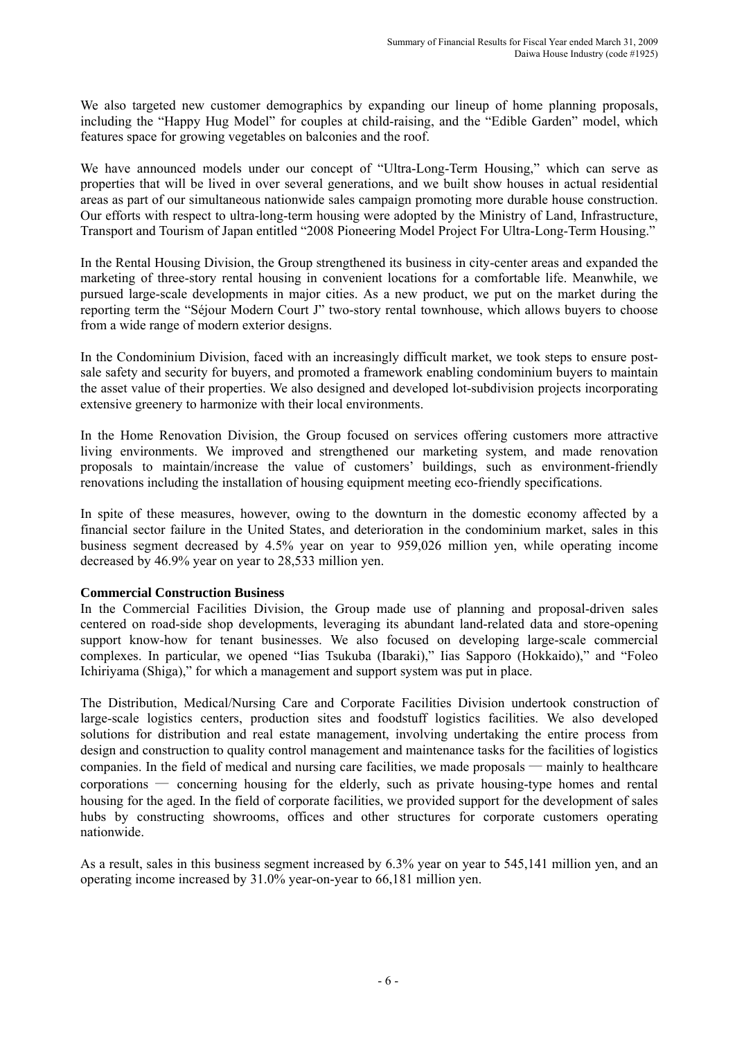We also targeted new customer demographics by expanding our lineup of home planning proposals, including the "Happy Hug Model" for couples at child-raising, and the "Edible Garden" model, which features space for growing vegetables on balconies and the roof.

We have announced models under our concept of "Ultra-Long-Term Housing," which can serve as properties that will be lived in over several generations, and we built show houses in actual residential areas as part of our simultaneous nationwide sales campaign promoting more durable house construction. Our efforts with respect to ultra-long-term housing were adopted by the Ministry of Land, Infrastructure, Transport and Tourism of Japan entitled "2008 Pioneering Model Project For Ultra-Long-Term Housing."

In the Rental Housing Division, the Group strengthened its business in city-center areas and expanded the marketing of three-story rental housing in convenient locations for a comfortable life. Meanwhile, we pursued large-scale developments in major cities. As a new product, we put on the market during the reporting term the "Séjour Modern Court J" two-story rental townhouse, which allows buyers to choose from a wide range of modern exterior designs.

In the Condominium Division, faced with an increasingly difficult market, we took steps to ensure postsale safety and security for buyers, and promoted a framework enabling condominium buyers to maintain the asset value of their properties. We also designed and developed lot-subdivision projects incorporating extensive greenery to harmonize with their local environments.

In the Home Renovation Division, the Group focused on services offering customers more attractive living environments. We improved and strengthened our marketing system, and made renovation proposals to maintain/increase the value of customers' buildings, such as environment-friendly renovations including the installation of housing equipment meeting eco-friendly specifications.

In spite of these measures, however, owing to the downturn in the domestic economy affected by a financial sector failure in the United States, and deterioration in the condominium market, sales in this business segment decreased by 4.5% year on year to 959,026 million yen, while operating income decreased by 46.9% year on year to 28,533 million yen.

### **Commercial Construction Business**

In the Commercial Facilities Division, the Group made use of planning and proposal-driven sales centered on road-side shop developments, leveraging its abundant land-related data and store-opening support know-how for tenant businesses. We also focused on developing large-scale commercial complexes. In particular, we opened "Iias Tsukuba (Ibaraki)," Iias Sapporo (Hokkaido)," and "Foleo Ichiriyama (Shiga)," for which a management and support system was put in place.

The Distribution, Medical/Nursing Care and Corporate Facilities Division undertook construction of large-scale logistics centers, production sites and foodstuff logistics facilities. We also developed solutions for distribution and real estate management, involving undertaking the entire process from design and construction to quality control management and maintenance tasks for the facilities of logistics companies. In the field of medical and nursing care facilities, we made proposals — mainly to healthcare corporations ― concerning housing for the elderly, such as private housing-type homes and rental housing for the aged. In the field of corporate facilities, we provided support for the development of sales hubs by constructing showrooms, offices and other structures for corporate customers operating nationwide.

As a result, sales in this business segment increased by 6.3% year on year to 545,141 million yen, and an operating income increased by 31.0% year-on-year to 66,181 million yen.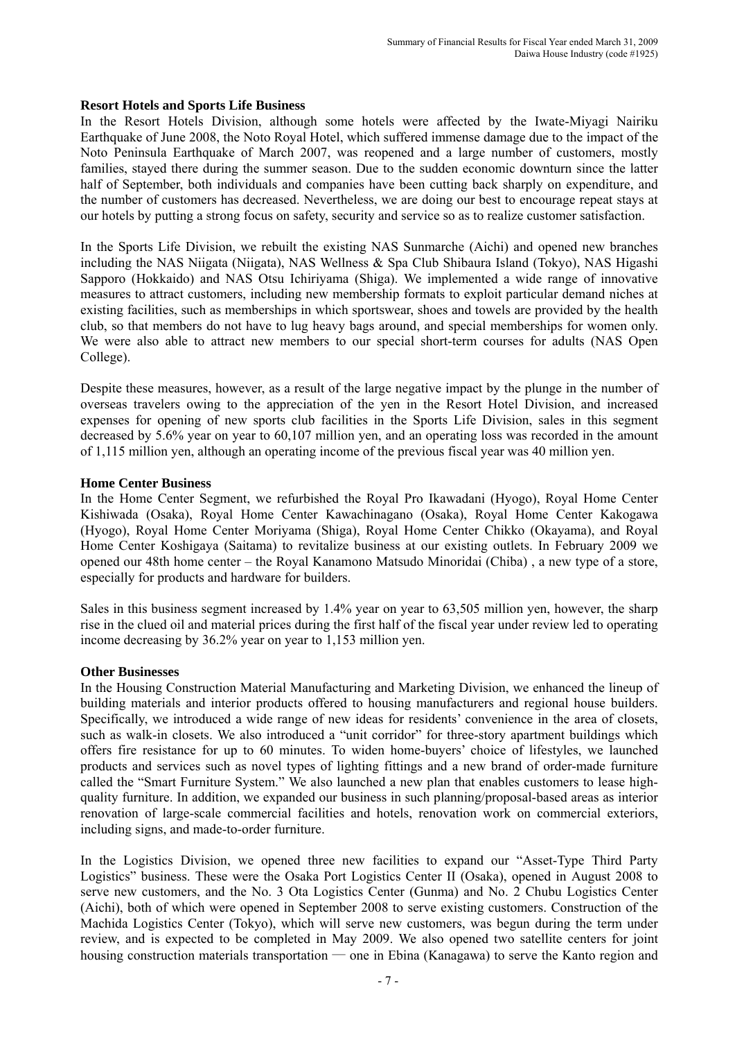### **Resort Hotels and Sports Life Business**

In the Resort Hotels Division, although some hotels were affected by the Iwate-Miyagi Nairiku Earthquake of June 2008, the Noto Royal Hotel, which suffered immense damage due to the impact of the Noto Peninsula Earthquake of March 2007, was reopened and a large number of customers, mostly families, stayed there during the summer season. Due to the sudden economic downturn since the latter half of September, both individuals and companies have been cutting back sharply on expenditure, and the number of customers has decreased. Nevertheless, we are doing our best to encourage repeat stays at our hotels by putting a strong focus on safety, security and service so as to realize customer satisfaction.

In the Sports Life Division, we rebuilt the existing NAS Sunmarche (Aichi) and opened new branches including the NAS Niigata (Niigata), NAS Wellness & Spa Club Shibaura Island (Tokyo), NAS Higashi Sapporo (Hokkaido) and NAS Otsu Ichiriyama (Shiga). We implemented a wide range of innovative measures to attract customers, including new membership formats to exploit particular demand niches at existing facilities, such as memberships in which sportswear, shoes and towels are provided by the health club, so that members do not have to lug heavy bags around, and special memberships for women only. We were also able to attract new members to our special short-term courses for adults (NAS Open College).

Despite these measures, however, as a result of the large negative impact by the plunge in the number of overseas travelers owing to the appreciation of the yen in the Resort Hotel Division, and increased expenses for opening of new sports club facilities in the Sports Life Division, sales in this segment decreased by 5.6% year on year to 60,107 million yen, and an operating loss was recorded in the amount of 1,115 million yen, although an operating income of the previous fiscal year was 40 million yen.

### **Home Center Business**

In the Home Center Segment, we refurbished the Royal Pro Ikawadani (Hyogo), Royal Home Center Kishiwada (Osaka), Royal Home Center Kawachinagano (Osaka), Royal Home Center Kakogawa (Hyogo), Royal Home Center Moriyama (Shiga), Royal Home Center Chikko (Okayama), and Royal Home Center Koshigaya (Saitama) to revitalize business at our existing outlets. In February 2009 we opened our 48th home center – the Royal Kanamono Matsudo Minoridai (Chiba) , a new type of a store, especially for products and hardware for builders.

Sales in this business segment increased by 1.4% year on year to 63,505 million yen, however, the sharp rise in the clued oil and material prices during the first half of the fiscal year under review led to operating income decreasing by 36.2% year on year to 1,153 million yen.

### **Other Businesses**

In the Housing Construction Material Manufacturing and Marketing Division, we enhanced the lineup of building materials and interior products offered to housing manufacturers and regional house builders. Specifically, we introduced a wide range of new ideas for residents' convenience in the area of closets, such as walk-in closets. We also introduced a "unit corridor" for three-story apartment buildings which offers fire resistance for up to 60 minutes. To widen home-buyers' choice of lifestyles, we launched products and services such as novel types of lighting fittings and a new brand of order-made furniture called the "Smart Furniture System." We also launched a new plan that enables customers to lease highquality furniture. In addition, we expanded our business in such planning/proposal-based areas as interior renovation of large-scale commercial facilities and hotels, renovation work on commercial exteriors, including signs, and made-to-order furniture.

In the Logistics Division, we opened three new facilities to expand our "Asset-Type Third Party Logistics" business. These were the Osaka Port Logistics Center II (Osaka), opened in August 2008 to serve new customers, and the No. 3 Ota Logistics Center (Gunma) and No. 2 Chubu Logistics Center (Aichi), both of which were opened in September 2008 to serve existing customers. Construction of the Machida Logistics Center (Tokyo), which will serve new customers, was begun during the term under review, and is expected to be completed in May 2009. We also opened two satellite centers for joint housing construction materials transportation — one in Ebina (Kanagawa) to serve the Kanto region and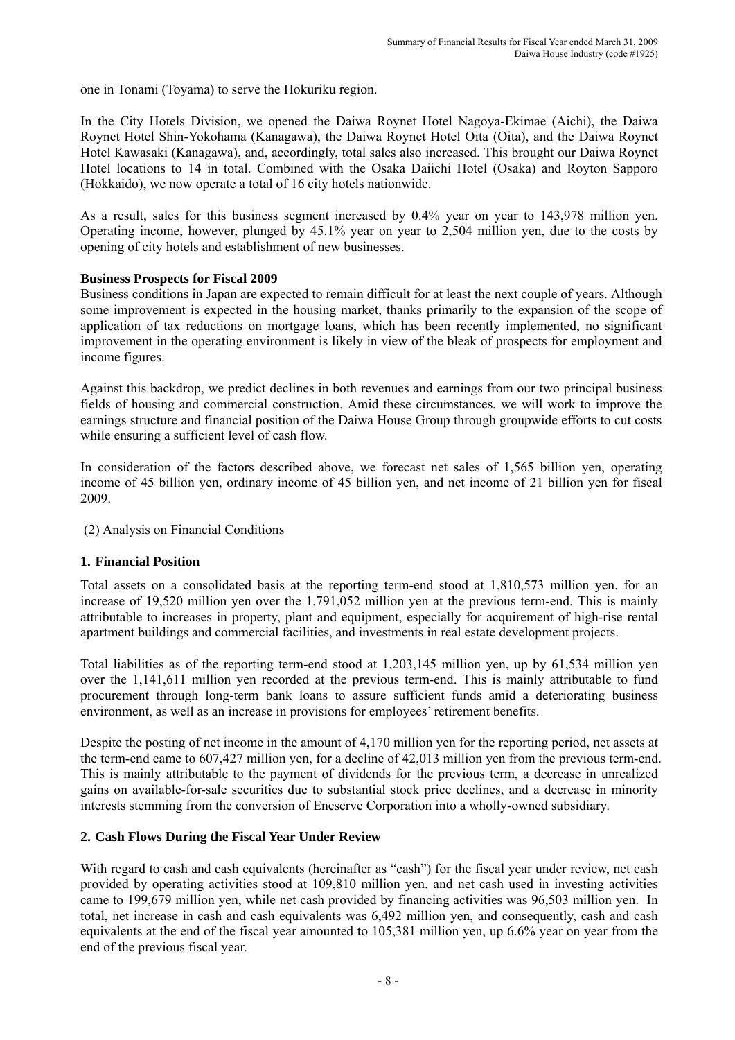one in Tonami (Toyama) to serve the Hokuriku region.

In the City Hotels Division, we opened the Daiwa Roynet Hotel Nagoya-Ekimae (Aichi), the Daiwa Roynet Hotel Shin-Yokohama (Kanagawa), the Daiwa Roynet Hotel Oita (Oita), and the Daiwa Roynet Hotel Kawasaki (Kanagawa), and, accordingly, total sales also increased. This brought our Daiwa Roynet Hotel locations to 14 in total. Combined with the Osaka Daiichi Hotel (Osaka) and Royton Sapporo (Hokkaido), we now operate a total of 16 city hotels nationwide.

As a result, sales for this business segment increased by 0.4% year on year to 143,978 million yen. Operating income, however, plunged by 45.1% year on year to 2,504 million yen, due to the costs by opening of city hotels and establishment of new businesses.

### **Business Prospects for Fiscal 2009**

Business conditions in Japan are expected to remain difficult for at least the next couple of years. Although some improvement is expected in the housing market, thanks primarily to the expansion of the scope of application of tax reductions on mortgage loans, which has been recently implemented, no significant improvement in the operating environment is likely in view of the bleak of prospects for employment and income figures.

Against this backdrop, we predict declines in both revenues and earnings from our two principal business fields of housing and commercial construction. Amid these circumstances, we will work to improve the earnings structure and financial position of the Daiwa House Group through groupwide efforts to cut costs while ensuring a sufficient level of cash flow.

In consideration of the factors described above, we forecast net sales of 1,565 billion yen, operating income of 45 billion yen, ordinary income of 45 billion yen, and net income of 21 billion yen for fiscal 2009.

### (2) Analysis on Financial Conditions

### **1. Financial Position**

Total assets on a consolidated basis at the reporting term-end stood at 1,810,573 million yen, for an increase of 19,520 million yen over the 1,791,052 million yen at the previous term-end. This is mainly attributable to increases in property, plant and equipment, especially for acquirement of high-rise rental apartment buildings and commercial facilities, and investments in real estate development projects.

Total liabilities as of the reporting term-end stood at 1,203,145 million yen, up by 61,534 million yen over the 1,141,611 million yen recorded at the previous term-end. This is mainly attributable to fund procurement through long-term bank loans to assure sufficient funds amid a deteriorating business environment, as well as an increase in provisions for employees' retirement benefits.

Despite the posting of net income in the amount of 4,170 million yen for the reporting period, net assets at the term-end came to 607,427 million yen, for a decline of 42,013 million yen from the previous term-end. This is mainly attributable to the payment of dividends for the previous term, a decrease in unrealized gains on available-for-sale securities due to substantial stock price declines, and a decrease in minority interests stemming from the conversion of Eneserve Corporation into a wholly-owned subsidiary.

### **2. Cash Flows During the Fiscal Year Under Review**

With regard to cash and cash equivalents (hereinafter as "cash") for the fiscal year under review, net cash provided by operating activities stood at 109,810 million yen, and net cash used in investing activities came to 199,679 million yen, while net cash provided by financing activities was 96,503 million yen. In total, net increase in cash and cash equivalents was 6,492 million yen, and consequently, cash and cash equivalents at the end of the fiscal year amounted to 105,381 million yen, up 6.6% year on year from the end of the previous fiscal year.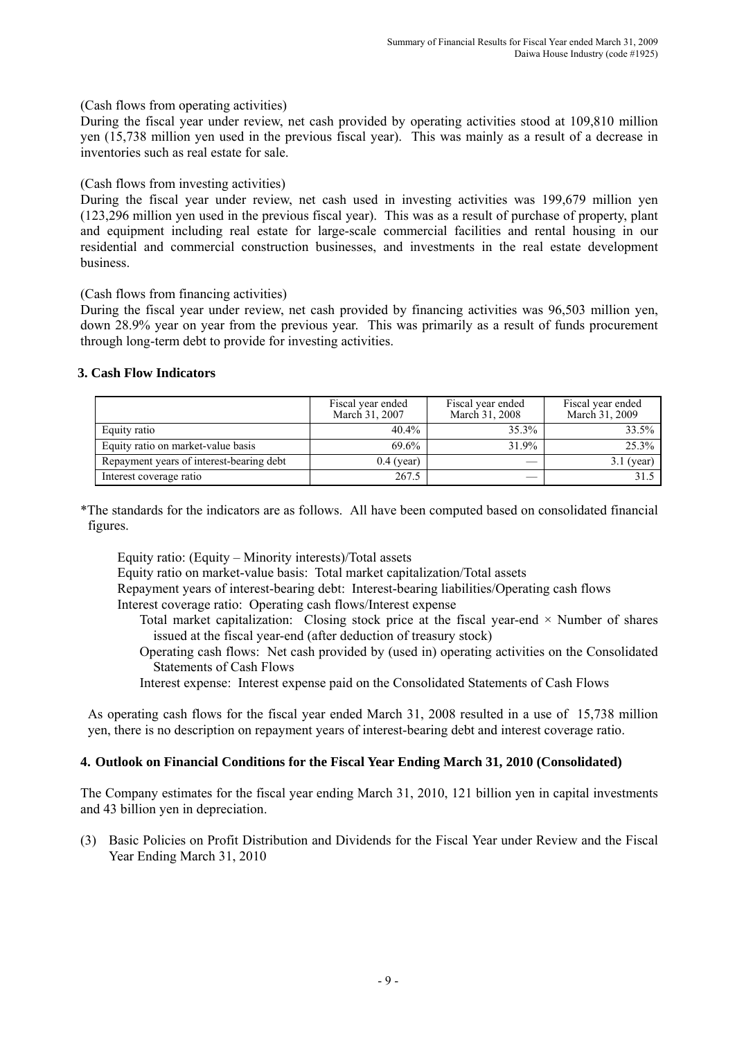(Cash flows from operating activities)

During the fiscal year under review, net cash provided by operating activities stood at 109,810 million yen (15,738 million yen used in the previous fiscal year). This was mainly as a result of a decrease in inventories such as real estate for sale.

(Cash flows from investing activities)

During the fiscal year under review, net cash used in investing activities was 199,679 million yen (123,296 million yen used in the previous fiscal year). This was as a result of purchase of property, plant and equipment including real estate for large-scale commercial facilities and rental housing in our residential and commercial construction businesses, and investments in the real estate development business.

(Cash flows from financing activities)

During the fiscal year under review, net cash provided by financing activities was 96,503 million yen, down 28.9% year on year from the previous year. This was primarily as a result of funds procurement through long-term debt to provide for investing activities.

### **3. Cash Flow Indicators**

|                                          | Fiscal year ended<br>March 31, 2007 | Fiscal year ended<br>March 31, 2008 | Fiscal year ended<br>March 31, 2009 |
|------------------------------------------|-------------------------------------|-------------------------------------|-------------------------------------|
| Equity ratio                             | $40.4\%$                            | 35.3%                               | 33.5%                               |
| Equity ratio on market-value basis       | 69.6%                               | 31.9%                               | 25.3%                               |
| Repayment years of interest-bearing debt | $0.4$ (year)                        |                                     | $3.1$ (year)                        |
| Interest coverage ratio                  | 267.5                               |                                     | 31.5                                |

\*The standards for the indicators are as follows. All have been computed based on consolidated financial figures.

Equity ratio: (Equity – Minority interests)/Total assets

Equity ratio on market-value basis: Total market capitalization/Total assets

Repayment years of interest-bearing debt: Interest-bearing liabilities/Operating cash flows Interest coverage ratio: Operating cash flows/Interest expense

- Total market capitalization: Closing stock price at the fiscal year-end  $\times$  Number of shares issued at the fiscal year-end (after deduction of treasury stock)
- Operating cash flows: Net cash provided by (used in) operating activities on the Consolidated Statements of Cash Flows
- Interest expense: Interest expense paid on the Consolidated Statements of Cash Flows

As operating cash flows for the fiscal year ended March 31, 2008 resulted in a use of 15,738 million yen, there is no description on repayment years of interest-bearing debt and interest coverage ratio.

### **4. Outlook on Financial Conditions for the Fiscal Year Ending March 31, 2010 (Consolidated)**

The Company estimates for the fiscal year ending March 31, 2010, 121 billion yen in capital investments and 43 billion yen in depreciation.

(3) Basic Policies on Profit Distribution and Dividends for the Fiscal Year under Review and the Fiscal Year Ending March 31, 2010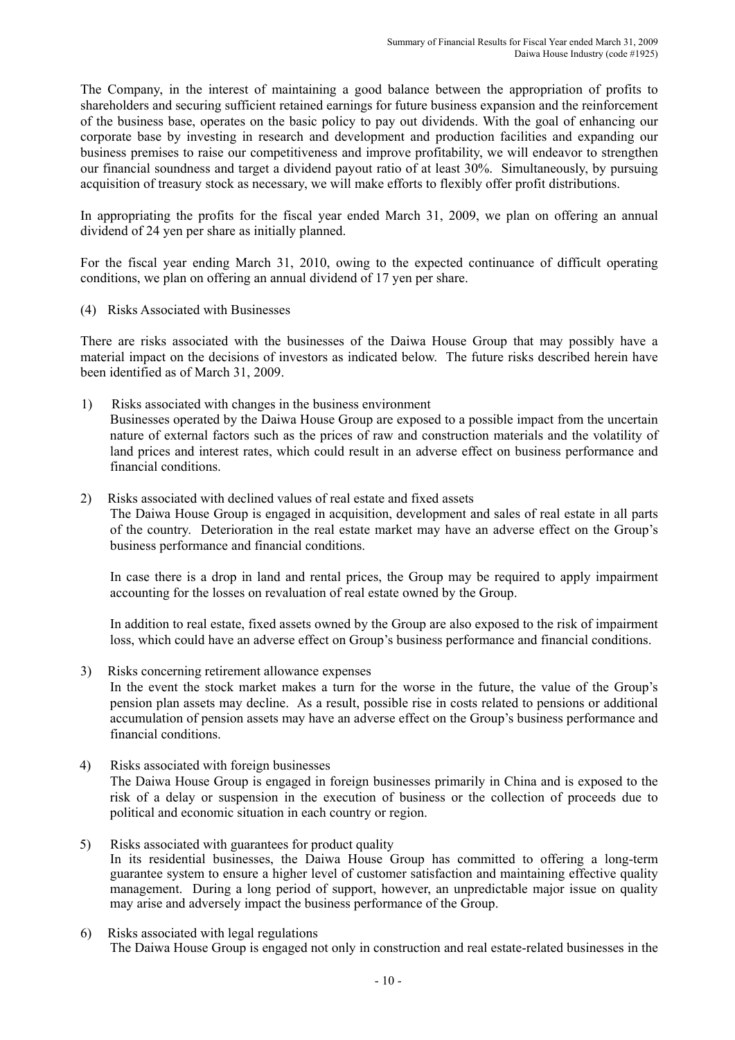The Company, in the interest of maintaining a good balance between the appropriation of profits to shareholders and securing sufficient retained earnings for future business expansion and the reinforcement of the business base, operates on the basic policy to pay out dividends. With the goal of enhancing our corporate base by investing in research and development and production facilities and expanding our business premises to raise our competitiveness and improve profitability, we will endeavor to strengthen our financial soundness and target a dividend payout ratio of at least 30%. Simultaneously, by pursuing acquisition of treasury stock as necessary, we will make efforts to flexibly offer profit distributions.

In appropriating the profits for the fiscal year ended March 31, 2009, we plan on offering an annual dividend of 24 yen per share as initially planned.

For the fiscal year ending March 31, 2010, owing to the expected continuance of difficult operating conditions, we plan on offering an annual dividend of 17 yen per share.

(4) Risks Associated with Businesses

There are risks associated with the businesses of the Daiwa House Group that may possibly have a material impact on the decisions of investors as indicated below. The future risks described herein have been identified as of March 31, 2009.

- 1) Risks associated with changes in the business environment Businesses operated by the Daiwa House Group are exposed to a possible impact from the uncertain nature of external factors such as the prices of raw and construction materials and the volatility of land prices and interest rates, which could result in an adverse effect on business performance and financial conditions.
- 2) Risks associated with declined values of real estate and fixed assets

The Daiwa House Group is engaged in acquisition, development and sales of real estate in all parts of the country. Deterioration in the real estate market may have an adverse effect on the Group's business performance and financial conditions.

In case there is a drop in land and rental prices, the Group may be required to apply impairment accounting for the losses on revaluation of real estate owned by the Group.

In addition to real estate, fixed assets owned by the Group are also exposed to the risk of impairment loss, which could have an adverse effect on Group's business performance and financial conditions.

- 3) Risks concerning retirement allowance expenses In the event the stock market makes a turn for the worse in the future, the value of the Group's pension plan assets may decline. As a result, possible rise in costs related to pensions or additional accumulation of pension assets may have an adverse effect on the Group's business performance and financial conditions.
- 4) Risks associated with foreign businesses The Daiwa House Group is engaged in foreign businesses primarily in China and is exposed to the risk of a delay or suspension in the execution of business or the collection of proceeds due to political and economic situation in each country or region.
- 5) Risks associated with guarantees for product quality In its residential businesses, the Daiwa House Group has committed to offering a long-term guarantee system to ensure a higher level of customer satisfaction and maintaining effective quality management. During a long period of support, however, an unpredictable major issue on quality may arise and adversely impact the business performance of the Group.
- 6) Risks associated with legal regulations The Daiwa House Group is engaged not only in construction and real estate-related businesses in the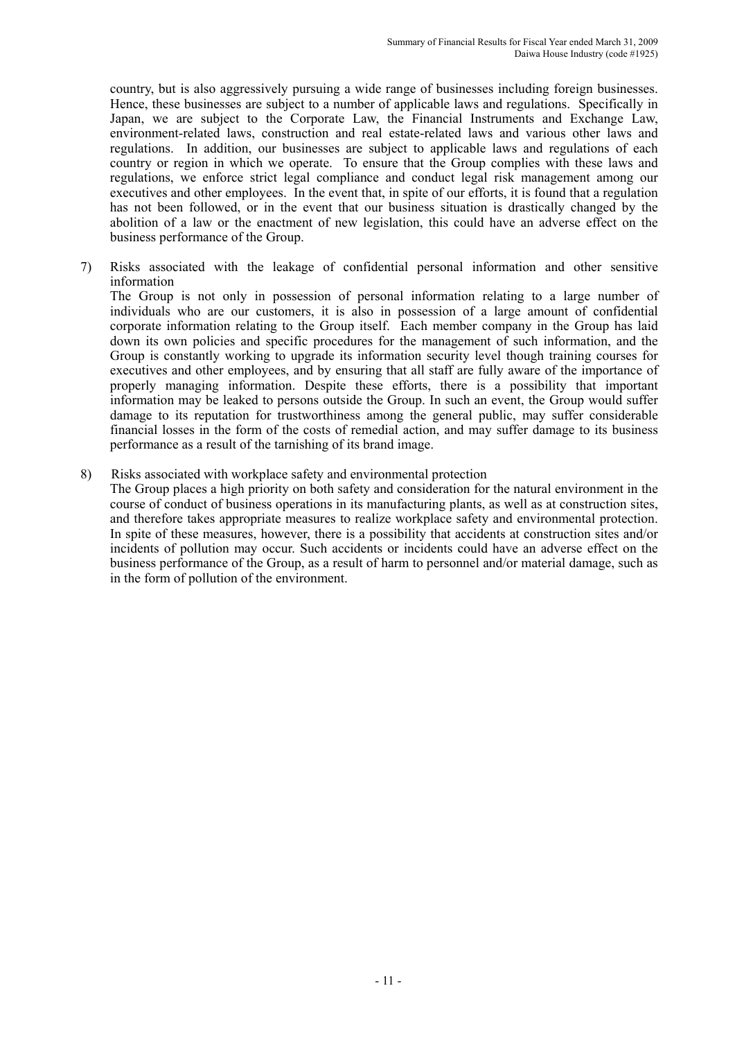country, but is also aggressively pursuing a wide range of businesses including foreign businesses. Hence, these businesses are subject to a number of applicable laws and regulations. Specifically in Japan, we are subject to the Corporate Law, the Financial Instruments and Exchange Law, environment-related laws, construction and real estate-related laws and various other laws and regulations. In addition, our businesses are subject to applicable laws and regulations of each country or region in which we operate. To ensure that the Group complies with these laws and regulations, we enforce strict legal compliance and conduct legal risk management among our executives and other employees. In the event that, in spite of our efforts, it is found that a regulation has not been followed, or in the event that our business situation is drastically changed by the abolition of a law or the enactment of new legislation, this could have an adverse effect on the business performance of the Group.

7) Risks associated with the leakage of confidential personal information and other sensitive information

The Group is not only in possession of personal information relating to a large number of individuals who are our customers, it is also in possession of a large amount of confidential corporate information relating to the Group itself. Each member company in the Group has laid down its own policies and specific procedures for the management of such information, and the Group is constantly working to upgrade its information security level though training courses for executives and other employees, and by ensuring that all staff are fully aware of the importance of properly managing information. Despite these efforts, there is a possibility that important information may be leaked to persons outside the Group. In such an event, the Group would suffer damage to its reputation for trustworthiness among the general public, may suffer considerable financial losses in the form of the costs of remedial action, and may suffer damage to its business performance as a result of the tarnishing of its brand image.

8) Risks associated with workplace safety and environmental protection

The Group places a high priority on both safety and consideration for the natural environment in the course of conduct of business operations in its manufacturing plants, as well as at construction sites, and therefore takes appropriate measures to realize workplace safety and environmental protection. In spite of these measures, however, there is a possibility that accidents at construction sites and/or incidents of pollution may occur. Such accidents or incidents could have an adverse effect on the business performance of the Group, as a result of harm to personnel and/or material damage, such as in the form of pollution of the environment.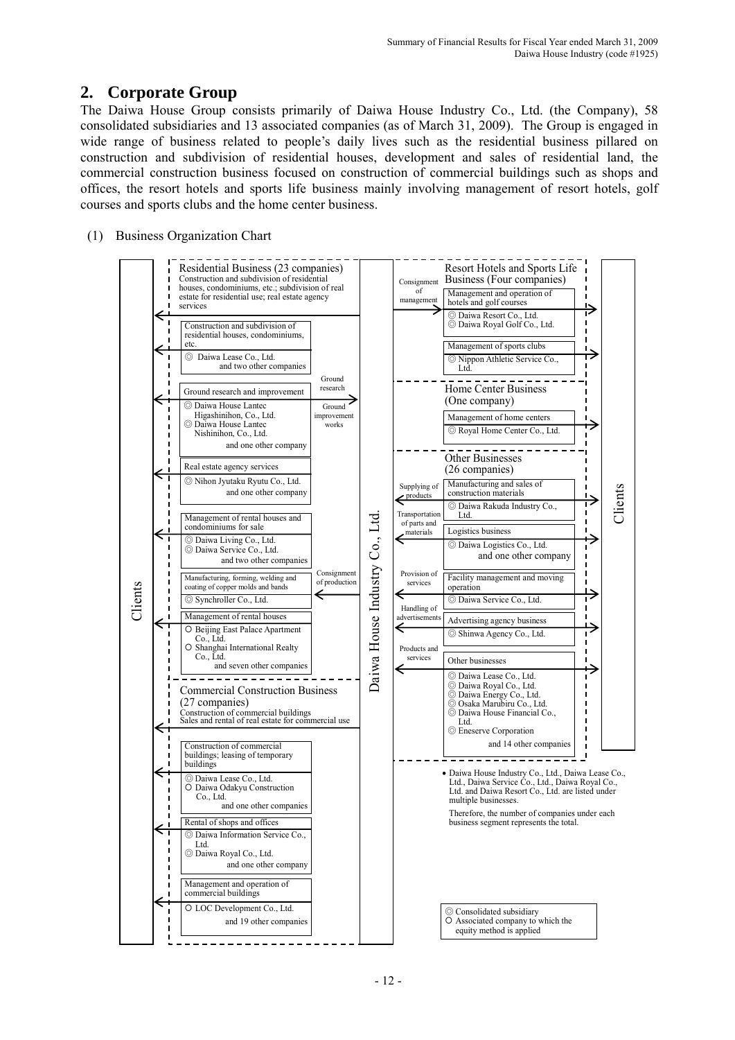# **2. Corporate Group**

The Daiwa House Group consists primarily of Daiwa House Industry Co., Ltd. (the Company), 58 consolidated subsidiaries and 13 associated companies (as of March 31, 2009). The Group is engaged in wide range of business related to people's daily lives such as the residential business pillared on construction and subdivision of residential houses, development and sales of residential land, the commercial construction business focused on construction of commercial buildings such as shops and offices, the resort hotels and sports life business mainly involving management of resort hotels, golf courses and sports clubs and the home center business.

(1) Business Organization Chart

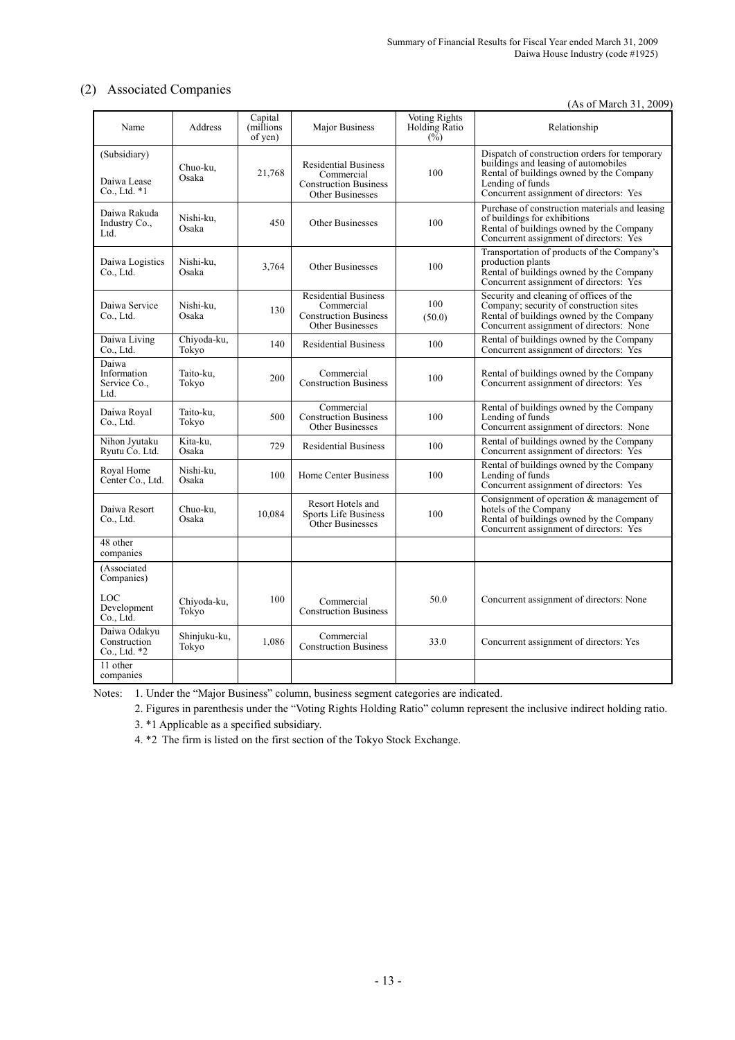### (2) Associated Companies

(As of March 31, 2009)

| Name                                          | Address               | Capital<br>(millions)<br>of yen) | Major Business                                                                                       | <b>Voting Rights</b><br>Holding Ratio<br>$(\sqrt{2})$ | Relationship                                                                                                                                                                                     |
|-----------------------------------------------|-----------------------|----------------------------------|------------------------------------------------------------------------------------------------------|-------------------------------------------------------|--------------------------------------------------------------------------------------------------------------------------------------------------------------------------------------------------|
| (Subsidiary)<br>Daiwa Lease<br>$Co., Ltd. *1$ | Chuo-ku,<br>Osaka     | 21,768                           | <b>Residential Business</b><br>Commercial<br><b>Construction Business</b><br><b>Other Businesses</b> | 100                                                   | Dispatch of construction orders for temporary<br>buildings and leasing of automobiles<br>Rental of buildings owned by the Company<br>Lending of funds<br>Concurrent assignment of directors: Yes |
| Daiwa Rakuda<br>Industry Co.,<br>Ltd.         | Nishi-ku,<br>Osaka    | 450                              | Other Businesses                                                                                     | 100                                                   | Purchase of construction materials and leasing<br>of buildings for exhibitions<br>Rental of buildings owned by the Company<br>Concurrent assignment of directors: Yes                            |
| Daiwa Logistics<br>Co., Ltd.                  | Nishi-ku,<br>Osaka    | 3,764                            | <b>Other Businesses</b>                                                                              | 100                                                   | Transportation of products of the Company's<br>production plants<br>Rental of buildings owned by the Company<br>Concurrent assignment of directors: Yes                                          |
| Daiwa Service<br>$Co.$ Ltd.                   | Nishi-ku,<br>Osaka    | 130                              | <b>Residential Business</b><br>Commercial<br><b>Construction Business</b><br><b>Other Businesses</b> | 100<br>(50.0)                                         | Security and cleaning of offices of the<br>Company; security of construction sites<br>Rental of buildings owned by the Company<br>Concurrent assignment of directors: None                       |
| Daiwa Living<br>Co., Ltd.                     | Chiyoda-ku,<br>Tokyo  | 140                              | <b>Residential Business</b>                                                                          | 100                                                   | Rental of buildings owned by the Company<br>Concurrent assignment of directors: Yes                                                                                                              |
| Daiwa<br>Information<br>Service Co.,<br>Ltd.  | Taito-ku.<br>Tokyo    | 200                              | Commercial<br><b>Construction Business</b>                                                           | 100                                                   | Rental of buildings owned by the Company<br>Concurrent assignment of directors: Yes                                                                                                              |
| Daiwa Royal<br>$Co.$ Ltd.                     | Taito-ku.<br>Tokyo    | 500                              | Commercial<br><b>Construction Business</b><br><b>Other Businesses</b>                                | 100                                                   | Rental of buildings owned by the Company<br>Lending of funds<br>Concurrent assignment of directors: None                                                                                         |
| Nihon Jyutaku<br>Ryutu Co. Ltd.               | Kita-ku.<br>Osaka     | 729                              | <b>Residential Business</b>                                                                          | 100                                                   | Rental of buildings owned by the Company<br>Concurrent assignment of directors: Yes                                                                                                              |
| Royal Home<br>Center Co., Ltd.                | Nishi-ku,<br>Osaka    | 100                              | Home Center Business                                                                                 | 100                                                   | Rental of buildings owned by the Company<br>Lending of funds<br>Concurrent assignment of directors: Yes                                                                                          |
| Daiwa Resort<br>Co., Ltd.                     | Chuo-ku,<br>Osaka     | 10.084                           | Resort Hotels and<br>Sports Life Business<br>Other Businesses                                        | 100                                                   | Consignment of operation $&$ management of<br>hotels of the Company<br>Rental of buildings owned by the Company<br>Concurrent assignment of directors: Yes                                       |
| 48 other<br>companies                         |                       |                                  |                                                                                                      |                                                       |                                                                                                                                                                                                  |
| (Associated<br>Companies)                     |                       |                                  |                                                                                                      |                                                       |                                                                                                                                                                                                  |
| LOC<br>Development<br>$Co.$ Ltd.              | Chiyoda-ku,<br>Tokyo  | 100                              | Commercial<br><b>Construction Business</b>                                                           | 50.0                                                  | Concurrent assignment of directors: None                                                                                                                                                         |
| Daiwa Odakyu<br>Construction<br>Co., Ltd. *2  | Shinjuku-ku,<br>Tokyo | 1,086                            | Commercial<br><b>Construction Business</b>                                                           | 33.0                                                  | Concurrent assignment of directors: Yes                                                                                                                                                          |
| 11 other<br>companies                         |                       |                                  |                                                                                                      |                                                       |                                                                                                                                                                                                  |

Notes: 1. Under the "Major Business" column, business segment categories are indicated.

2. Figures in parenthesis under the "Voting Rights Holding Ratio" column represent the inclusive indirect holding ratio.

3. \*1 Applicable as a specified subsidiary.

4. \*2 The firm is listed on the first section of the Tokyo Stock Exchange.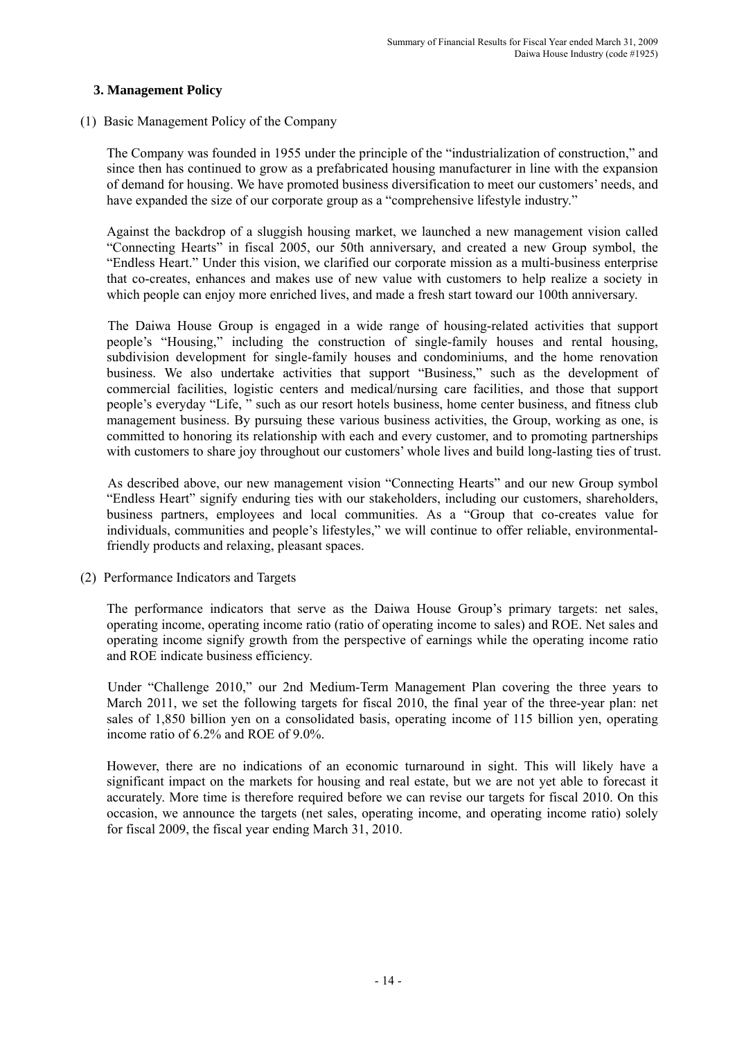### **3. Management Policy**

### (1) Basic Management Policy of the Company

The Company was founded in 1955 under the principle of the "industrialization of construction," and since then has continued to grow as a prefabricated housing manufacturer in line with the expansion of demand for housing. We have promoted business diversification to meet our customers' needs, and have expanded the size of our corporate group as a "comprehensive lifestyle industry."

Against the backdrop of a sluggish housing market, we launched a new management vision called "Connecting Hearts" in fiscal 2005, our 50th anniversary, and created a new Group symbol, the "Endless Heart." Under this vision, we clarified our corporate mission as a multi-business enterprise that co-creates, enhances and makes use of new value with customers to help realize a society in which people can enjoy more enriched lives, and made a fresh start toward our 100th anniversary.

 The Daiwa House Group is engaged in a wide range of housing-related activities that support people's "Housing," including the construction of single-family houses and rental housing, subdivision development for single-family houses and condominiums, and the home renovation business. We also undertake activities that support "Business," such as the development of commercial facilities, logistic centers and medical/nursing care facilities, and those that support people's everyday "Life, " such as our resort hotels business, home center business, and fitness club management business. By pursuing these various business activities, the Group, working as one, is committed to honoring its relationship with each and every customer, and to promoting partnerships with customers to share joy throughout our customers' whole lives and build long-lasting ties of trust.

 As described above, our new management vision "Connecting Hearts" and our new Group symbol "Endless Heart" signify enduring ties with our stakeholders, including our customers, shareholders, business partners, employees and local communities. As a "Group that co-creates value for individuals, communities and people's lifestyles," we will continue to offer reliable, environmentalfriendly products and relaxing, pleasant spaces.

(2) Performance Indicators and Targets

The performance indicators that serve as the Daiwa House Group's primary targets: net sales, operating income, operating income ratio (ratio of operating income to sales) and ROE. Net sales and operating income signify growth from the perspective of earnings while the operating income ratio and ROE indicate business efficiency.

 Under "Challenge 2010," our 2nd Medium-Term Management Plan covering the three years to March 2011, we set the following targets for fiscal 2010, the final year of the three-year plan: net sales of 1,850 billion yen on a consolidated basis, operating income of 115 billion yen, operating income ratio of 6.2% and ROE of 9.0%.

However, there are no indications of an economic turnaround in sight. This will likely have a significant impact on the markets for housing and real estate, but we are not yet able to forecast it accurately. More time is therefore required before we can revise our targets for fiscal 2010. On this occasion, we announce the targets (net sales, operating income, and operating income ratio) solely for fiscal 2009, the fiscal year ending March 31, 2010.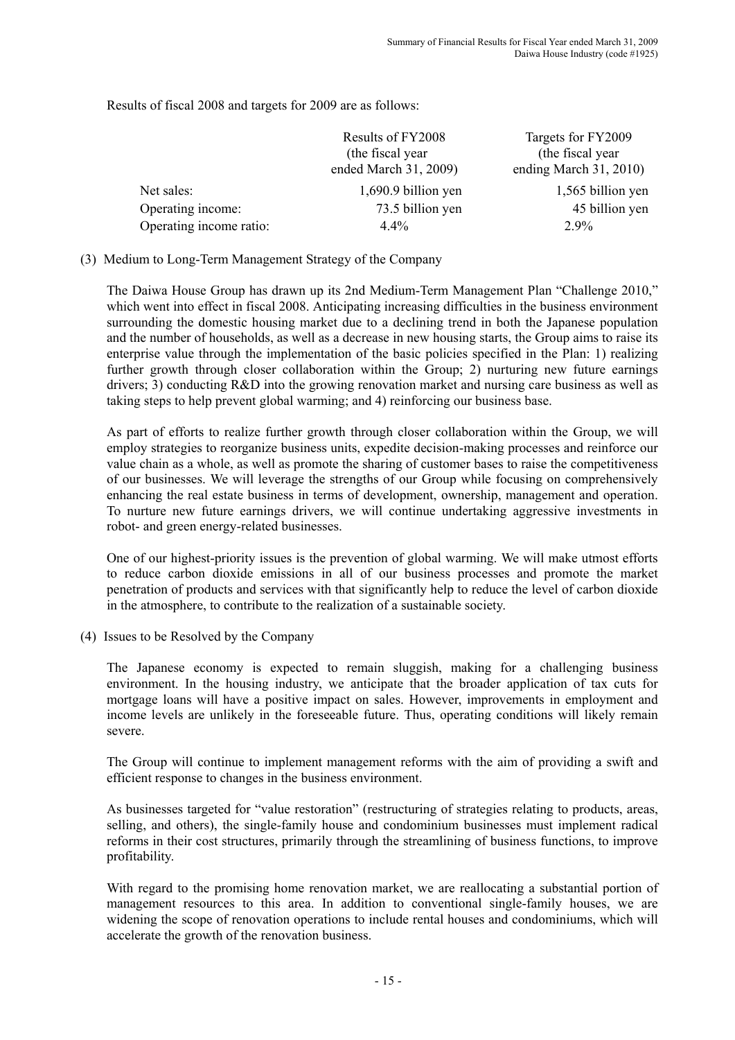Results of fiscal 2008 and targets for 2009 are as follows:

|                         | Results of FY2008<br>(the fiscal year)<br>ended March 31, 2009) | Targets for FY2009<br>(the fiscal year)<br>ending March $31, 2010$ |
|-------------------------|-----------------------------------------------------------------|--------------------------------------------------------------------|
| Net sales:              | 1,690.9 billion yen                                             | 1,565 billion yen                                                  |
| Operating income:       | 73.5 billion yen                                                | 45 billion yen                                                     |
| Operating income ratio: | $4.4\%$                                                         | $2.9\%$                                                            |

(3) Medium to Long-Term Management Strategy of the Company

The Daiwa House Group has drawn up its 2nd Medium-Term Management Plan "Challenge 2010," which went into effect in fiscal 2008. Anticipating increasing difficulties in the business environment surrounding the domestic housing market due to a declining trend in both the Japanese population and the number of households, as well as a decrease in new housing starts, the Group aims to raise its enterprise value through the implementation of the basic policies specified in the Plan: 1) realizing further growth through closer collaboration within the Group; 2) nurturing new future earnings drivers; 3) conducting R&D into the growing renovation market and nursing care business as well as taking steps to help prevent global warming; and 4) reinforcing our business base.

As part of efforts to realize further growth through closer collaboration within the Group, we will employ strategies to reorganize business units, expedite decision-making processes and reinforce our value chain as a whole, as well as promote the sharing of customer bases to raise the competitiveness of our businesses. We will leverage the strengths of our Group while focusing on comprehensively enhancing the real estate business in terms of development, ownership, management and operation. To nurture new future earnings drivers, we will continue undertaking aggressive investments in robot- and green energy-related businesses.

One of our highest-priority issues is the prevention of global warming. We will make utmost efforts to reduce carbon dioxide emissions in all of our business processes and promote the market penetration of products and services with that significantly help to reduce the level of carbon dioxide in the atmosphere, to contribute to the realization of a sustainable society.

(4) Issues to be Resolved by the Company

The Japanese economy is expected to remain sluggish, making for a challenging business environment. In the housing industry, we anticipate that the broader application of tax cuts for mortgage loans will have a positive impact on sales. However, improvements in employment and income levels are unlikely in the foreseeable future. Thus, operating conditions will likely remain severe.

The Group will continue to implement management reforms with the aim of providing a swift and efficient response to changes in the business environment.

As businesses targeted for "value restoration" (restructuring of strategies relating to products, areas, selling, and others), the single-family house and condominium businesses must implement radical reforms in their cost structures, primarily through the streamlining of business functions, to improve profitability.

With regard to the promising home renovation market, we are reallocating a substantial portion of management resources to this area. In addition to conventional single-family houses, we are widening the scope of renovation operations to include rental houses and condominiums, which will accelerate the growth of the renovation business.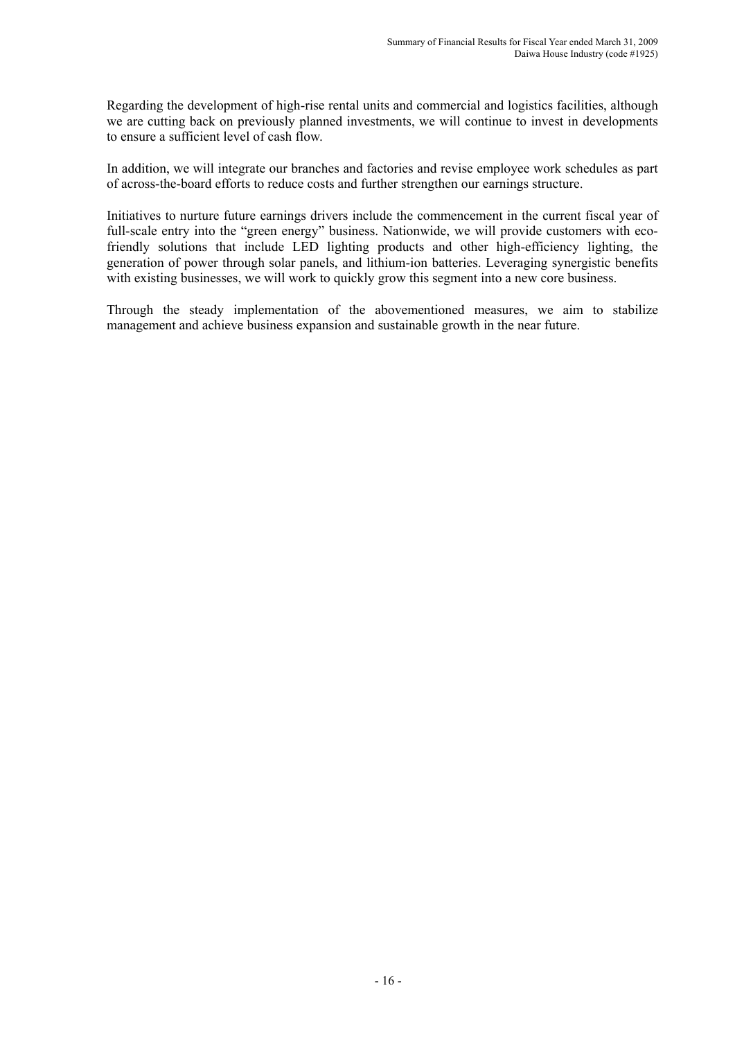Regarding the development of high-rise rental units and commercial and logistics facilities, although we are cutting back on previously planned investments, we will continue to invest in developments to ensure a sufficient level of cash flow.

In addition, we will integrate our branches and factories and revise employee work schedules as part of across-the-board efforts to reduce costs and further strengthen our earnings structure.

Initiatives to nurture future earnings drivers include the commencement in the current fiscal year of full-scale entry into the "green energy" business. Nationwide, we will provide customers with ecofriendly solutions that include LED lighting products and other high-efficiency lighting, the generation of power through solar panels, and lithium-ion batteries. Leveraging synergistic benefits with existing businesses, we will work to quickly grow this segment into a new core business.

Through the steady implementation of the abovementioned measures, we aim to stabilize management and achieve business expansion and sustainable growth in the near future.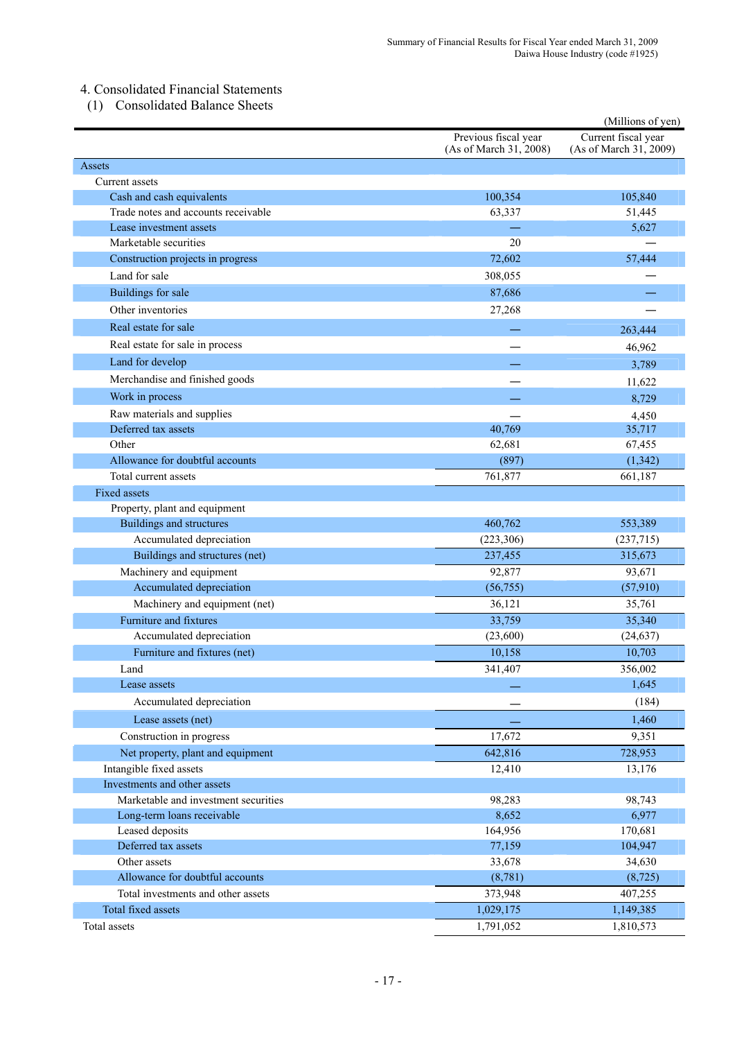## 4. Consolidated Financial Statements

(1) Consolidated Balance Sheets

|                                               |                                                | (Millions of yen)                             |
|-----------------------------------------------|------------------------------------------------|-----------------------------------------------|
|                                               | Previous fiscal year<br>(As of March 31, 2008) | Current fiscal year<br>(As of March 31, 2009) |
| Assets                                        |                                                |                                               |
| Current assets                                |                                                |                                               |
| Cash and cash equivalents                     | 100,354                                        | 105,840                                       |
| Trade notes and accounts receivable           | 63,337                                         | 51,445                                        |
| Lease investment assets                       |                                                | 5,627                                         |
| Marketable securities                         | 20                                             |                                               |
| Construction projects in progress             | 72,602                                         | 57,444                                        |
| Land for sale                                 | 308,055                                        |                                               |
| Buildings for sale                            | 87,686                                         |                                               |
| Other inventories                             | 27,268                                         |                                               |
| Real estate for sale                          |                                                | 263,444                                       |
| Real estate for sale in process               |                                                | 46,962                                        |
| Land for develop                              |                                                | 3,789                                         |
| Merchandise and finished goods                |                                                | 11,622                                        |
| Work in process                               |                                                |                                               |
| Raw materials and supplies                    |                                                | 8,729                                         |
| Deferred tax assets                           | 40,769                                         | 4,450<br>35,717                               |
| Other                                         | 62,681                                         | 67,455                                        |
| Allowance for doubtful accounts               | (897)                                          | (1, 342)                                      |
| Total current assets                          | 761,877                                        | 661,187                                       |
| <b>Fixed assets</b>                           |                                                |                                               |
| Property, plant and equipment                 |                                                |                                               |
| <b>Buildings and structures</b>               | 460,762                                        | 553,389                                       |
| Accumulated depreciation                      | (223, 306)                                     | (237,715)                                     |
| Buildings and structures (net)                | 237,455                                        | 315,673                                       |
| Machinery and equipment                       | 92,877                                         | 93,671                                        |
| Accumulated depreciation                      | (56, 755)                                      | (57, 910)                                     |
| Machinery and equipment (net)                 | 36,121                                         | 35,761                                        |
| Furniture and fixtures                        | 33,759                                         | 35,340                                        |
| Accumulated depreciation                      | (23,600)                                       | (24, 637)                                     |
| Furniture and fixtures (net)                  | 10,158                                         | 10,703                                        |
| Land                                          | 341,407                                        | 356,002                                       |
| Lease assets                                  |                                                | 1,645                                         |
| Accumulated depreciation                      |                                                | (184)                                         |
|                                               |                                                |                                               |
| Lease assets (net)                            |                                                | 1,460                                         |
| Construction in progress                      | 17,672                                         | 9,351                                         |
| Net property, plant and equipment             | 642,816                                        | 728,953                                       |
| Intangible fixed assets                       | 12,410                                         | 13,176                                        |
| Investments and other assets                  |                                                |                                               |
| Marketable and investment securities          | 98,283                                         | 98,743<br>6,977                               |
| Long-term loans receivable<br>Leased deposits | 8,652<br>164,956                               | 170,681                                       |
| Deferred tax assets                           | 77,159                                         | 104,947                                       |
| Other assets                                  | 33,678                                         | 34,630                                        |
| Allowance for doubtful accounts               | (8,781)                                        | (8, 725)                                      |
| Total investments and other assets            | 373,948                                        | 407,255                                       |
| Total fixed assets                            | 1,029,175                                      | 1,149,385                                     |
| Total assets                                  | 1,791,052                                      | 1,810,573                                     |
|                                               |                                                |                                               |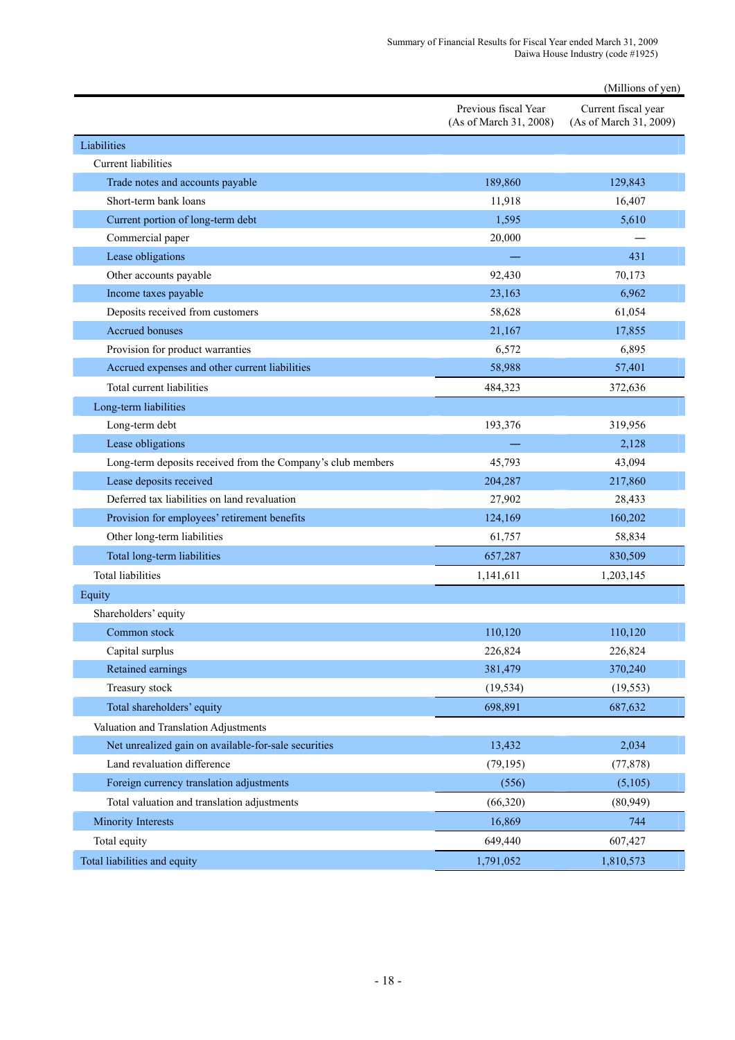|                                                             |                                                | (Millions of yen)                             |
|-------------------------------------------------------------|------------------------------------------------|-----------------------------------------------|
|                                                             | Previous fiscal Year<br>(As of March 31, 2008) | Current fiscal year<br>(As of March 31, 2009) |
| Liabilities                                                 |                                                |                                               |
| <b>Current liabilities</b>                                  |                                                |                                               |
| Trade notes and accounts payable                            | 189,860                                        | 129,843                                       |
| Short-term bank loans                                       | 11,918                                         | 16,407                                        |
| Current portion of long-term debt                           | 1,595                                          | 5,610                                         |
| Commercial paper                                            | 20,000                                         |                                               |
| Lease obligations                                           |                                                | 431                                           |
| Other accounts payable                                      | 92,430                                         | 70,173                                        |
| Income taxes payable                                        | 23,163                                         | 6,962                                         |
| Deposits received from customers                            | 58,628                                         | 61,054                                        |
| Accrued bonuses                                             | 21,167                                         | 17,855                                        |
| Provision for product warranties                            | 6,572                                          | 6,895                                         |
| Accrued expenses and other current liabilities              | 58,988                                         | 57,401                                        |
| Total current liabilities                                   | 484,323                                        | 372,636                                       |
| Long-term liabilities                                       |                                                |                                               |
| Long-term debt                                              | 193,376                                        | 319,956                                       |
| Lease obligations                                           |                                                | 2,128                                         |
| Long-term deposits received from the Company's club members | 45,793                                         | 43,094                                        |
| Lease deposits received                                     | 204,287                                        | 217,860                                       |
| Deferred tax liabilities on land revaluation                | 27,902                                         | 28,433                                        |
| Provision for employees' retirement benefits                | 124,169                                        | 160,202                                       |
| Other long-term liabilities                                 | 61,757                                         | 58,834                                        |
| Total long-term liabilities                                 | 657,287                                        | 830,509                                       |
| <b>Total liabilities</b>                                    | 1,141,611                                      | 1,203,145                                     |
| Equity                                                      |                                                |                                               |
| Shareholders' equity                                        |                                                |                                               |
| Common stock                                                | 110,120                                        | 110,120                                       |
| Capital surplus                                             | 226,824                                        | 226,824                                       |
| Retained earnings                                           | 381,479                                        | 370,240                                       |
| Treasury stock                                              | (19, 534)                                      | (19, 553)                                     |
| Total shareholders' equity                                  | 698,891                                        | 687,632                                       |
| Valuation and Translation Adjustments                       |                                                |                                               |
| Net unrealized gain on available-for-sale securities        | 13,432                                         | 2,034                                         |
| Land revaluation difference                                 | (79, 195)                                      | (77, 878)                                     |
| Foreign currency translation adjustments                    | (556)                                          | (5,105)                                       |
| Total valuation and translation adjustments                 | (66,320)                                       | (80, 949)                                     |
| <b>Minority Interests</b>                                   | 16,869                                         | 744                                           |
| Total equity                                                | 649,440                                        | 607,427                                       |
| Total liabilities and equity                                | 1,791,052                                      | 1,810,573                                     |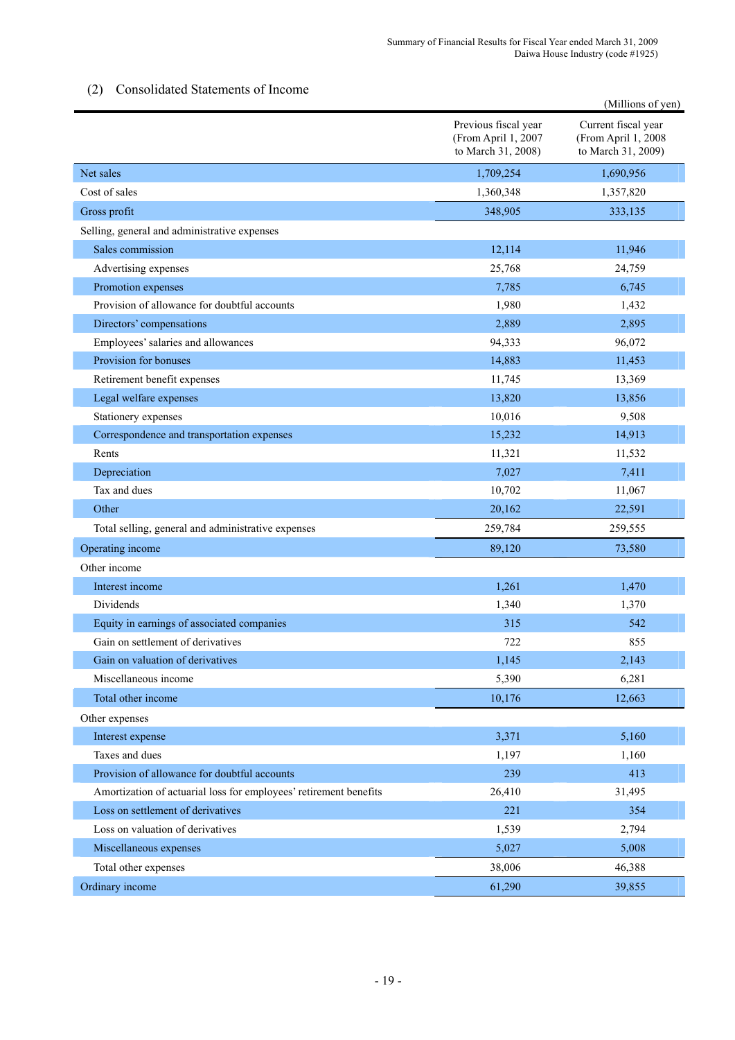# (2) Consolidated Statements of Income

|                                                                   |                                                                   | (Millions of yen)                                                |
|-------------------------------------------------------------------|-------------------------------------------------------------------|------------------------------------------------------------------|
|                                                                   | Previous fiscal year<br>(From April 1, 2007<br>to March 31, 2008) | Current fiscal year<br>(From April 1, 2008<br>to March 31, 2009) |
| Net sales                                                         | 1,709,254                                                         | 1,690,956                                                        |
| Cost of sales                                                     | 1,360,348                                                         | 1,357,820                                                        |
| Gross profit                                                      | 348,905                                                           | 333,135                                                          |
| Selling, general and administrative expenses                      |                                                                   |                                                                  |
| Sales commission                                                  | 12,114                                                            | 11,946                                                           |
| Advertising expenses                                              | 25,768                                                            | 24,759                                                           |
| Promotion expenses                                                | 7,785                                                             | 6,745                                                            |
| Provision of allowance for doubtful accounts                      | 1,980                                                             | 1,432                                                            |
| Directors' compensations                                          | 2,889                                                             | 2,895                                                            |
| Employees' salaries and allowances                                | 94,333                                                            | 96,072                                                           |
| Provision for bonuses                                             | 14,883                                                            | 11,453                                                           |
| Retirement benefit expenses                                       | 11,745                                                            | 13,369                                                           |
| Legal welfare expenses                                            | 13,820                                                            | 13,856                                                           |
| Stationery expenses                                               | 10,016                                                            | 9,508                                                            |
| Correspondence and transportation expenses                        | 15,232                                                            | 14,913                                                           |
| Rents                                                             | 11,321                                                            | 11,532                                                           |
| Depreciation                                                      | 7,027                                                             | 7,411                                                            |
| Tax and dues                                                      | 10,702                                                            | 11,067                                                           |
| Other                                                             | 20,162                                                            | 22,591                                                           |
| Total selling, general and administrative expenses                | 259,784                                                           | 259,555                                                          |
| Operating income                                                  | 89,120                                                            | 73,580                                                           |
| Other income                                                      |                                                                   |                                                                  |
| Interest income                                                   | 1,261                                                             | 1,470                                                            |
| Dividends                                                         | 1,340                                                             | 1,370                                                            |
| Equity in earnings of associated companies                        | 315                                                               | 542                                                              |
| Gain on settlement of derivatives                                 | 722                                                               | 855                                                              |
| Gain on valuation of derivatives                                  | 1,145                                                             | 2,143                                                            |
| Miscellaneous income                                              | 5,390                                                             | 6,281                                                            |
| Total other income                                                | 10,176                                                            | 12,663                                                           |
| Other expenses                                                    |                                                                   |                                                                  |
| Interest expense                                                  | 3,371                                                             | 5,160                                                            |
| Taxes and dues                                                    | 1,197                                                             | 1,160                                                            |
| Provision of allowance for doubtful accounts                      | 239                                                               | 413                                                              |
| Amortization of actuarial loss for employees' retirement benefits | 26,410                                                            | 31,495                                                           |
| Loss on settlement of derivatives                                 | 221                                                               | 354                                                              |
| Loss on valuation of derivatives                                  | 1,539                                                             | 2,794                                                            |
| Miscellaneous expenses                                            | 5,027                                                             | 5,008                                                            |
| Total other expenses                                              | 38,006                                                            | 46,388                                                           |
| Ordinary income                                                   | 61,290                                                            | 39,855                                                           |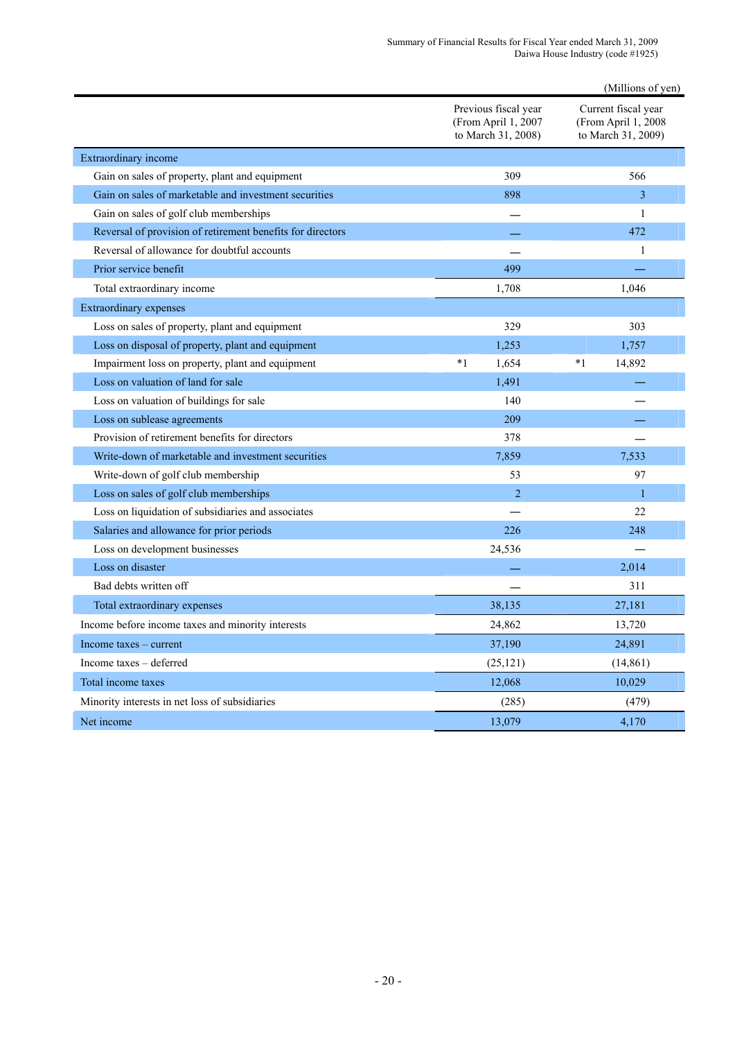|                                                            |                                                                   | (Millions of yen)                                                |
|------------------------------------------------------------|-------------------------------------------------------------------|------------------------------------------------------------------|
|                                                            | Previous fiscal year<br>(From April 1, 2007<br>to March 31, 2008) | Current fiscal year<br>(From April 1, 2008<br>to March 31, 2009) |
| Extraordinary income                                       |                                                                   |                                                                  |
| Gain on sales of property, plant and equipment             | 309                                                               | 566                                                              |
| Gain on sales of marketable and investment securities      | 898                                                               | 3                                                                |
| Gain on sales of golf club memberships                     |                                                                   | 1                                                                |
| Reversal of provision of retirement benefits for directors |                                                                   | 472                                                              |
| Reversal of allowance for doubtful accounts                |                                                                   | 1                                                                |
| Prior service benefit                                      | 499                                                               |                                                                  |
| Total extraordinary income                                 | 1,708                                                             | 1,046                                                            |
| <b>Extraordinary expenses</b>                              |                                                                   |                                                                  |
| Loss on sales of property, plant and equipment             | 329                                                               | 303                                                              |
| Loss on disposal of property, plant and equipment          | 1,253                                                             | 1,757                                                            |
| Impairment loss on property, plant and equipment           | $*1$<br>1,654                                                     | $*1$<br>14,892                                                   |
| Loss on valuation of land for sale                         | 1,491                                                             |                                                                  |
| Loss on valuation of buildings for sale                    | 140                                                               |                                                                  |
| Loss on sublease agreements                                | 209                                                               |                                                                  |
| Provision of retirement benefits for directors             | 378                                                               |                                                                  |
| Write-down of marketable and investment securities         | 7,859                                                             | 7,533                                                            |
| Write-down of golf club membership                         | 53                                                                | 97                                                               |
| Loss on sales of golf club memberships                     | $\overline{2}$                                                    | $\mathbf{1}$                                                     |
| Loss on liquidation of subsidiaries and associates         |                                                                   | 22                                                               |
| Salaries and allowance for prior periods                   | 226                                                               | 248                                                              |
| Loss on development businesses                             | 24,536                                                            |                                                                  |
| Loss on disaster                                           |                                                                   | 2,014                                                            |
| Bad debts written off                                      |                                                                   | 311                                                              |
| Total extraordinary expenses                               | 38,135                                                            | 27,181                                                           |
| Income before income taxes and minority interests          | 24,862                                                            | 13,720                                                           |
| Income taxes – current                                     | 37,190                                                            | 24,891                                                           |
| Income taxes - deferred                                    | (25, 121)                                                         | (14, 861)                                                        |
| Total income taxes                                         | 12,068                                                            | 10,029                                                           |
| Minority interests in net loss of subsidiaries             | (285)                                                             | (479)                                                            |
| Net income                                                 | 13,079                                                            | 4,170                                                            |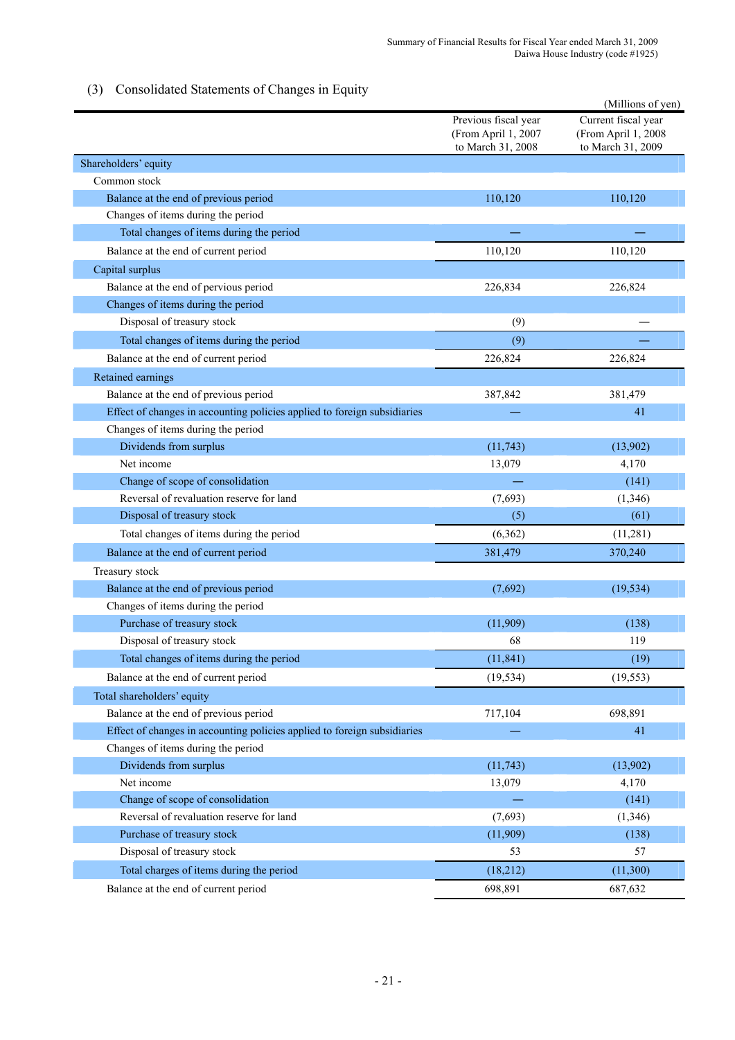# (3) Consolidated Statements of Changes in Equity

| Consonauta biatements of Changes in Equity                               |                                                                  | (Millions of yen)                                               |
|--------------------------------------------------------------------------|------------------------------------------------------------------|-----------------------------------------------------------------|
|                                                                          | Previous fiscal year<br>(From April 1, 2007<br>to March 31, 2008 | Current fiscal year<br>(From April 1, 2008<br>to March 31, 2009 |
| Shareholders' equity                                                     |                                                                  |                                                                 |
| Common stock                                                             |                                                                  |                                                                 |
| Balance at the end of previous period                                    | 110,120                                                          | 110,120                                                         |
| Changes of items during the period                                       |                                                                  |                                                                 |
| Total changes of items during the period                                 |                                                                  |                                                                 |
| Balance at the end of current period                                     | 110,120                                                          | 110,120                                                         |
| Capital surplus                                                          |                                                                  |                                                                 |
| Balance at the end of pervious period                                    | 226,834                                                          | 226,824                                                         |
| Changes of items during the period                                       |                                                                  |                                                                 |
| Disposal of treasury stock                                               | (9)                                                              |                                                                 |
| Total changes of items during the period                                 | (9)                                                              |                                                                 |
| Balance at the end of current period                                     | 226,824                                                          | 226,824                                                         |
| Retained earnings                                                        |                                                                  |                                                                 |
| Balance at the end of previous period                                    | 387,842                                                          | 381,479                                                         |
| Effect of changes in accounting policies applied to foreign subsidiaries |                                                                  | 41                                                              |
| Changes of items during the period                                       |                                                                  |                                                                 |
| Dividends from surplus                                                   | (11, 743)                                                        | (13,902)                                                        |
| Net income                                                               | 13,079                                                           | 4,170                                                           |
| Change of scope of consolidation                                         |                                                                  | (141)                                                           |
| Reversal of revaluation reserve for land                                 | (7,693)                                                          | (1,346)                                                         |
| Disposal of treasury stock                                               | (5)                                                              | (61)                                                            |
| Total changes of items during the period                                 | (6, 362)                                                         | (11, 281)                                                       |
| Balance at the end of current period                                     | 381,479                                                          | 370,240                                                         |
| Treasury stock                                                           |                                                                  |                                                                 |
| Balance at the end of previous period                                    | (7,692)                                                          | (19, 534)                                                       |
| Changes of items during the period                                       |                                                                  |                                                                 |
| Purchase of treasury stock                                               | (11,909)                                                         | (138)                                                           |
| Disposal of treasury stock                                               | 68                                                               | 119                                                             |
| Total changes of items during the period                                 | (11, 841)                                                        | (19)                                                            |
| Balance at the end of current period                                     | (19, 534)                                                        | (19, 553)                                                       |
| Total shareholders' equity                                               |                                                                  |                                                                 |
| Balance at the end of previous period                                    | 717,104                                                          | 698,891                                                         |
| Effect of changes in accounting policies applied to foreign subsidiaries |                                                                  | 41                                                              |
| Changes of items during the period                                       |                                                                  |                                                                 |
| Dividends from surplus                                                   | (11, 743)                                                        | (13,902)                                                        |
| Net income                                                               | 13,079                                                           | 4,170                                                           |
| Change of scope of consolidation                                         |                                                                  | (141)                                                           |
| Reversal of revaluation reserve for land                                 | (7,693)                                                          | (1, 346)                                                        |
| Purchase of treasury stock                                               | (11,909)                                                         | (138)                                                           |
| Disposal of treasury stock                                               | 53                                                               | 57                                                              |
| Total charges of items during the period                                 | (18,212)                                                         | (11,300)                                                        |
| Balance at the end of current period                                     | 698,891                                                          | 687,632                                                         |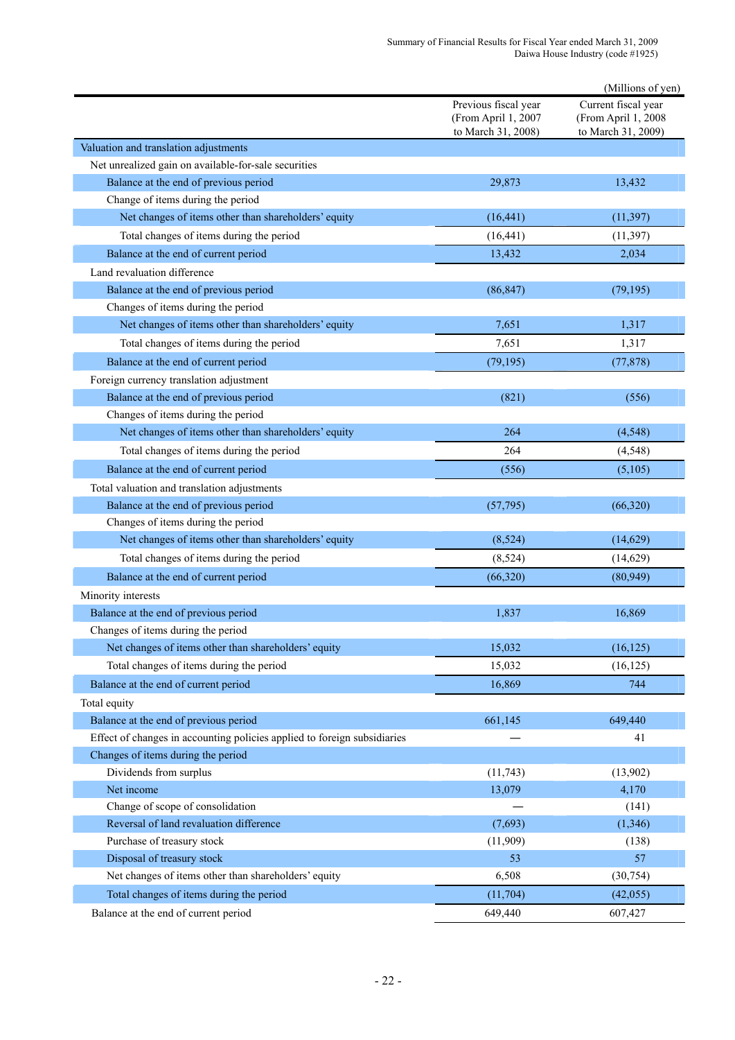|                                                                          |                                                                   | (Millions of yen)                                                |
|--------------------------------------------------------------------------|-------------------------------------------------------------------|------------------------------------------------------------------|
|                                                                          | Previous fiscal year<br>(From April 1, 2007<br>to March 31, 2008) | Current fiscal year<br>(From April 1, 2008<br>to March 31, 2009) |
| Valuation and translation adjustments                                    |                                                                   |                                                                  |
| Net unrealized gain on available-for-sale securities                     |                                                                   |                                                                  |
| Balance at the end of previous period                                    | 29,873                                                            | 13,432                                                           |
| Change of items during the period                                        |                                                                   |                                                                  |
| Net changes of items other than shareholders' equity                     | (16, 441)                                                         | (11, 397)                                                        |
| Total changes of items during the period                                 | (16, 441)                                                         | (11, 397)                                                        |
| Balance at the end of current period                                     | 13,432                                                            | 2,034                                                            |
| Land revaluation difference                                              |                                                                   |                                                                  |
| Balance at the end of previous period                                    | (86, 847)                                                         | (79, 195)                                                        |
| Changes of items during the period                                       |                                                                   |                                                                  |
| Net changes of items other than shareholders' equity                     | 7,651                                                             | 1,317                                                            |
| Total changes of items during the period                                 | 7,651                                                             | 1,317                                                            |
| Balance at the end of current period                                     | (79, 195)                                                         | (77, 878)                                                        |
| Foreign currency translation adjustment                                  |                                                                   |                                                                  |
| Balance at the end of previous period                                    | (821)                                                             | (556)                                                            |
| Changes of items during the period                                       |                                                                   |                                                                  |
| Net changes of items other than shareholders' equity                     | 264                                                               | (4, 548)                                                         |
| Total changes of items during the period                                 | 264                                                               | (4, 548)                                                         |
| Balance at the end of current period                                     | (556)                                                             | (5,105)                                                          |
| Total valuation and translation adjustments                              |                                                                   |                                                                  |
| Balance at the end of previous period                                    | (57, 795)                                                         | (66,320)                                                         |
| Changes of items during the period                                       |                                                                   |                                                                  |
| Net changes of items other than shareholders' equity                     | (8, 524)                                                          | (14, 629)                                                        |
| Total changes of items during the period                                 | (8,524)                                                           | (14, 629)                                                        |
| Balance at the end of current period                                     | (66, 320)                                                         | (80,949)                                                         |
| Minority interests                                                       |                                                                   |                                                                  |
| Balance at the end of previous period                                    | 1,837                                                             | 16,869                                                           |
| Changes of items during the period                                       |                                                                   |                                                                  |
| Net changes of items other than shareholders' equity                     | 15,032                                                            | (16, 125)                                                        |
| Total changes of items during the period                                 | 15,032                                                            | (16, 125)                                                        |
| Balance at the end of current period                                     | 16,869                                                            | 744                                                              |
| Total equity                                                             |                                                                   |                                                                  |
| Balance at the end of previous period                                    | 661,145                                                           | 649,440                                                          |
| Effect of changes in accounting policies applied to foreign subsidiaries |                                                                   | 41                                                               |
| Changes of items during the period                                       |                                                                   |                                                                  |
| Dividends from surplus                                                   | (11, 743)                                                         | (13,902)                                                         |
| Net income                                                               | 13,079                                                            | 4,170                                                            |
| Change of scope of consolidation                                         |                                                                   | (141)                                                            |
| Reversal of land revaluation difference                                  | (7,693)                                                           | (1, 346)                                                         |
| Purchase of treasury stock                                               | (11,909)                                                          | (138)                                                            |
| Disposal of treasury stock                                               | 53                                                                | 57                                                               |
| Net changes of items other than shareholders' equity                     | 6,508                                                             | (30, 754)                                                        |
| Total changes of items during the period                                 | (11, 704)                                                         | (42,055)                                                         |
| Balance at the end of current period                                     | 649,440                                                           | 607,427                                                          |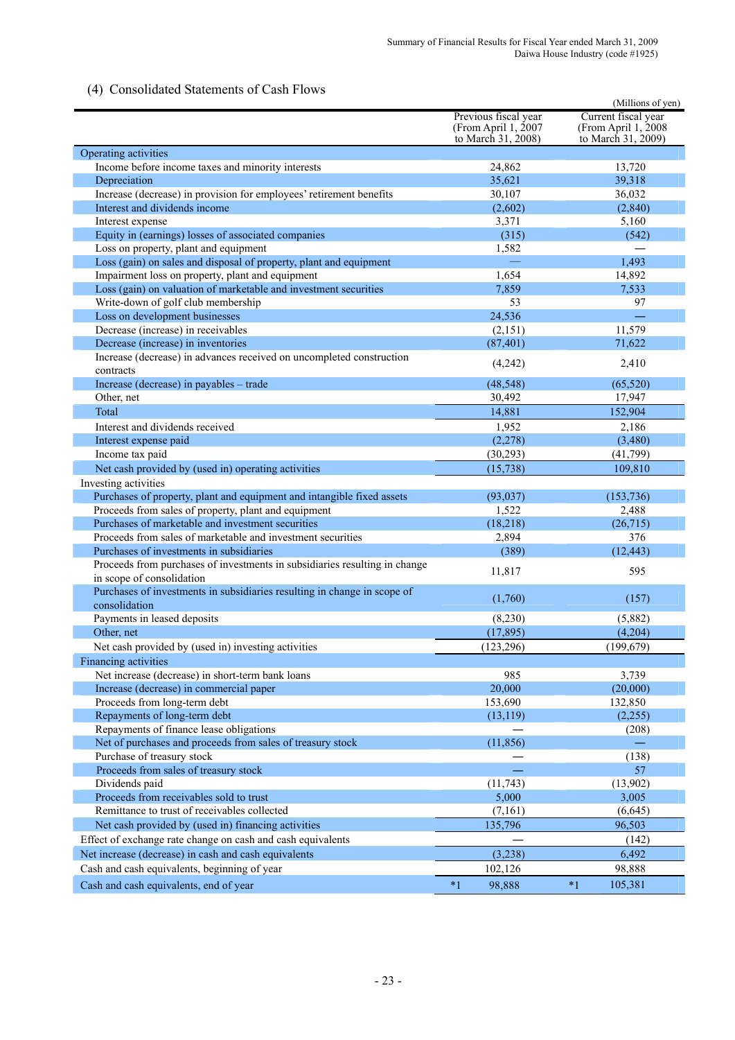# (4) Consolidated Statements of Cash Flows

| Consonauted Blutements of Cash I to                                        |                                                                     | (Millions of yen)                                                 |
|----------------------------------------------------------------------------|---------------------------------------------------------------------|-------------------------------------------------------------------|
|                                                                            | Previous fiscal year<br>(From April $1, 2007$<br>to March 31, 2008) | Current fiscal year<br>(From April 1, 2008)<br>to March 31, 2009) |
| Operating activities                                                       |                                                                     |                                                                   |
| Income before income taxes and minority interests                          | 24,862                                                              | 13,720                                                            |
| Depreciation                                                               | 35,621                                                              | 39,318                                                            |
| Increase (decrease) in provision for employees' retirement benefits        | 30,107                                                              | 36,032                                                            |
| Interest and dividends income                                              | (2,602)                                                             | (2,840)                                                           |
| Interest expense                                                           | 3,371                                                               | 5,160                                                             |
| Equity in (earnings) losses of associated companies                        | (315)                                                               | (542)                                                             |
| Loss on property, plant and equipment                                      | 1,582                                                               |                                                                   |
| Loss (gain) on sales and disposal of property, plant and equipment         |                                                                     | 1,493                                                             |
| Impairment loss on property, plant and equipment                           | 1,654                                                               | 14,892                                                            |
| Loss (gain) on valuation of marketable and investment securities           | 7,859                                                               | 7,533                                                             |
| Write-down of golf club membership                                         | 53                                                                  | 97                                                                |
| Loss on development businesses                                             | 24,536                                                              |                                                                   |
| Decrease (increase) in receivables                                         | (2,151)                                                             | 11,579                                                            |
| Decrease (increase) in inventories                                         | (87, 401)                                                           | 71,622                                                            |
| Increase (decrease) in advances received on uncompleted construction       |                                                                     |                                                                   |
| contracts                                                                  | (4,242)                                                             | 2,410                                                             |
| Increase (decrease) in payables - trade                                    | (48, 548)                                                           | (65, 520)                                                         |
| Other, net                                                                 | 30,492                                                              | 17,947                                                            |
| Total                                                                      | 14,881                                                              | 152,904                                                           |
| Interest and dividends received                                            | 1,952                                                               | 2,186                                                             |
| Interest expense paid                                                      | (2,278)                                                             | (3,480)                                                           |
| Income tax paid                                                            | (30, 293)                                                           | (41, 799)                                                         |
| Net cash provided by (used in) operating activities                        | (15, 738)                                                           | 109,810                                                           |
| Investing activities                                                       |                                                                     |                                                                   |
| Purchases of property, plant and equipment and intangible fixed assets     |                                                                     |                                                                   |
| Proceeds from sales of property, plant and equipment                       | (93,037)<br>1,522                                                   | (153, 736)                                                        |
| Purchases of marketable and investment securities                          | (18,218)                                                            | 2,488<br>(26, 715)                                                |
| Proceeds from sales of marketable and investment securities                |                                                                     | 376                                                               |
| Purchases of investments in subsidiaries                                   | 2,894<br>(389)                                                      | (12, 443)                                                         |
| Proceeds from purchases of investments in subsidiaries resulting in change |                                                                     |                                                                   |
| in scope of consolidation                                                  | 11,817                                                              | 595                                                               |
| Purchases of investments in subsidiaries resulting in change in scope of   | (1,760)                                                             | (157)                                                             |
| consolidation                                                              |                                                                     |                                                                   |
| Payments in leased deposits                                                | (8,230)                                                             | (5,882)                                                           |
| Other, net                                                                 | (17, 895)                                                           | (4,204)                                                           |
| Net cash provided by (used in) investing activities                        | (123, 296)                                                          | (199, 679)                                                        |
| Financing activities                                                       |                                                                     |                                                                   |
| Net increase (decrease) in short-term bank loans                           | 985                                                                 | 3,739                                                             |
| Increase (decrease) in commercial paper                                    | 20,000                                                              | (20,000)                                                          |
| Proceeds from long-term debt                                               | 153,690                                                             | 132,850                                                           |
| Repayments of long-term debt                                               | (13, 119)                                                           | (2,255)                                                           |
| Repayments of finance lease obligations                                    |                                                                     | (208)                                                             |
| Net of purchases and proceeds from sales of treasury stock                 | (11, 856)                                                           |                                                                   |
| Purchase of treasury stock                                                 |                                                                     | (138)                                                             |
| Proceeds from sales of treasury stock                                      |                                                                     | 57                                                                |
| Dividends paid                                                             | (11, 743)                                                           | (13,902)                                                          |
| Proceeds from receivables sold to trust                                    | 5,000                                                               | 3,005                                                             |
| Remittance to trust of receivables collected                               | (7,161)                                                             | (6,645)                                                           |
| Net cash provided by (used in) financing activities                        | 135,796                                                             | 96,503                                                            |
| Effect of exchange rate change on cash and cash equivalents                |                                                                     | (142)                                                             |
| Net increase (decrease) in cash and cash equivalents                       | (3,238)                                                             | 6,492                                                             |
| Cash and cash equivalents, beginning of year                               | 102,126                                                             | 98,888                                                            |
| Cash and cash equivalents, end of year                                     | $*1$<br>98,888                                                      | $*1$<br>105,381                                                   |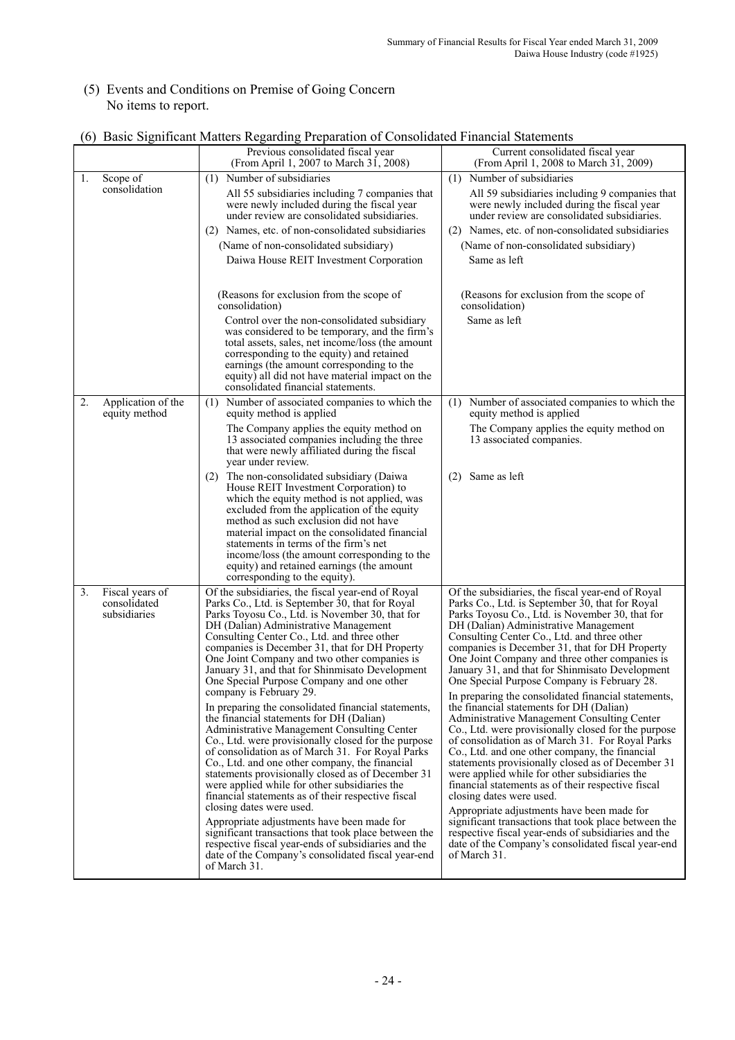## (5) Events and Conditions on Premise of Going Concern No items to report.

|    |                                                 | Previous consolidated fiscal year<br>(From April 1, 2007 to March 31, 2008)                                                                                                                                                                                                                                                                                                                                                                                                                                                                                                                                                                                                                                                                                                                                                                                                                                                                                                                                                                                                                                                                                                                                            | Current consolidated fiscal year<br>(From April 1, 2008 to March 31, 2009)                                                                                                                                                                                                                                                                                                                                                                                                                                                                                                                                                                                                                                                                                                                                                                                                                                                                                                                                                                                                                                                                                                                      |
|----|-------------------------------------------------|------------------------------------------------------------------------------------------------------------------------------------------------------------------------------------------------------------------------------------------------------------------------------------------------------------------------------------------------------------------------------------------------------------------------------------------------------------------------------------------------------------------------------------------------------------------------------------------------------------------------------------------------------------------------------------------------------------------------------------------------------------------------------------------------------------------------------------------------------------------------------------------------------------------------------------------------------------------------------------------------------------------------------------------------------------------------------------------------------------------------------------------------------------------------------------------------------------------------|-------------------------------------------------------------------------------------------------------------------------------------------------------------------------------------------------------------------------------------------------------------------------------------------------------------------------------------------------------------------------------------------------------------------------------------------------------------------------------------------------------------------------------------------------------------------------------------------------------------------------------------------------------------------------------------------------------------------------------------------------------------------------------------------------------------------------------------------------------------------------------------------------------------------------------------------------------------------------------------------------------------------------------------------------------------------------------------------------------------------------------------------------------------------------------------------------|
| 1. | Scope of                                        | (1) Number of subsidiaries                                                                                                                                                                                                                                                                                                                                                                                                                                                                                                                                                                                                                                                                                                                                                                                                                                                                                                                                                                                                                                                                                                                                                                                             | Number of subsidiaries<br>(1)                                                                                                                                                                                                                                                                                                                                                                                                                                                                                                                                                                                                                                                                                                                                                                                                                                                                                                                                                                                                                                                                                                                                                                   |
|    | consolidation                                   | All 55 subsidiaries including 7 companies that<br>were newly included during the fiscal year<br>under review are consolidated subsidiaries.                                                                                                                                                                                                                                                                                                                                                                                                                                                                                                                                                                                                                                                                                                                                                                                                                                                                                                                                                                                                                                                                            | All 59 subsidiaries including 9 companies that<br>were newly included during the fiscal year<br>under review are consolidated subsidiaries.                                                                                                                                                                                                                                                                                                                                                                                                                                                                                                                                                                                                                                                                                                                                                                                                                                                                                                                                                                                                                                                     |
|    |                                                 | (2) Names, etc. of non-consolidated subsidiaries                                                                                                                                                                                                                                                                                                                                                                                                                                                                                                                                                                                                                                                                                                                                                                                                                                                                                                                                                                                                                                                                                                                                                                       | (2) Names, etc. of non-consolidated subsidiaries                                                                                                                                                                                                                                                                                                                                                                                                                                                                                                                                                                                                                                                                                                                                                                                                                                                                                                                                                                                                                                                                                                                                                |
|    |                                                 | (Name of non-consolidated subsidiary)                                                                                                                                                                                                                                                                                                                                                                                                                                                                                                                                                                                                                                                                                                                                                                                                                                                                                                                                                                                                                                                                                                                                                                                  | (Name of non-consolidated subsidiary)                                                                                                                                                                                                                                                                                                                                                                                                                                                                                                                                                                                                                                                                                                                                                                                                                                                                                                                                                                                                                                                                                                                                                           |
|    |                                                 | Daiwa House REIT Investment Corporation                                                                                                                                                                                                                                                                                                                                                                                                                                                                                                                                                                                                                                                                                                                                                                                                                                                                                                                                                                                                                                                                                                                                                                                | Same as left                                                                                                                                                                                                                                                                                                                                                                                                                                                                                                                                                                                                                                                                                                                                                                                                                                                                                                                                                                                                                                                                                                                                                                                    |
|    |                                                 |                                                                                                                                                                                                                                                                                                                                                                                                                                                                                                                                                                                                                                                                                                                                                                                                                                                                                                                                                                                                                                                                                                                                                                                                                        |                                                                                                                                                                                                                                                                                                                                                                                                                                                                                                                                                                                                                                                                                                                                                                                                                                                                                                                                                                                                                                                                                                                                                                                                 |
|    |                                                 | (Reasons for exclusion from the scope of<br>consolidation)                                                                                                                                                                                                                                                                                                                                                                                                                                                                                                                                                                                                                                                                                                                                                                                                                                                                                                                                                                                                                                                                                                                                                             | (Reasons for exclusion from the scope of<br>consolidation)                                                                                                                                                                                                                                                                                                                                                                                                                                                                                                                                                                                                                                                                                                                                                                                                                                                                                                                                                                                                                                                                                                                                      |
|    |                                                 | Control over the non-consolidated subsidiary<br>was considered to be temporary, and the firm's<br>total assets, sales, net income/loss (the amount<br>corresponding to the equity) and retained<br>earnings (the amount corresponding to the<br>equity) all did not have material impact on the<br>consolidated financial statements.                                                                                                                                                                                                                                                                                                                                                                                                                                                                                                                                                                                                                                                                                                                                                                                                                                                                                  | Same as left                                                                                                                                                                                                                                                                                                                                                                                                                                                                                                                                                                                                                                                                                                                                                                                                                                                                                                                                                                                                                                                                                                                                                                                    |
| 2. | Application of the<br>equity method             | Number of associated companies to which the<br>(1)<br>equity method is applied                                                                                                                                                                                                                                                                                                                                                                                                                                                                                                                                                                                                                                                                                                                                                                                                                                                                                                                                                                                                                                                                                                                                         | (1) Number of associated companies to which the<br>equity method is applied                                                                                                                                                                                                                                                                                                                                                                                                                                                                                                                                                                                                                                                                                                                                                                                                                                                                                                                                                                                                                                                                                                                     |
|    |                                                 | The Company applies the equity method on<br>13 associated companies including the three<br>that were newly affiliated during the fiscal<br>year under review.                                                                                                                                                                                                                                                                                                                                                                                                                                                                                                                                                                                                                                                                                                                                                                                                                                                                                                                                                                                                                                                          | The Company applies the equity method on<br>13 associated companies.                                                                                                                                                                                                                                                                                                                                                                                                                                                                                                                                                                                                                                                                                                                                                                                                                                                                                                                                                                                                                                                                                                                            |
|    |                                                 | (2) The non-consolidated subsidiary (Daiwa<br>House REIT Investment Corporation) to<br>which the equity method is not applied, was<br>excluded from the application of the equity<br>method as such exclusion did not have<br>material impact on the consolidated financial<br>statements in terms of the firm's net<br>income/loss (the amount corresponding to the<br>equity) and retained earnings (the amount<br>corresponding to the equity).                                                                                                                                                                                                                                                                                                                                                                                                                                                                                                                                                                                                                                                                                                                                                                     | (2) Same as left                                                                                                                                                                                                                                                                                                                                                                                                                                                                                                                                                                                                                                                                                                                                                                                                                                                                                                                                                                                                                                                                                                                                                                                |
| 3. | Fiscal years of<br>consolidated<br>subsidiaries | Of the subsidiaries, the fiscal year-end of Royal<br>Parks Co., Ltd. is September 30, that for Royal<br>Parks Toyosu Co., Ltd. is November 30, that for<br>DH (Dalian) Administrative Management<br>Consulting Center Co., Ltd. and three other<br>companies is December 31, that for DH Property<br>One Joint Company and two other companies is<br>January 31, and that for Shinmisato Development<br>One Special Purpose Company and one other<br>company is February 29.<br>In preparing the consolidated financial statements,<br>the financial statements for DH (Dalian)<br>Administrative Management Consulting Center<br>Co., Ltd. were provisionally closed for the purpose<br>of consolidation as of March 31. For Royal Parks<br>Co., Ltd. and one other company, the financial<br>statements provisionally closed as of December 31<br>were applied while for other subsidiaries the<br>financial statements as of their respective fiscal<br>closing dates were used.<br>Appropriate adjustments have been made for<br>significant transactions that took place between the<br>respective fiscal year-ends of subsidiaries and the<br>date of the Company's consolidated fiscal year-end<br>of March 31. | Of the subsidiaries, the fiscal year-end of Royal<br>Parks Co., Ltd. is September 30, that for Royal<br>Parks Toyosu Co., Ltd. is November 30, that for<br>DH (Dalian) Administrative Management<br>Consulting Center Co., Ltd. and three other<br>companies is December 31, that for DH Property<br>One Joint Company and three other companies is<br>January 31, and that for Shinmisato Development<br>One Special Purpose Company is February 28.<br>In preparing the consolidated financial statements,<br>the financial statements for DH (Dalian)<br>Administrative Management Consulting Center<br>Co., Ltd. were provisionally closed for the purpose<br>of consolidation as of March 31. For Royal Parks<br>Co., Ltd. and one other company, the financial<br>statements provisionally closed as of December 31<br>were applied while for other subsidiaries the<br>financial statements as of their respective fiscal<br>closing dates were used.<br>Appropriate adjustments have been made for<br>significant transactions that took place between the<br>respective fiscal year-ends of subsidiaries and the<br>date of the Company's consolidated fiscal year-end<br>of March 31. |

### (6) Basic Significant Matters Regarding Preparation of Consolidated Financial Statements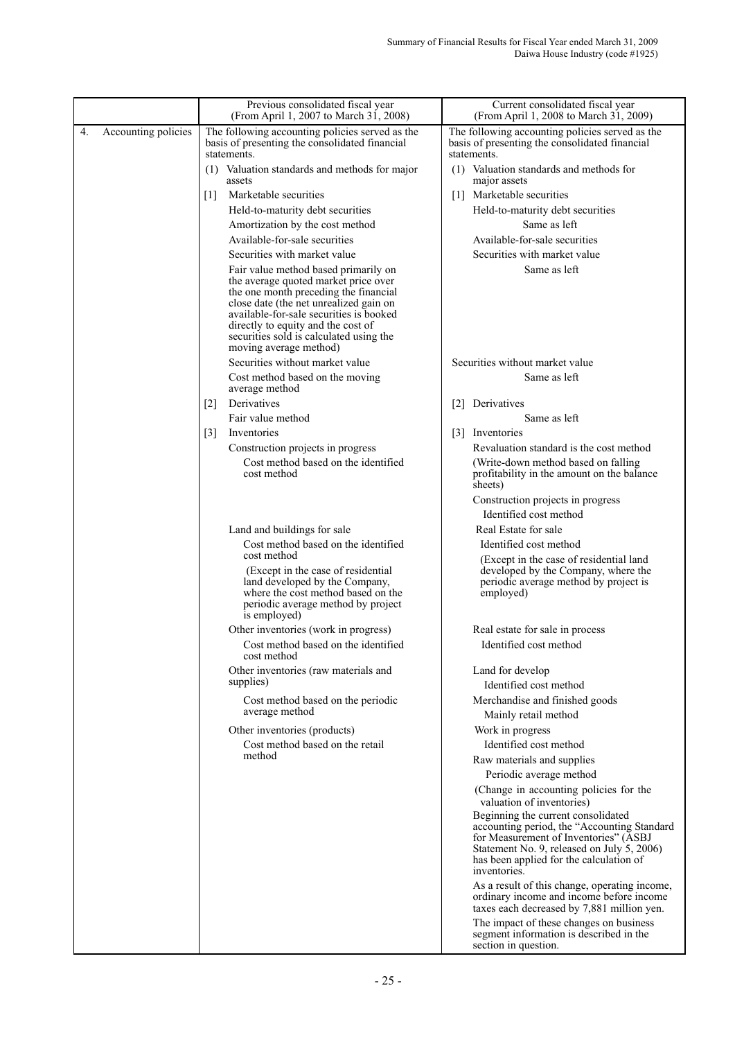|    |                     | Previous consolidated fiscal year<br>(From April 1, 2007 to March 31, 2008)                                                                                                                                                                                                                 | Current consolidated fiscal year<br>(From April 1, 2008 to March 31, 2009)                                                                                                                                                          |
|----|---------------------|---------------------------------------------------------------------------------------------------------------------------------------------------------------------------------------------------------------------------------------------------------------------------------------------|-------------------------------------------------------------------------------------------------------------------------------------------------------------------------------------------------------------------------------------|
| 4. | Accounting policies | The following accounting policies served as the<br>basis of presenting the consolidated financial                                                                                                                                                                                           | The following accounting policies served as the<br>basis of presenting the consolidated financial                                                                                                                                   |
|    |                     | statements.<br>(1) Valuation standards and methods for major<br>assets                                                                                                                                                                                                                      | statements.<br>(1) Valuation standards and methods for<br>major assets                                                                                                                                                              |
|    |                     | Marketable securities<br>$\lceil 1 \rceil$                                                                                                                                                                                                                                                  | [1] Marketable securities                                                                                                                                                                                                           |
|    |                     | Held-to-maturity debt securities                                                                                                                                                                                                                                                            | Held-to-maturity debt securities                                                                                                                                                                                                    |
|    |                     | Amortization by the cost method                                                                                                                                                                                                                                                             | Same as left                                                                                                                                                                                                                        |
|    |                     | Available-for-sale securities                                                                                                                                                                                                                                                               | Available-for-sale securities                                                                                                                                                                                                       |
|    |                     | Securities with market value                                                                                                                                                                                                                                                                | Securities with market value                                                                                                                                                                                                        |
|    |                     | Fair value method based primarily on<br>the average quoted market price over<br>the one month preceding the financial<br>close date (the net unrealized gain on<br>available-for-sale securities is booked<br>directly to equity and the cost of<br>securities sold is calculated using the | Same as left                                                                                                                                                                                                                        |
|    |                     | moving average method)                                                                                                                                                                                                                                                                      |                                                                                                                                                                                                                                     |
|    |                     | Securities without market value                                                                                                                                                                                                                                                             | Securities without market value                                                                                                                                                                                                     |
|    |                     | Cost method based on the moving<br>average method                                                                                                                                                                                                                                           | Same as left                                                                                                                                                                                                                        |
|    |                     | Derivatives<br>$\lceil 2 \rceil$                                                                                                                                                                                                                                                            | [2] Derivatives                                                                                                                                                                                                                     |
|    |                     | Fair value method                                                                                                                                                                                                                                                                           | Same as left                                                                                                                                                                                                                        |
|    |                     | Inventories<br>$\lceil 3 \rceil$                                                                                                                                                                                                                                                            | [3] Inventories                                                                                                                                                                                                                     |
|    |                     | Construction projects in progress                                                                                                                                                                                                                                                           | Revaluation standard is the cost method                                                                                                                                                                                             |
|    |                     | Cost method based on the identified<br>cost method                                                                                                                                                                                                                                          | (Write-down method based on falling)<br>profitability in the amount on the balance<br>sheets)                                                                                                                                       |
|    |                     |                                                                                                                                                                                                                                                                                             | Construction projects in progress<br>Identified cost method                                                                                                                                                                         |
|    |                     | Land and buildings for sale                                                                                                                                                                                                                                                                 | Real Estate for sale                                                                                                                                                                                                                |
|    |                     | Cost method based on the identified<br>cost method                                                                                                                                                                                                                                          | Identified cost method                                                                                                                                                                                                              |
|    |                     | (Except in the case of residential<br>land developed by the Company,<br>where the cost method based on the<br>periodic average method by project<br>is employed)                                                                                                                            | (Except in the case of residential land<br>developed by the Company, where the<br>periodic average method by project is<br>employed)                                                                                                |
|    |                     | Other inventories (work in progress)                                                                                                                                                                                                                                                        | Real estate for sale in process                                                                                                                                                                                                     |
|    |                     | Cost method based on the identified<br>cost method                                                                                                                                                                                                                                          | Identified cost method                                                                                                                                                                                                              |
|    |                     | Other inventories (raw materials and<br>supplies)                                                                                                                                                                                                                                           | Land for develop<br>Identified cost method                                                                                                                                                                                          |
|    |                     | Cost method based on the periodic<br>average method                                                                                                                                                                                                                                         | Merchandise and finished goods                                                                                                                                                                                                      |
|    |                     |                                                                                                                                                                                                                                                                                             | Mainly retail method                                                                                                                                                                                                                |
|    |                     | Other inventories (products)<br>Cost method based on the retail                                                                                                                                                                                                                             | Work in progress<br>Identified cost method                                                                                                                                                                                          |
|    |                     | method                                                                                                                                                                                                                                                                                      | Raw materials and supplies                                                                                                                                                                                                          |
|    |                     |                                                                                                                                                                                                                                                                                             | Periodic average method                                                                                                                                                                                                             |
|    |                     |                                                                                                                                                                                                                                                                                             | (Change in accounting policies for the<br>valuation of inventories)                                                                                                                                                                 |
|    |                     |                                                                                                                                                                                                                                                                                             | Beginning the current consolidated<br>accounting period, the "Accounting Standard<br>for Measurement of Inventories" (ASBJ<br>Statement No. 9, released on July 5, 2006)<br>has been applied for the calculation of<br>inventories. |
|    |                     |                                                                                                                                                                                                                                                                                             | As a result of this change, operating income,<br>ordinary income and income before income<br>taxes each decreased by 7,881 million yen.                                                                                             |
|    |                     |                                                                                                                                                                                                                                                                                             | The impact of these changes on business<br>segment information is described in the<br>section in question.                                                                                                                          |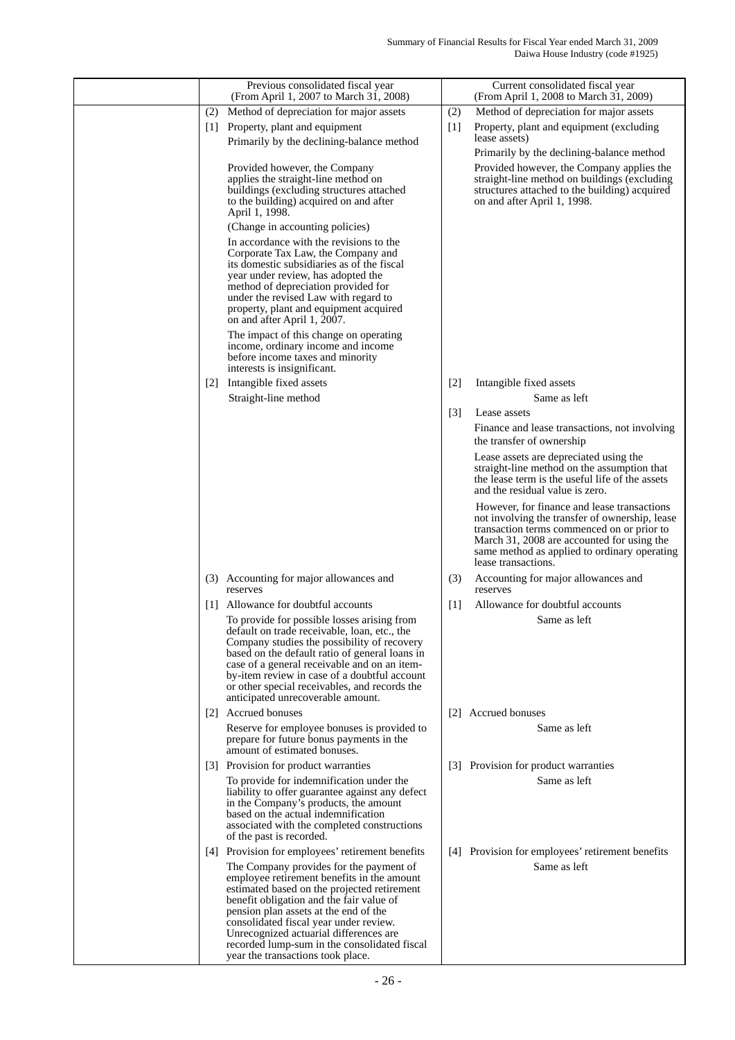| Previous consolidated fiscal year<br>(From April 1, 2007 to March 31, 2008)                                                                                                                                                                                                                                                                                                                        | Current consolidated fiscal year<br>(From April 1, 2008 to March 31, 2009)                                                                                                                                                                                       |
|----------------------------------------------------------------------------------------------------------------------------------------------------------------------------------------------------------------------------------------------------------------------------------------------------------------------------------------------------------------------------------------------------|------------------------------------------------------------------------------------------------------------------------------------------------------------------------------------------------------------------------------------------------------------------|
| Method of depreciation for major assets<br>(2)                                                                                                                                                                                                                                                                                                                                                     | (2)<br>Method of depreciation for major assets                                                                                                                                                                                                                   |
| Property, plant and equipment<br> 1                                                                                                                                                                                                                                                                                                                                                                | Property, plant and equipment (excluding<br>$[1]$<br>lease assets)                                                                                                                                                                                               |
| Primarily by the declining-balance method                                                                                                                                                                                                                                                                                                                                                          | Primarily by the declining-balance method                                                                                                                                                                                                                        |
| Provided however, the Company<br>applies the straight-line method on<br>buildings (excluding structures attached<br>to the building) acquired on and after<br>April 1, 1998.                                                                                                                                                                                                                       | Provided however, the Company applies the<br>straight-line method on buildings (excluding<br>structures attached to the building) acquired<br>on and after April 1, 1998.                                                                                        |
| (Change in accounting policies)                                                                                                                                                                                                                                                                                                                                                                    |                                                                                                                                                                                                                                                                  |
| In accordance with the revisions to the<br>Corporate Tax Law, the Company and<br>its domestic subsidiaries as of the fiscal<br>year under review, has adopted the<br>method of depreciation provided for<br>under the revised Law with regard to<br>property, plant and equipment acquired<br>on and after April 1, 2007.                                                                          |                                                                                                                                                                                                                                                                  |
| The impact of this change on operating<br>income, ordinary income and income<br>before income taxes and minority<br>interests is insignificant.                                                                                                                                                                                                                                                    |                                                                                                                                                                                                                                                                  |
| Intangible fixed assets<br> 2                                                                                                                                                                                                                                                                                                                                                                      | Intangible fixed assets<br>$\lceil 2 \rceil$                                                                                                                                                                                                                     |
| Straight-line method                                                                                                                                                                                                                                                                                                                                                                               | Same as left                                                                                                                                                                                                                                                     |
|                                                                                                                                                                                                                                                                                                                                                                                                    | $\lceil 3 \rceil$<br>Lease assets                                                                                                                                                                                                                                |
|                                                                                                                                                                                                                                                                                                                                                                                                    | Finance and lease transactions, not involving<br>the transfer of ownership                                                                                                                                                                                       |
|                                                                                                                                                                                                                                                                                                                                                                                                    | Lease assets are depreciated using the<br>straight-line method on the assumption that<br>the lease term is the useful life of the assets<br>and the residual value is zero.                                                                                      |
|                                                                                                                                                                                                                                                                                                                                                                                                    | However, for finance and lease transactions<br>not involving the transfer of ownership, lease<br>transaction terms commenced on or prior to<br>March 31, 2008 are accounted for using the<br>same method as applied to ordinary operating<br>lease transactions. |
| (3) Accounting for major allowances and<br>reserves                                                                                                                                                                                                                                                                                                                                                | (3)<br>Accounting for major allowances and<br>reserves                                                                                                                                                                                                           |
| $\lceil 1 \rceil$<br>Allowance for doubtful accounts                                                                                                                                                                                                                                                                                                                                               | Allowance for doubtful accounts<br>[1]                                                                                                                                                                                                                           |
| To provide for possible losses arising from<br>default on trade receivable, loan, etc., the<br>Company studies the possibility of recovery<br>based on the default ratio of general loans in<br>case of a general receivable and on an item-<br>by-item review in case of a doubtful account<br>or other special receivables, and records the<br>anticipated unrecoverable amount.                 | Same as left                                                                                                                                                                                                                                                     |
| Accrued bonuses<br> 2                                                                                                                                                                                                                                                                                                                                                                              | [2] Accrued bonuses                                                                                                                                                                                                                                              |
| Reserve for employee bonuses is provided to<br>prepare for future bonus payments in the<br>amount of estimated bonuses.                                                                                                                                                                                                                                                                            | Same as left                                                                                                                                                                                                                                                     |
| [3] Provision for product warranties                                                                                                                                                                                                                                                                                                                                                               | [3] Provision for product warranties                                                                                                                                                                                                                             |
| To provide for indemnification under the<br>liability to offer guarantee against any defect<br>in the Company's products, the amount<br>based on the actual indemnification<br>associated with the completed constructions<br>of the past is recorded.                                                                                                                                             | Same as left                                                                                                                                                                                                                                                     |
| [4] Provision for employees' retirement benefits                                                                                                                                                                                                                                                                                                                                                   | [4] Provision for employees' retirement benefits                                                                                                                                                                                                                 |
| The Company provides for the payment of<br>employee retirement benefits in the amount<br>estimated based on the projected retirement<br>benefit obligation and the fair value of<br>pension plan assets at the end of the<br>consolidated fiscal year under review.<br>Unrecognized actuarial differences are<br>recorded lump-sum in the consolidated fiscal<br>year the transactions took place. | Same as left                                                                                                                                                                                                                                                     |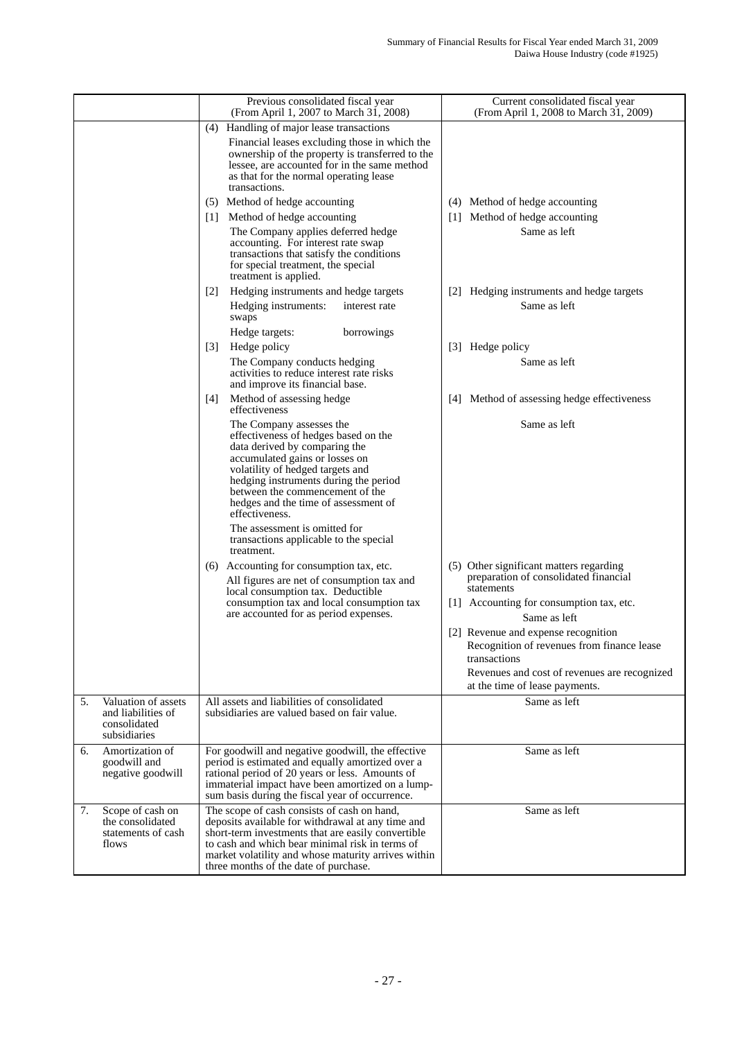|    |                                                                           | Previous consolidated fiscal year<br>(From April 1, 2007 to March 31, 2008)                                                                                                                                                                                                                                   | Current consolidated fiscal year<br>(From April 1, 2008 to March 31, 2009)                                                                                                          |
|----|---------------------------------------------------------------------------|---------------------------------------------------------------------------------------------------------------------------------------------------------------------------------------------------------------------------------------------------------------------------------------------------------------|-------------------------------------------------------------------------------------------------------------------------------------------------------------------------------------|
|    |                                                                           | (4) Handling of major lease transactions                                                                                                                                                                                                                                                                      |                                                                                                                                                                                     |
|    |                                                                           | Financial leases excluding those in which the<br>ownership of the property is transferred to the<br>lessee, are accounted for in the same method<br>as that for the normal operating lease<br>transactions.                                                                                                   |                                                                                                                                                                                     |
|    |                                                                           | (5) Method of hedge accounting                                                                                                                                                                                                                                                                                | (4) Method of hedge accounting                                                                                                                                                      |
|    |                                                                           | Method of hedge accounting<br> 1                                                                                                                                                                                                                                                                              | [1] Method of hedge accounting                                                                                                                                                      |
|    |                                                                           | The Company applies deferred hedge<br>accounting. For interest rate swap<br>transactions that satisfy the conditions<br>for special treatment, the special<br>treatment is applied.                                                                                                                           | Same as left                                                                                                                                                                        |
|    |                                                                           | Hedging instruments and hedge targets<br>$[2]$                                                                                                                                                                                                                                                                | Hedging instruments and hedge targets<br> 2                                                                                                                                         |
|    |                                                                           | Hedging instruments:<br>interest rate<br>swaps                                                                                                                                                                                                                                                                | Same as left                                                                                                                                                                        |
|    |                                                                           | Hedge targets:<br>borrowings                                                                                                                                                                                                                                                                                  |                                                                                                                                                                                     |
|    |                                                                           | Hedge policy<br>$\vert 3 \vert$                                                                                                                                                                                                                                                                               | [3] Hedge policy                                                                                                                                                                    |
|    |                                                                           | The Company conducts hedging<br>activities to reduce interest rate risks<br>and improve its financial base.                                                                                                                                                                                                   | Same as left                                                                                                                                                                        |
|    |                                                                           | Method of assessing hedge<br>[4]<br>effectiveness                                                                                                                                                                                                                                                             | [4] Method of assessing hedge effectiveness                                                                                                                                         |
|    |                                                                           | The Company assesses the<br>effectiveness of hedges based on the<br>data derived by comparing the<br>accumulated gains or losses on<br>volatility of hedged targets and<br>hedging instruments during the period<br>between the commencement of the<br>hedges and the time of assessment of<br>effectiveness. | Same as left                                                                                                                                                                        |
|    |                                                                           | The assessment is omitted for<br>transactions applicable to the special<br>treatment.                                                                                                                                                                                                                         |                                                                                                                                                                                     |
|    |                                                                           | (6) Accounting for consumption tax, etc.                                                                                                                                                                                                                                                                      | (5) Other significant matters regarding                                                                                                                                             |
|    |                                                                           | All figures are net of consumption tax and<br>local consumption tax. Deductible                                                                                                                                                                                                                               | preparation of consolidated financial<br>statements                                                                                                                                 |
|    |                                                                           | consumption tax and local consumption tax<br>are accounted for as period expenses.                                                                                                                                                                                                                            | [1] Accounting for consumption tax, etc.<br>Same as left                                                                                                                            |
|    |                                                                           |                                                                                                                                                                                                                                                                                                               | [2] Revenue and expense recognition<br>Recognition of revenues from finance lease<br>transactions<br>Revenues and cost of revenues are recognized<br>at the time of lease payments. |
| 5. | Valuation of assets<br>and liabilities of<br>consolidated<br>subsidiaries | All assets and liabilities of consolidated<br>subsidiaries are valued based on fair value.                                                                                                                                                                                                                    | Same as left                                                                                                                                                                        |
| 6. | Amortization of<br>goodwill and<br>negative goodwill                      | For goodwill and negative goodwill, the effective<br>period is estimated and equally amortized over a<br>rational period of 20 years or less. Amounts of<br>immaterial impact have been amortized on a lump-<br>sum basis during the fiscal year of occurrence.                                               | Same as left                                                                                                                                                                        |
| 7. | Scope of cash on<br>the consolidated<br>statements of cash<br>flows       | The scope of cash consists of cash on hand,<br>deposits available for withdrawal at any time and<br>short-term investments that are easily convertible<br>to cash and which bear minimal risk in terms of<br>market volatility and whose maturity arrives within<br>three months of the date of purchase.     | Same as left                                                                                                                                                                        |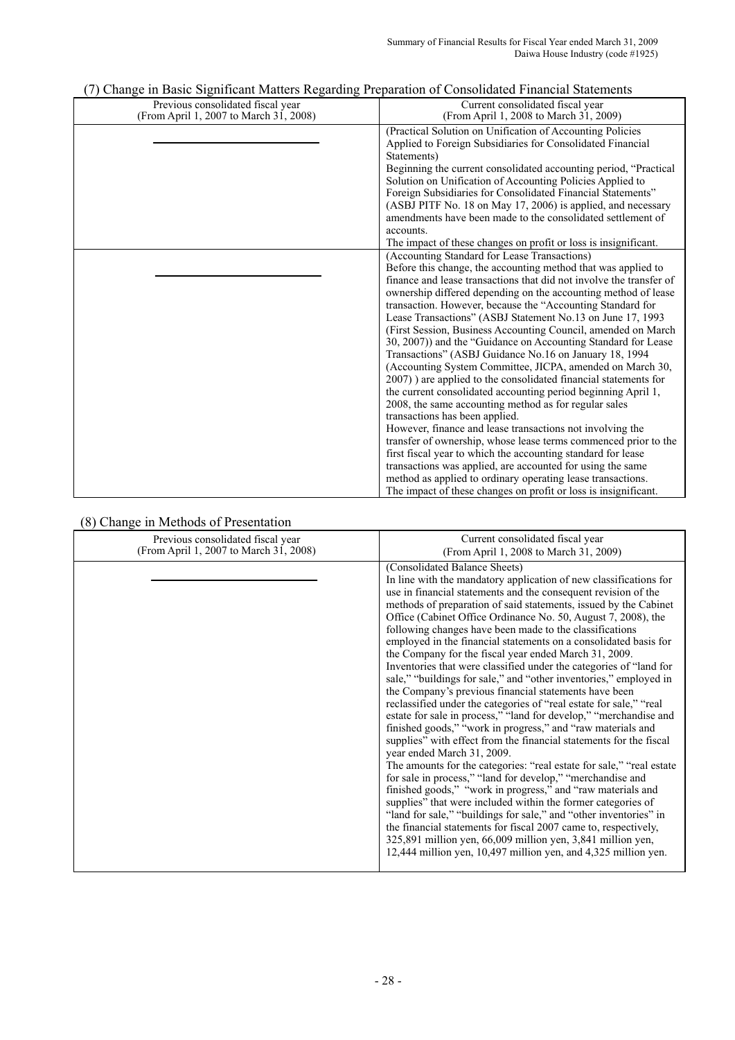| , , ,<br>The David Digital contractor regarding 1 reparation of Consolidated 1 material St<br>Previous consolidated fiscal year<br>(From April 1, 2007 to March 31, 2008) | Current consolidated fiscal year<br>(From April 1, 2008 to March 31, 2009)                                                                                                                                                                                                                                                                                                                                                                                                                                                                                                                                                                                                                                                                                                                                                                                                 |
|---------------------------------------------------------------------------------------------------------------------------------------------------------------------------|----------------------------------------------------------------------------------------------------------------------------------------------------------------------------------------------------------------------------------------------------------------------------------------------------------------------------------------------------------------------------------------------------------------------------------------------------------------------------------------------------------------------------------------------------------------------------------------------------------------------------------------------------------------------------------------------------------------------------------------------------------------------------------------------------------------------------------------------------------------------------|
|                                                                                                                                                                           | (Practical Solution on Unification of Accounting Policies<br>Applied to Foreign Subsidiaries for Consolidated Financial<br>Statements)                                                                                                                                                                                                                                                                                                                                                                                                                                                                                                                                                                                                                                                                                                                                     |
|                                                                                                                                                                           | Beginning the current consolidated accounting period, "Practical<br>Solution on Unification of Accounting Policies Applied to<br>Foreign Subsidiaries for Consolidated Financial Statements"<br>(ASBJ PITF No. 18 on May 17, 2006) is applied, and necessary                                                                                                                                                                                                                                                                                                                                                                                                                                                                                                                                                                                                               |
|                                                                                                                                                                           | amendments have been made to the consolidated settlement of<br>accounts.<br>The impact of these changes on profit or loss is insignificant.                                                                                                                                                                                                                                                                                                                                                                                                                                                                                                                                                                                                                                                                                                                                |
|                                                                                                                                                                           | (Accounting Standard for Lease Transactions)<br>Before this change, the accounting method that was applied to<br>finance and lease transactions that did not involve the transfer of<br>ownership differed depending on the accounting method of lease<br>transaction. However, because the "Accounting Standard for<br>Lease Transactions" (ASBJ Statement No.13 on June 17, 1993<br>(First Session, Business Accounting Council, amended on March<br>30, 2007)) and the "Guidance on Accounting Standard for Lease<br>Transactions" (ASBJ Guidance No.16 on January 18, 1994)<br>(Accounting System Committee, JICPA, amended on March 30,<br>2007) are applied to the consolidated financial statements for<br>the current consolidated accounting period beginning April 1,<br>2008, the same accounting method as for regular sales<br>transactions has been applied. |
|                                                                                                                                                                           | However, finance and lease transactions not involving the<br>transfer of ownership, whose lease terms commenced prior to the<br>first fiscal year to which the accounting standard for lease<br>transactions was applied, are accounted for using the same<br>method as applied to ordinary operating lease transactions.<br>The impact of these changes on profit or loss is insignificant.                                                                                                                                                                                                                                                                                                                                                                                                                                                                               |

### (7) Change in Basic Significant Matters Regarding Preparation of Consolidated Financial Statements

### (8) Change in Methods of Presentation

| o) Change in Methods of Freschlation                                        |                                                                                                                                                                                                                                                                                                                                                                                                                                                                                                                                                                                                                                                                                                                                                                                                                                                                                                                                                                                                                                                                                                                                                                                                                                                                                                                                                                                                                                                                                                                                                                    |
|-----------------------------------------------------------------------------|--------------------------------------------------------------------------------------------------------------------------------------------------------------------------------------------------------------------------------------------------------------------------------------------------------------------------------------------------------------------------------------------------------------------------------------------------------------------------------------------------------------------------------------------------------------------------------------------------------------------------------------------------------------------------------------------------------------------------------------------------------------------------------------------------------------------------------------------------------------------------------------------------------------------------------------------------------------------------------------------------------------------------------------------------------------------------------------------------------------------------------------------------------------------------------------------------------------------------------------------------------------------------------------------------------------------------------------------------------------------------------------------------------------------------------------------------------------------------------------------------------------------------------------------------------------------|
| Previous consolidated fiscal year<br>(From April 1, 2007 to March 31, 2008) | Current consolidated fiscal year<br>(From April 1, 2008 to March 31, 2009)                                                                                                                                                                                                                                                                                                                                                                                                                                                                                                                                                                                                                                                                                                                                                                                                                                                                                                                                                                                                                                                                                                                                                                                                                                                                                                                                                                                                                                                                                         |
|                                                                             | (Consolidated Balance Sheets)<br>In line with the mandatory application of new classifications for<br>use in financial statements and the consequent revision of the<br>methods of preparation of said statements, issued by the Cabinet<br>Office (Cabinet Office Ordinance No. 50, August 7, 2008), the<br>following changes have been made to the classifications<br>employed in the financial statements on a consolidated basis for<br>the Company for the fiscal year ended March 31, 2009.<br>Inventories that were classified under the categories of "land for<br>sale," "buildings for sale," and "other inventories," employed in<br>the Company's previous financial statements have been<br>reclassified under the categories of "real estate for sale," "real<br>estate for sale in process," "land for develop," "merchandise and<br>finished goods," "work in progress," and "raw materials and<br>supplies" with effect from the financial statements for the fiscal<br>year ended March 31, 2009.<br>The amounts for the categories: "real estate for sale," "real estate"<br>for sale in process," "land for develop," "merchandise and<br>finished goods," "work in progress," and "raw materials and<br>supplies" that were included within the former categories of<br>"land for sale," "buildings for sale," and "other inventories" in<br>the financial statements for fiscal 2007 came to, respectively,<br>325,891 million yen, 66,009 million yen, 3,841 million yen,<br>12,444 million yen, 10,497 million yen, and 4,325 million yen. |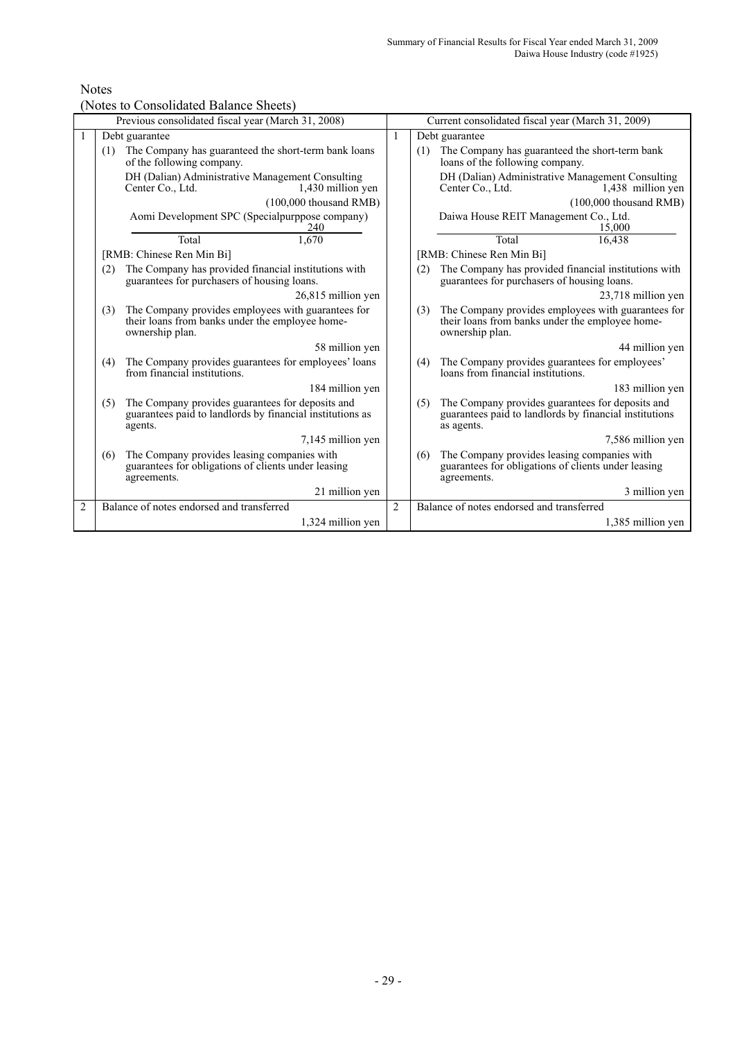## Notes

(Notes to Consolidated Balance Sheets)

|                |                                                                                          | Previous consolidated fiscal year (March 31, 2008)                                                                       |                | Current consolidated fiscal year (March 31, 2009)                                                                               |
|----------------|------------------------------------------------------------------------------------------|--------------------------------------------------------------------------------------------------------------------------|----------------|---------------------------------------------------------------------------------------------------------------------------------|
|                |                                                                                          | Debt guarantee                                                                                                           | 1              | Debt guarantee                                                                                                                  |
|                | The Company has guaranteed the short-term bank loans<br>(1)<br>of the following company. |                                                                                                                          |                | The Company has guaranteed the short-term bank<br>(1)<br>loans of the following company.                                        |
|                |                                                                                          | DH (Dalian) Administrative Management Consulting<br>Center Co., Ltd.<br>1,430 million yen                                |                | DH (Dalian) Administrative Management Consulting<br>Center Co., Ltd.<br>1,438 million yen                                       |
|                |                                                                                          | $(100,000)$ thousand RMB)                                                                                                |                | $(100,000)$ thousand RMB)                                                                                                       |
|                |                                                                                          | Aomi Development SPC (Specialpurppose company)<br>240                                                                    |                | Daiwa House REIT Management Co., Ltd.<br>15,000                                                                                 |
|                |                                                                                          | 1.670<br>Total                                                                                                           |                | Total<br>16,438                                                                                                                 |
|                |                                                                                          | [RMB: Chinese Ren Min Bi]                                                                                                |                | [RMB: Chinese Ren Min Bi]                                                                                                       |
|                | (2)                                                                                      | The Company has provided financial institutions with<br>guarantees for purchasers of housing loans.                      |                | The Company has provided financial institutions with<br>(2)<br>guarantees for purchasers of housing loans.                      |
|                |                                                                                          | 26,815 million yen                                                                                                       |                | 23,718 million yen                                                                                                              |
|                | (3)                                                                                      | The Company provides employees with guarantees for<br>their loans from banks under the employee home-<br>ownership plan. |                | The Company provides employees with guarantees for<br>(3)<br>their loans from banks under the employee home-<br>ownership plan. |
|                |                                                                                          | 58 million yen                                                                                                           |                | 44 million yen                                                                                                                  |
|                | (4)                                                                                      | The Company provides guarantees for employees' loans<br>from financial institutions.                                     |                | The Company provides guarantees for employees'<br>(4)<br>loans from financial institutions.                                     |
|                |                                                                                          | 184 million yen                                                                                                          |                | 183 million yen                                                                                                                 |
|                | (5)                                                                                      | The Company provides guarantees for deposits and<br>guarantees paid to landlords by financial institutions as<br>agents. |                | The Company provides guarantees for deposits and<br>(5)<br>guarantees paid to landlords by financial institutions<br>as agents. |
|                |                                                                                          | 7,145 million yen                                                                                                        |                | 7,586 million yen                                                                                                               |
|                | (6)                                                                                      | The Company provides leasing companies with<br>guarantees for obligations of clients under leasing<br>agreements.        |                | The Company provides leasing companies with<br>(6)<br>guarantees for obligations of clients under leasing<br>agreements.        |
|                |                                                                                          | 21 million yen                                                                                                           |                | 3 million yen                                                                                                                   |
| $\overline{2}$ |                                                                                          | Balance of notes endorsed and transferred                                                                                | $\overline{2}$ | Balance of notes endorsed and transferred                                                                                       |
|                |                                                                                          | 1,324 million yen                                                                                                        |                | 1,385 million yen                                                                                                               |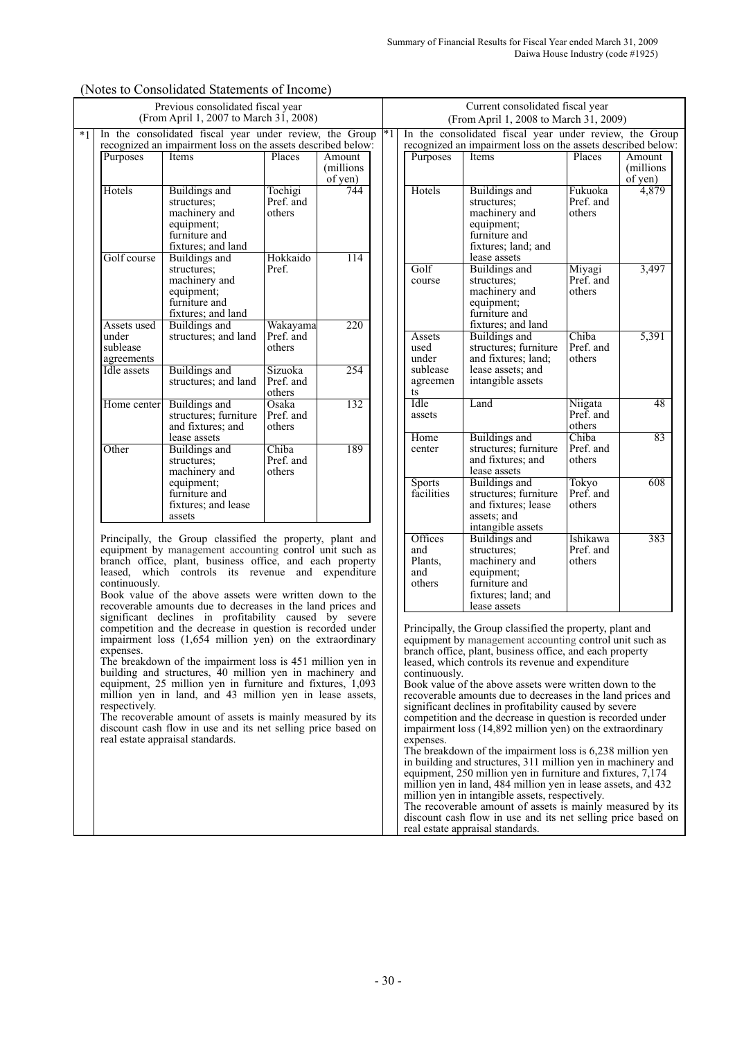|                                                | In the consolidated fiscal year under review, the Group<br>recognized an impairment loss on the assets described below: |                                 |                                |
|------------------------------------------------|-------------------------------------------------------------------------------------------------------------------------|---------------------------------|--------------------------------|
| Purposes                                       | Items                                                                                                                   | Places                          | Amount<br>(millions<br>of yen) |
| Hotels                                         | Buildings and<br>structures:<br>machinery and<br>equipment;<br>furniture and<br>fixtures; and land                      | Tochigi<br>Pref. and<br>others  | 744                            |
| Golf course                                    | Buildings and<br>structures:<br>machinery and<br>equipment;<br>furniture and<br>fixtures; and land                      | Hokkaido<br>Pref.               | 114                            |
| Assets used<br>under<br>sublease<br>agreements | Buildings and<br>structures; and land                                                                                   | Wakayama<br>Pref. and<br>others | 220                            |
| Idle assets                                    | Buildings and<br>structures; and land                                                                                   | Sizuoka<br>Pref. and<br>others  | 254                            |
| Home center                                    | Buildings and<br>structures; furniture<br>and fixtures; and<br>lease assets                                             | Osaka<br>Pref. and<br>others    | 132                            |
| Other                                          | Buildings and<br>structures;<br>machinery and<br>equipment;<br>furniture and<br>fixtures; and lease<br>assets           | Chiba<br>Pref. and<br>others    | 189                            |

(Notes to Consolidated Statements of Income)

Principally, the Group classified the property, plant and equipment by management accounting control unit such as branch office, plant, business office, and each property leased, which controls its revenue and expenditure continuously.

Book value of the above assets were written down to the recoverable amounts due to decreases in the land prices and significant declines in profitability caused by severe competition and the decrease in question is recorded under impairment loss (1,654 million yen) on the extraordinary expenses.

The breakdown of the impairment loss is 451 million yen in building and structures, 40 million yen in machinery and equipment, 25 million yen in furniture and fixtures, 1,093 million yen in land, and 43 million yen in lease assets, respectively.

The recoverable amount of assets is mainly measured by its discount cash flow in use and its net selling price based on real estate appraisal standards.

|            |                | Current consolidated fiscal year<br>(From April 1, 2008 to March 31, 2009) |           |                               |  |  |
|------------|----------------|----------------------------------------------------------------------------|-----------|-------------------------------|--|--|
| $^{\ast}1$ |                | In the consolidated fiscal year under review, the Group                    |           |                               |  |  |
|            |                | recognized an impairment loss on the assets described below:               |           |                               |  |  |
|            | Purposes       | Items                                                                      | Places    | Amount                        |  |  |
|            |                |                                                                            |           | (millions                     |  |  |
|            |                |                                                                            |           |                               |  |  |
|            | Hotels         | Buildings and                                                              | Fukuoka   | $\frac{\text{of yen}}{4,879}$ |  |  |
|            |                | structures;                                                                | Pref. and |                               |  |  |
|            |                | machinery and                                                              | others    |                               |  |  |
|            |                | equipment;                                                                 |           |                               |  |  |
|            |                | furniture and                                                              |           |                               |  |  |
|            |                | fixtures; land; and                                                        |           |                               |  |  |
|            |                | lease assets                                                               |           |                               |  |  |
|            | Golf           | Buildings and                                                              | Miyagi    | 3,497                         |  |  |
|            | course         | structures;                                                                | Pref. and |                               |  |  |
|            |                | machinery and                                                              | others    |                               |  |  |
|            |                | equipment;                                                                 |           |                               |  |  |
|            |                | furniture and                                                              |           |                               |  |  |
|            |                | fixtures; and land                                                         |           |                               |  |  |
|            | Assets         | Buildings and                                                              | Chiba     | 5,391                         |  |  |
|            | used           | structures; furniture                                                      | Pref. and |                               |  |  |
|            | under          | and fixtures; land;                                                        | others    |                               |  |  |
|            | sublease       | lease assets; and                                                          |           |                               |  |  |
|            | agreemen<br>ts | intangible assets                                                          |           |                               |  |  |
|            | Idle           | Land                                                                       | Niigata   | 48                            |  |  |
|            | assets         |                                                                            | Pref. and |                               |  |  |
|            |                |                                                                            | others    |                               |  |  |
|            | Home           | Buildings and                                                              | Chiba     | 83                            |  |  |
|            | center         | structures; furniture                                                      | Pref. and |                               |  |  |
|            |                | and fixtures; and                                                          | others    |                               |  |  |
|            |                | lease assets                                                               |           |                               |  |  |
|            | <b>Sports</b>  | Buildings and                                                              | Tokyo     | 608                           |  |  |
|            | facilities     | structures; furniture                                                      | Pref. and |                               |  |  |
|            |                | and fixtures; lease                                                        | others    |                               |  |  |
|            |                | assets; and                                                                |           |                               |  |  |
|            |                | intangible assets                                                          |           |                               |  |  |
|            | Offices        | Buildings and                                                              | Ishikawa  | 383                           |  |  |
|            | and            | structures;                                                                | Pref. and |                               |  |  |
|            | Plants,        | machinery and                                                              | others    |                               |  |  |
|            | and            | equipment;                                                                 |           |                               |  |  |
|            | others         | furniture and                                                              |           |                               |  |  |
|            |                | fixtures; land; and                                                        |           |                               |  |  |
|            |                | lease assets                                                               |           |                               |  |  |

Principally, the Group classified the property, plant and equipment by management accounting control unit such as branch office, plant, business office, and each property leased, which controls its revenue and expenditure continuously.

Book value of the above assets were written down to the recoverable amounts due to decreases in the land prices and significant declines in profitability caused by severe competition and the decrease in question is recorded under impairment loss  $(14,892 \text{ million yen})$  on the extraordinary expenses.

The breakdown of the impairment loss is 6,238 million yen in building and structures, 311 million yen in machinery and equipment, 250 million yen in furniture and fixtures, 7,174 million yen in land, 484 million yen in lease assets, and 432 million yen in intangible assets, respectively.

The recoverable amount of assets is mainly measured by its discount cash flow in use and its net selling price based on real estate appraisal standards.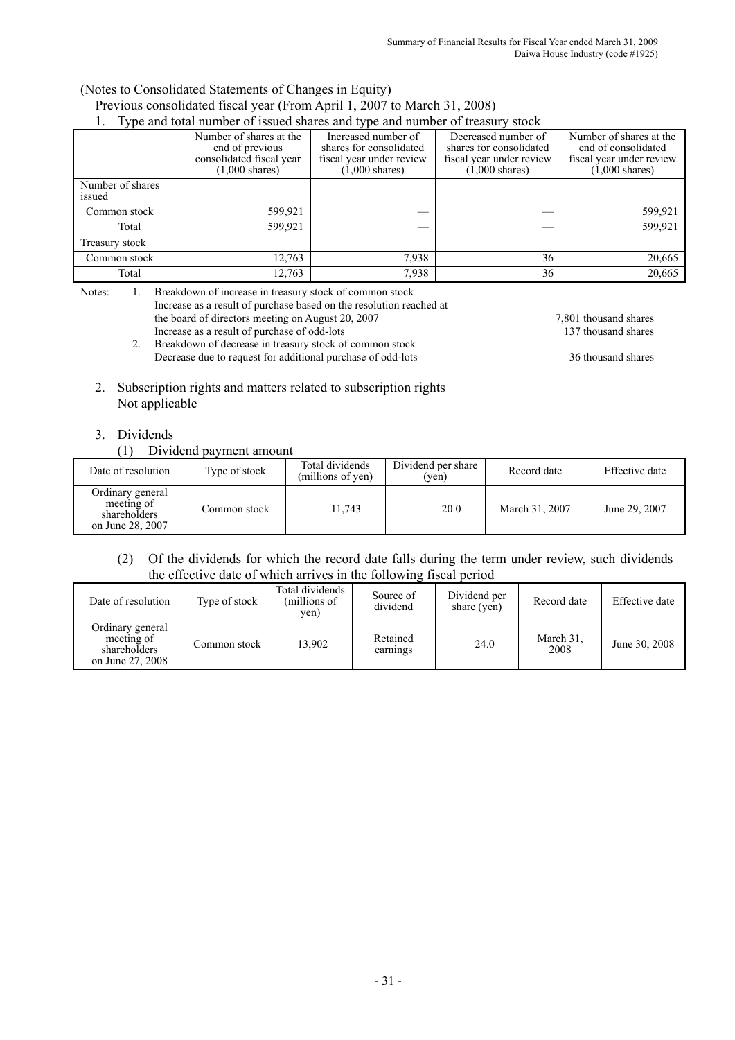# (Notes to Consolidated Statements of Changes in Equity) Previous consolidated fiscal year (From April 1, 2007 to March 31, 2008)

|                            | Type and total number of issued shares and type and number of treasury stock                       |                                                                                                        |                                                                                                        |                                                                                                        |  |  |  |
|----------------------------|----------------------------------------------------------------------------------------------------|--------------------------------------------------------------------------------------------------------|--------------------------------------------------------------------------------------------------------|--------------------------------------------------------------------------------------------------------|--|--|--|
|                            | Number of shares at the<br>end of previous<br>consolidated fiscal year<br>$(1,000 \text{ shares})$ | Increased number of<br>shares for consolidated<br>fiscal year under review<br>$(1,000 \text{ shares})$ | Decreased number of<br>shares for consolidated<br>fiscal year under review<br>$(1,000 \text{ shares})$ | Number of shares at the<br>end of consolidated<br>fiscal year under review<br>$(1,000 \text{ shares})$ |  |  |  |
| Number of shares<br>issued |                                                                                                    |                                                                                                        |                                                                                                        |                                                                                                        |  |  |  |
| Common stock               | 599,921                                                                                            |                                                                                                        |                                                                                                        | 599,921                                                                                                |  |  |  |
| Total                      | 599,921                                                                                            |                                                                                                        |                                                                                                        | 599,921                                                                                                |  |  |  |
| Treasury stock             |                                                                                                    |                                                                                                        |                                                                                                        |                                                                                                        |  |  |  |
| Common stock               | 12,763                                                                                             | 7,938                                                                                                  | 36                                                                                                     | 20,665                                                                                                 |  |  |  |
| Total                      | 12,763                                                                                             | 7,938                                                                                                  | 36                                                                                                     | 20,665                                                                                                 |  |  |  |

Notes: 1. Breakdown of increase in treasury stock of common stock

- Increase as a result of purchase based on the resolution reached at the board of directors meeting on August 20, 2007 7,801 thousand shares Increase as a result of purchase of odd-lots 137 thousand shares Increase as a result of purchase of odd-lots
	- 2. Breakdown of decrease in treasury stock of common stock Decrease due to request for additional purchase of odd-lots 36 thousand shares
- 
- 2. Subscription rights and matters related to subscription rights Not applicable

## 3. Dividends

### (1) Dividend payment amount

| Date of resolution                                                 | Type of stock | Total dividends<br>(millions of yen) | Dividend per share<br>(ven) | Record date    | Effective date |
|--------------------------------------------------------------------|---------------|--------------------------------------|-----------------------------|----------------|----------------|
| Ordinary general<br>meeting of<br>shareholders<br>on June 28, 2007 | Common stock  | 11.743                               | 20.0                        | March 31, 2007 | June 29, 2007  |

### (2) Of the dividends for which the record date falls during the term under review, such dividends the effective date of which arrives in the following fiscal period

| Date of resolution                                                 | Type of stock | Total dividends<br>(millions of<br>yen) | Source of<br>dividend | Dividend per<br>share (yen) | Record date       | Effective date |
|--------------------------------------------------------------------|---------------|-----------------------------------------|-----------------------|-----------------------------|-------------------|----------------|
| Ordinary general<br>meeting of<br>shareholders<br>on June 27, 2008 | Common stock  | 13.902                                  | Retained<br>earnings  | 24.0                        | March 31.<br>2008 | June 30, 2008  |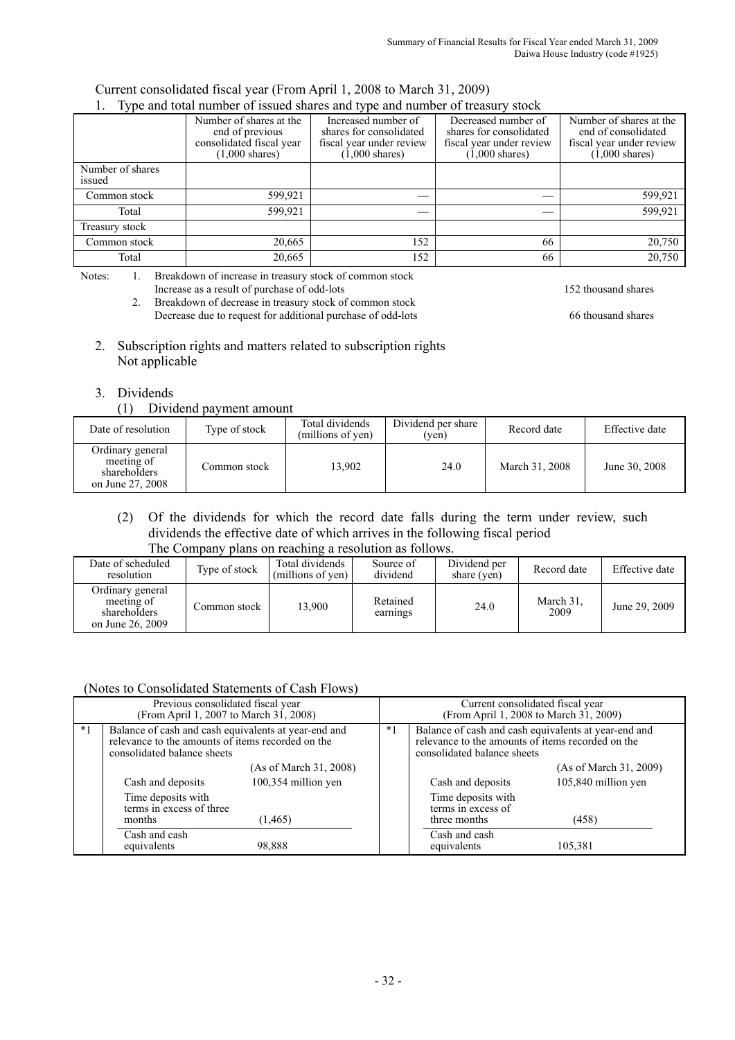#### Current consolidated fiscal year (From April 1, 2008 to March 31, 2009) 1. Type and total number of issued shares and type and number of treasury stock

|                            | 1. Type and total number of issued shares and type and number of treasury stock                    |                                                                                                        |                                                                                                        |                                                                                                        |  |  |  |
|----------------------------|----------------------------------------------------------------------------------------------------|--------------------------------------------------------------------------------------------------------|--------------------------------------------------------------------------------------------------------|--------------------------------------------------------------------------------------------------------|--|--|--|
|                            | Number of shares at the<br>end of previous<br>consolidated fiscal year<br>$(1,000 \text{ shares})$ | Increased number of<br>shares for consolidated<br>fiscal year under review<br>$(1,000 \text{ shares})$ | Decreased number of<br>shares for consolidated<br>fiscal year under review<br>$(1,000 \text{ shares})$ | Number of shares at the<br>end of consolidated<br>fiscal year under review<br>$(1,000 \text{ shares})$ |  |  |  |
| Number of shares<br>issued |                                                                                                    |                                                                                                        |                                                                                                        |                                                                                                        |  |  |  |
| Common stock               | 599,921                                                                                            |                                                                                                        |                                                                                                        | 599,921                                                                                                |  |  |  |
| Total                      | 599,921                                                                                            |                                                                                                        |                                                                                                        | 599,921                                                                                                |  |  |  |
| Treasury stock             |                                                                                                    |                                                                                                        |                                                                                                        |                                                                                                        |  |  |  |
| Common stock               | 20,665                                                                                             | 152                                                                                                    | 66                                                                                                     | 20,750                                                                                                 |  |  |  |
| Total                      | 20,665                                                                                             | 152                                                                                                    | 66                                                                                                     | 20,750                                                                                                 |  |  |  |

Notes: 1. Breakdown of increase in treasury stock of common stock

Increase as a result of purchase of odd-lots 152 thousand shares

2. Breakdown of decrease in treasury stock of common stock Decrease due to request for additional purchase of odd-lots 66 thousand shares

- 2. Subscription rights and matters related to subscription rights Not applicable
- 3. Dividends

### (1) Dividend payment amount

| Date of resolution                                                 | Type of stock | Total dividends<br>(millions of yen) | Dividend per share<br>(yen) | Record date    | Effective date |
|--------------------------------------------------------------------|---------------|--------------------------------------|-----------------------------|----------------|----------------|
| Ordinary general<br>meeting of<br>shareholders<br>on June 27, 2008 | Common stock  | 13.902                               | 24.0                        | March 31, 2008 | June 30, 2008  |

(2) Of the dividends for which the record date falls during the term under review, such dividends the effective date of which arrives in the following fiscal period The Company plans on reaching a resolution as follows.

| THE Company plans on reaching a resolution as follows.             |               |                                               |                       |                             |                   |                |  |  |  |
|--------------------------------------------------------------------|---------------|-----------------------------------------------|-----------------------|-----------------------------|-------------------|----------------|--|--|--|
| Date of scheduled<br>resolution                                    | Type of stock | Total dividends<br>(millions of yen) $\vdash$ | Source of<br>dividend | Dividend per<br>share (yen) | Record date       | Effective date |  |  |  |
| Ordinary general<br>meeting of<br>shareholders<br>on June 26, 2009 | Common stock  | 13.900                                        | Retained<br>earnings  | 24.0                        | March 31.<br>2009 | June 29, 2009  |  |  |  |

## (Notes to Consolidated Statements of Cash Flows)

|      | Previous consolidated fiscal year<br>(From April 1, 2007 to March 31, 2008)                                                              |                        | Current consolidated fiscal year<br>(From April 1, 2008 to March 31, 2009) |                                                                                                                                          |                        |  |
|------|------------------------------------------------------------------------------------------------------------------------------------------|------------------------|----------------------------------------------------------------------------|------------------------------------------------------------------------------------------------------------------------------------------|------------------------|--|
| $*1$ | Balance of cash and cash equivalents at year-end and<br>relevance to the amounts of items recorded on the<br>consolidated balance sheets |                        | $*1$                                                                       | Balance of cash and cash equivalents at year-end and<br>relevance to the amounts of items recorded on the<br>consolidated balance sheets |                        |  |
|      |                                                                                                                                          | (As of March 31, 2008) |                                                                            |                                                                                                                                          | (As of March 31, 2009) |  |
|      | Cash and deposits                                                                                                                        | 100,354 million yen    |                                                                            | Cash and deposits                                                                                                                        | 105,840 million yen    |  |
|      | Time deposits with<br>terms in excess of three<br>months                                                                                 | (1, 465)               |                                                                            | Time deposits with<br>terms in excess of<br>three months                                                                                 | (458)                  |  |
|      | Cash and cash<br>equivalents                                                                                                             | 98,888                 |                                                                            | Cash and cash<br>equivalents                                                                                                             | 105,381                |  |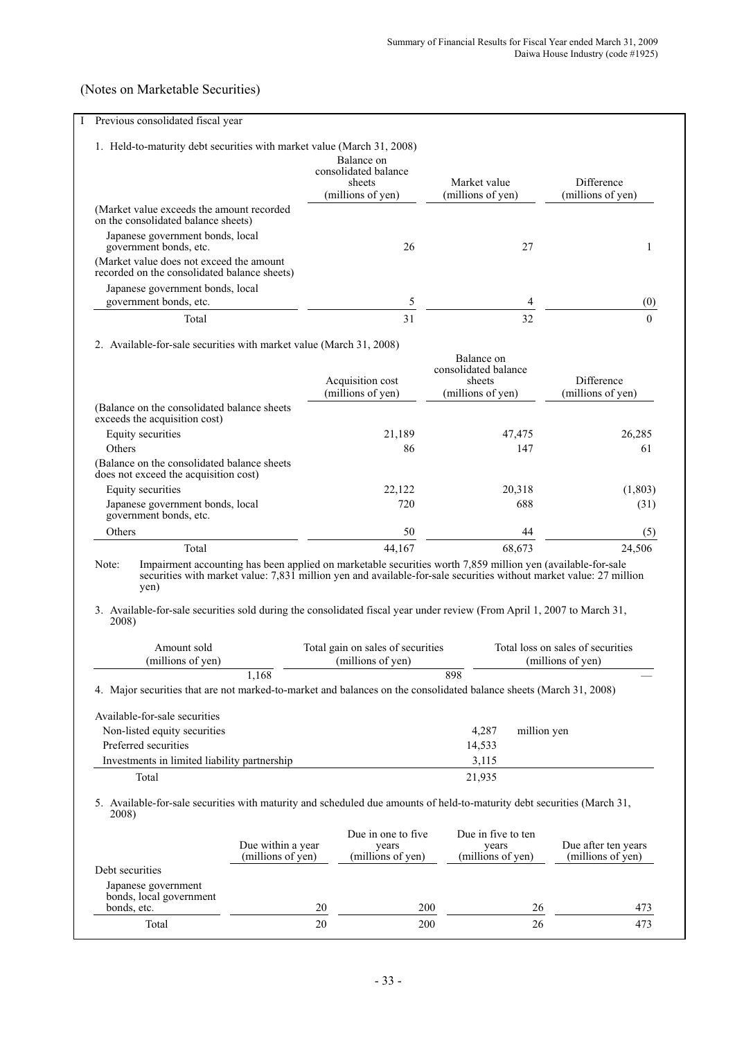# (Notes on Marketable Securities)

| Previous consolidated fiscal year                                                                                                                                                   |                   |                                                                   |                                                                                                                             |                                                                                                                    |
|-------------------------------------------------------------------------------------------------------------------------------------------------------------------------------------|-------------------|-------------------------------------------------------------------|-----------------------------------------------------------------------------------------------------------------------------|--------------------------------------------------------------------------------------------------------------------|
| 1. Held-to-maturity debt securities with market value (March 31, 2008)                                                                                                              |                   | Balance on<br>consolidated balance<br>sheets<br>(millions of yen) | Market value<br>(millions of yen)                                                                                           | Difference<br>(millions of yen)                                                                                    |
| (Market value exceeds the amount recorded                                                                                                                                           |                   |                                                                   |                                                                                                                             |                                                                                                                    |
| on the consolidated balance sheets)<br>Japanese government bonds, local<br>government bonds, etc.<br>(Market value does not exceed the amount                                       |                   | 26                                                                | 27                                                                                                                          | 1                                                                                                                  |
| recorded on the consolidated balance sheets)                                                                                                                                        |                   |                                                                   |                                                                                                                             |                                                                                                                    |
| Japanese government bonds, local<br>government bonds, etc.                                                                                                                          |                   | 5                                                                 | 4                                                                                                                           | $\left( 0\right)$                                                                                                  |
| Total                                                                                                                                                                               |                   | 31                                                                | 32                                                                                                                          | $\Omega$                                                                                                           |
| 2. Available-for-sale securities with market value (March 31, 2008)                                                                                                                 |                   |                                                                   |                                                                                                                             |                                                                                                                    |
|                                                                                                                                                                                     |                   | Acquisition cost<br>(millions of yen)                             | Balance on<br>consolidated balance<br>sheets<br>(millions of yen)                                                           | Difference<br>(millions of yen)                                                                                    |
| (Balance on the consolidated balance sheets)<br>exceeds the acquisition cost)                                                                                                       |                   |                                                                   |                                                                                                                             |                                                                                                                    |
| Equity securities                                                                                                                                                                   |                   | 21,189                                                            | 47,475                                                                                                                      | 26,285                                                                                                             |
| Others<br>(Balance on the consolidated balance sheets)<br>does not exceed the acquisition cost)                                                                                     |                   | 86                                                                | 147                                                                                                                         | 61                                                                                                                 |
| Equity securities                                                                                                                                                                   |                   | 22,122                                                            | 20,318                                                                                                                      | (1,803)                                                                                                            |
| Japanese government bonds, local<br>government bonds, etc.                                                                                                                          |                   | 720                                                               | 688                                                                                                                         | (31)                                                                                                               |
|                                                                                                                                                                                     |                   |                                                                   |                                                                                                                             |                                                                                                                    |
| Others<br>Total                                                                                                                                                                     |                   | 50<br>44,167                                                      | 44<br>68,673<br>Impairment accounting has been applied on marketable securities worth 7,859 million yen (available-for-sale | (5)<br>24,506                                                                                                      |
| yen)<br>2008)                                                                                                                                                                       |                   |                                                                   |                                                                                                                             | securities with market value: 7,831 million yen and available-for-sale securities without market value: 27 million |
| Note:<br>3. Available-for-sale securities sold during the consolidated fiscal year under review (From April 1, 2007 to March 31,<br>Amount sold<br>(millions of yen)                |                   | Total gain on sales of securities<br>(millions of yen)            |                                                                                                                             | Total loss on sales of securities<br>(millions of yen)                                                             |
|                                                                                                                                                                                     | 1,168             |                                                                   | 898                                                                                                                         |                                                                                                                    |
|                                                                                                                                                                                     |                   |                                                                   |                                                                                                                             |                                                                                                                    |
|                                                                                                                                                                                     |                   |                                                                   |                                                                                                                             |                                                                                                                    |
| 4. Major securities that are not marked-to-market and balances on the consolidated balance sheets (March 31, 2008)<br>Available-for-sale securities<br>Non-listed equity securities |                   |                                                                   | 4,287                                                                                                                       | million yen                                                                                                        |
| Preferred securities                                                                                                                                                                |                   |                                                                   | 14,533                                                                                                                      |                                                                                                                    |
| Investments in limited liability partnership                                                                                                                                        |                   |                                                                   | 3,115                                                                                                                       |                                                                                                                    |
| Total<br>5. Available-for-sale securities with maturity and scheduled due amounts of held-to-maturity debt securities (March 31,<br>2008)                                           |                   |                                                                   | 21,935                                                                                                                      |                                                                                                                    |
|                                                                                                                                                                                     | Due within a year | Due in one to five<br>years                                       | Due in five to ten<br>years                                                                                                 | Due after ten years                                                                                                |
| Debt securities                                                                                                                                                                     | (millions of yen) | (millions of yen)                                                 | (millions of yen)                                                                                                           | (millions of yen)                                                                                                  |
| Japanese government<br>bonds, local government                                                                                                                                      |                   |                                                                   |                                                                                                                             |                                                                                                                    |
| bonds, etc.<br>Total                                                                                                                                                                | 20<br>20          | 200<br>200                                                        |                                                                                                                             | 26<br>473<br>26<br>473                                                                                             |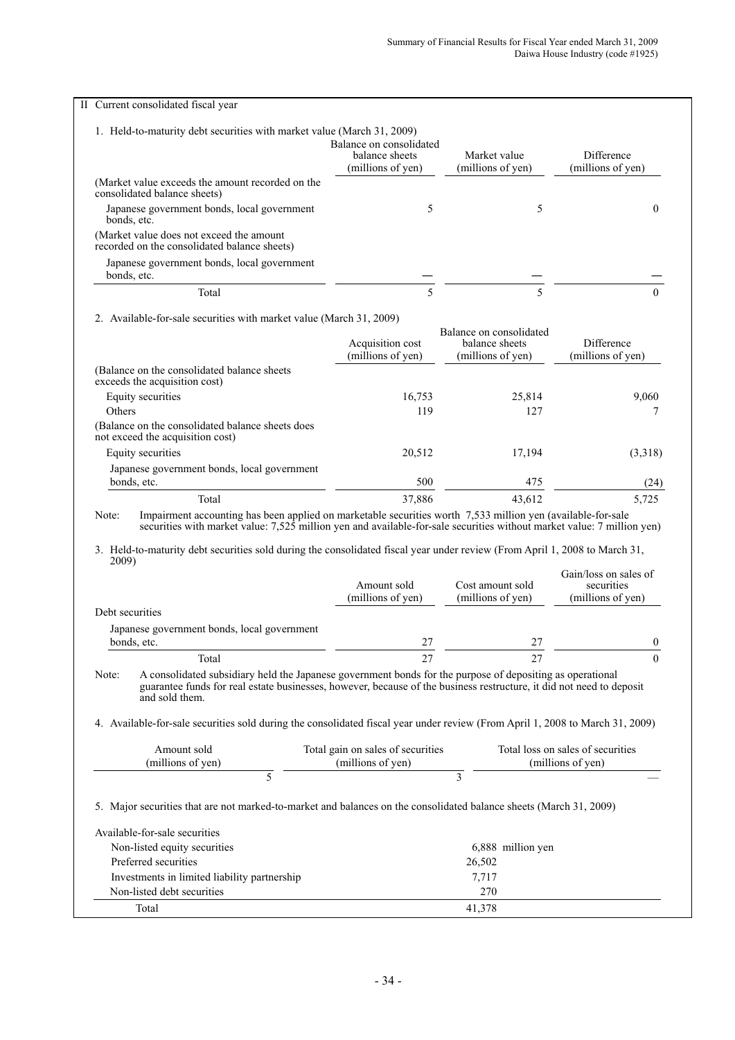|                 | II Current consolidated fiscal year                                                                                                                                                                                                                                                                                                                                 |                                                        |                                                                |                                                        |
|-----------------|---------------------------------------------------------------------------------------------------------------------------------------------------------------------------------------------------------------------------------------------------------------------------------------------------------------------------------------------------------------------|--------------------------------------------------------|----------------------------------------------------------------|--------------------------------------------------------|
|                 | 1. Held-to-maturity debt securities with market value (March 31, 2009)                                                                                                                                                                                                                                                                                              | Balance on consolidated<br>balance sheets              | Market value                                                   | Difference                                             |
|                 |                                                                                                                                                                                                                                                                                                                                                                     | (millions of yen)                                      | (millions of yen)                                              | (millions of yen)                                      |
|                 | (Market value exceeds the amount recorded on the<br>consolidated balance sheets)                                                                                                                                                                                                                                                                                    |                                                        |                                                                |                                                        |
| bonds, etc.     | Japanese government bonds, local government                                                                                                                                                                                                                                                                                                                         | 5                                                      | 5                                                              | $\theta$                                               |
|                 | (Market value does not exceed the amount<br>recorded on the consolidated balance sheets)                                                                                                                                                                                                                                                                            |                                                        |                                                                |                                                        |
| bonds, etc.     | Japanese government bonds, local government                                                                                                                                                                                                                                                                                                                         |                                                        |                                                                |                                                        |
|                 | Total                                                                                                                                                                                                                                                                                                                                                               | 5                                                      | 5                                                              | $\Omega$                                               |
|                 | 2. Available-for-sale securities with market value (March 31, 2009)                                                                                                                                                                                                                                                                                                 |                                                        |                                                                |                                                        |
|                 |                                                                                                                                                                                                                                                                                                                                                                     | Acquisition cost<br>(millions of yen)                  | Balance on consolidated<br>balance sheets<br>(millions of yen) | Difference<br>(millions of yen)                        |
|                 | (Balance on the consolidated balance sheets<br>exceeds the acquisition cost)                                                                                                                                                                                                                                                                                        |                                                        |                                                                |                                                        |
|                 | Equity securities                                                                                                                                                                                                                                                                                                                                                   | 16,753                                                 | 25,814                                                         | 9,060                                                  |
| Others          |                                                                                                                                                                                                                                                                                                                                                                     | 119                                                    | 127                                                            | 7                                                      |
|                 | (Balance on the consolidated balance sheets does<br>not exceed the acquisition cost)                                                                                                                                                                                                                                                                                |                                                        |                                                                |                                                        |
|                 | Equity securities                                                                                                                                                                                                                                                                                                                                                   | 20,512                                                 | 17,194                                                         | (3,318)                                                |
| bonds, etc.     | Japanese government bonds, local government                                                                                                                                                                                                                                                                                                                         | 500                                                    | 475                                                            | (24)                                                   |
|                 | Total                                                                                                                                                                                                                                                                                                                                                               | 37,886                                                 | 43,612                                                         | 5,725                                                  |
| Note:           | Impairment accounting has been applied on marketable securities worth 7,533 million yen (available-for-sale<br>securities with market value: 7,525 million yen and available-for-sale securities without market value: 7 million yen)<br>3. Held-to-maturity debt securities sold during the consolidated fiscal year under review (From April 1, 2008 to March 31, |                                                        |                                                                |                                                        |
| 2009)           |                                                                                                                                                                                                                                                                                                                                                                     | Amount sold                                            | Cost amount sold                                               | Gain/loss on sales of<br>securities                    |
| Debt securities |                                                                                                                                                                                                                                                                                                                                                                     | (millions of yen)                                      | (millions of yen)                                              | (millions of yen)                                      |
| bonds, etc.     | Japanese government bonds, local government                                                                                                                                                                                                                                                                                                                         | 27                                                     | 27                                                             |                                                        |
|                 | Total                                                                                                                                                                                                                                                                                                                                                               | 27                                                     | 27                                                             |                                                        |
| Note:           | A consolidated subsidiary held the Japanese government bonds for the purpose of depositing as operational<br>guarantee funds for real estate businesses, however, because of the business restructure, it did not need to deposit<br>and sold them.                                                                                                                 |                                                        |                                                                |                                                        |
|                 | 4. Available-for-sale securities sold during the consolidated fiscal year under review (From April 1, 2008 to March 31, 2009)                                                                                                                                                                                                                                       |                                                        |                                                                | 0<br>$\boldsymbol{0}$                                  |
|                 | Amount sold<br>(millions of yen)                                                                                                                                                                                                                                                                                                                                    | Total gain on sales of securities<br>(millions of yen) |                                                                | Total loss on sales of securities<br>(millions of yen) |
|                 | 5                                                                                                                                                                                                                                                                                                                                                                   |                                                        | 3                                                              |                                                        |
|                 | 5. Major securities that are not marked-to-market and balances on the consolidated balance sheets (March 31, 2009)                                                                                                                                                                                                                                                  |                                                        |                                                                |                                                        |
|                 | Available-for-sale securities                                                                                                                                                                                                                                                                                                                                       |                                                        |                                                                |                                                        |
|                 | Non-listed equity securities                                                                                                                                                                                                                                                                                                                                        |                                                        | 6,888 million yen                                              |                                                        |
|                 | Preferred securities                                                                                                                                                                                                                                                                                                                                                |                                                        | 26,502                                                         |                                                        |
|                 | Investments in limited liability partnership                                                                                                                                                                                                                                                                                                                        |                                                        | 7,717                                                          |                                                        |
|                 | Non-listed debt securities<br>Total                                                                                                                                                                                                                                                                                                                                 |                                                        | 270<br>41,378                                                  |                                                        |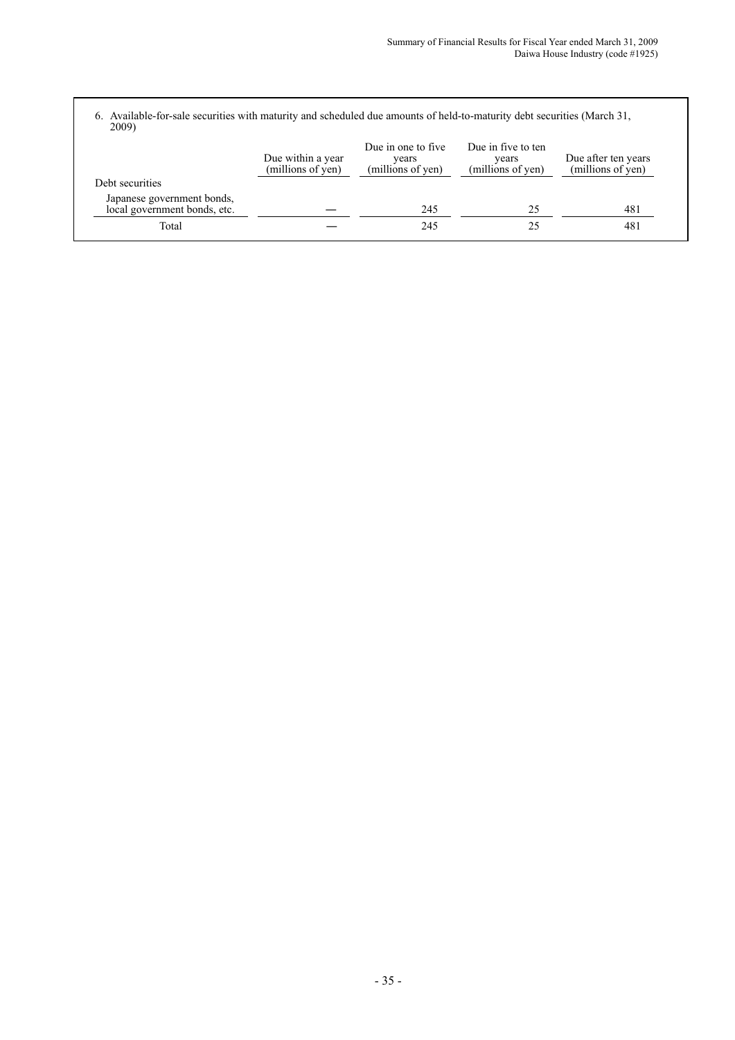6. Available-for-sale securities with maturity and scheduled due amounts of held-to-maturity debt securities (March 31, 2009)

|                                                            | Due within a year<br>(millions of yen) | Due in one to five.<br>years<br>(millions of yen) | Due in five to ten<br>vears<br>(millions of yen) | Due after ten years<br>(millions of yen) |
|------------------------------------------------------------|----------------------------------------|---------------------------------------------------|--------------------------------------------------|------------------------------------------|
| Debt securities                                            |                                        |                                                   |                                                  |                                          |
| Japanese government bonds,<br>local government bonds, etc. |                                        | 245                                               | 25                                               | 481                                      |
| Total                                                      |                                        | 245                                               | 25                                               | 481                                      |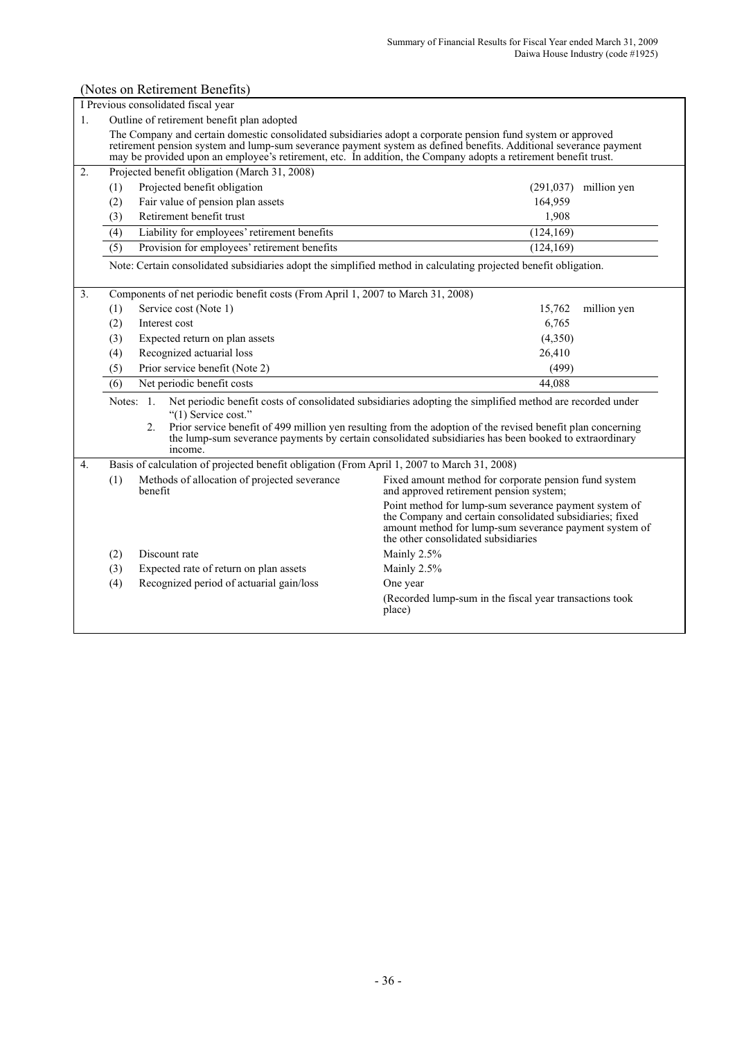#### (Notes on Retirement Benefits) I Previous consolidated fiscal year 1. Outline of retirement benefit plan adopted The Company and certain domestic consolidated subsidiaries adopt a corporate pension fund system or approved retirement pension system and lump-sum severance payment system as defined benefits. Additional severance payment may be provided upon an employee's retirement, etc. In addition, the Company adopts a retirement benefit trust. 2. Projected benefit obligation (March 31, 2008) (1) Projected benefit obligation (291,037) million yen (2) Fair value of pension plan assets 164,959 (3) Retirement benefit trust 1,908 (4) Liability for employees' retirement benefits (124,169) (5) Provision for employees' retirement benefits (124,169) Note: Certain consolidated subsidiaries adopt the simplified method in calculating projected benefit obligation. 3. Components of net periodic benefit costs (From April 1, 2007 to March 31, 2008) (1) Service cost (Note 1) 15,762 million yen (2) Interest cost 6,765 (3) Expected return on plan assets (4,350) (4) Recognized actuarial loss 26,410 (5) Prior service benefit (Note 2) (499) (6) Net periodic benefit costs 44,088 Notes: 1. Net periodic benefit costs of consolidated subsidiaries adopting the simplified method are recorded under "(1) Service cost." 2. Prior service benefit of 499 million yen resulting from the adoption of the revised benefit plan concerning the lump-sum severance payments by certain consolidated subsidiaries has been booked to extraordinary income. 4. Basis of calculation of projected benefit obligation (From April 1, 2007 to March 31, 2008) (1) Methods of allocation of projected severance benefit Fixed amount method for corporate pension fund system and approved retirement pension system; Point method for lump-sum severance payment system of the Company and certain consolidated subsidiaries; fixed amount method for lump-sum severance payment system of the other consolidated subsidiaries (2) Discount rate Mainly 2.5% (3) Expected rate of return on plan assets Mainly 2.5% (4) Recognized period of actuarial gain/loss One year (Recorded lump-sum in the fiscal year transactions took place)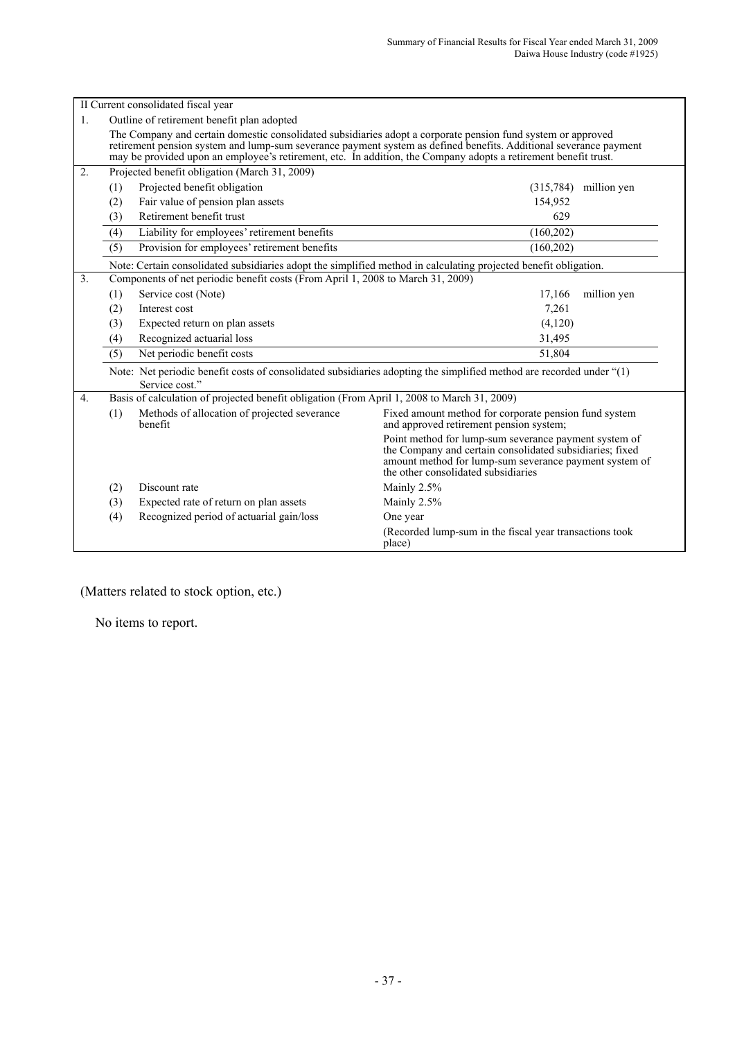|    |                                                                                                                                                                                                                                                                                                                                                      | II Current consolidated fiscal year                                                                                                    |                                                                                                                                                                                                                    |             |  |  |  |  |
|----|------------------------------------------------------------------------------------------------------------------------------------------------------------------------------------------------------------------------------------------------------------------------------------------------------------------------------------------------------|----------------------------------------------------------------------------------------------------------------------------------------|--------------------------------------------------------------------------------------------------------------------------------------------------------------------------------------------------------------------|-------------|--|--|--|--|
| 1. |                                                                                                                                                                                                                                                                                                                                                      | Outline of retirement benefit plan adopted                                                                                             |                                                                                                                                                                                                                    |             |  |  |  |  |
|    | The Company and certain domestic consolidated subsidiaries adopt a corporate pension fund system or approved<br>retirement pension system and lump-sum severance payment system as defined benefits. Additional severance payment<br>may be provided upon an employee's retirement, etc. In addition, the Company adopts a retirement benefit trust. |                                                                                                                                        |                                                                                                                                                                                                                    |             |  |  |  |  |
| 2. | Projected benefit obligation (March 31, 2009)                                                                                                                                                                                                                                                                                                        |                                                                                                                                        |                                                                                                                                                                                                                    |             |  |  |  |  |
|    | (1)                                                                                                                                                                                                                                                                                                                                                  | Projected benefit obligation                                                                                                           | (315,784)                                                                                                                                                                                                          | million yen |  |  |  |  |
|    | (2)                                                                                                                                                                                                                                                                                                                                                  | Fair value of pension plan assets                                                                                                      | 154,952                                                                                                                                                                                                            |             |  |  |  |  |
|    | (3)                                                                                                                                                                                                                                                                                                                                                  | Retirement benefit trust                                                                                                               | 629                                                                                                                                                                                                                |             |  |  |  |  |
|    | (4)                                                                                                                                                                                                                                                                                                                                                  | Liability for employees' retirement benefits                                                                                           | (160, 202)                                                                                                                                                                                                         |             |  |  |  |  |
|    | (5)                                                                                                                                                                                                                                                                                                                                                  | Provision for employees' retirement benefits                                                                                           | (160, 202)                                                                                                                                                                                                         |             |  |  |  |  |
|    |                                                                                                                                                                                                                                                                                                                                                      | Note: Certain consolidated subsidiaries adopt the simplified method in calculating projected benefit obligation.                       |                                                                                                                                                                                                                    |             |  |  |  |  |
| 3. |                                                                                                                                                                                                                                                                                                                                                      | Components of net periodic benefit costs (From April 1, 2008 to March 31, 2009)                                                        |                                                                                                                                                                                                                    |             |  |  |  |  |
|    | (1)                                                                                                                                                                                                                                                                                                                                                  | Service cost (Note)                                                                                                                    | 17,166                                                                                                                                                                                                             | million yen |  |  |  |  |
|    | (2)                                                                                                                                                                                                                                                                                                                                                  | Interest cost                                                                                                                          | 7,261                                                                                                                                                                                                              |             |  |  |  |  |
|    | (3)                                                                                                                                                                                                                                                                                                                                                  | Expected return on plan assets                                                                                                         | (4,120)                                                                                                                                                                                                            |             |  |  |  |  |
|    | (4)                                                                                                                                                                                                                                                                                                                                                  | Recognized actuarial loss                                                                                                              | 31,495                                                                                                                                                                                                             |             |  |  |  |  |
|    | (5)                                                                                                                                                                                                                                                                                                                                                  | Net periodic benefit costs                                                                                                             | 51,804                                                                                                                                                                                                             |             |  |  |  |  |
|    |                                                                                                                                                                                                                                                                                                                                                      | Note: Net periodic benefit costs of consolidated subsidiaries adopting the simplified method are recorded under "(1)<br>Service cost." |                                                                                                                                                                                                                    |             |  |  |  |  |
| 4. |                                                                                                                                                                                                                                                                                                                                                      | Basis of calculation of projected benefit obligation (From April 1, 2008 to March 31, 2009)                                            |                                                                                                                                                                                                                    |             |  |  |  |  |
|    | (1)                                                                                                                                                                                                                                                                                                                                                  | Methods of allocation of projected severance<br>benefit                                                                                | Fixed amount method for corporate pension fund system<br>and approved retirement pension system;                                                                                                                   |             |  |  |  |  |
|    |                                                                                                                                                                                                                                                                                                                                                      |                                                                                                                                        | Point method for lump-sum severance payment system of<br>the Company and certain consolidated subsidiaries; fixed<br>amount method for lump-sum severance payment system of<br>the other consolidated subsidiaries |             |  |  |  |  |
|    | (2)                                                                                                                                                                                                                                                                                                                                                  | Discount rate                                                                                                                          | Mainly 2.5%                                                                                                                                                                                                        |             |  |  |  |  |
|    | (3)                                                                                                                                                                                                                                                                                                                                                  | Expected rate of return on plan assets                                                                                                 | Mainly 2.5%                                                                                                                                                                                                        |             |  |  |  |  |
|    | (4)                                                                                                                                                                                                                                                                                                                                                  | Recognized period of actuarial gain/loss                                                                                               | One year                                                                                                                                                                                                           |             |  |  |  |  |
|    |                                                                                                                                                                                                                                                                                                                                                      |                                                                                                                                        | (Recorded lump-sum in the fiscal year transactions took<br>place)                                                                                                                                                  |             |  |  |  |  |

(Matters related to stock option, etc.)

No items to report.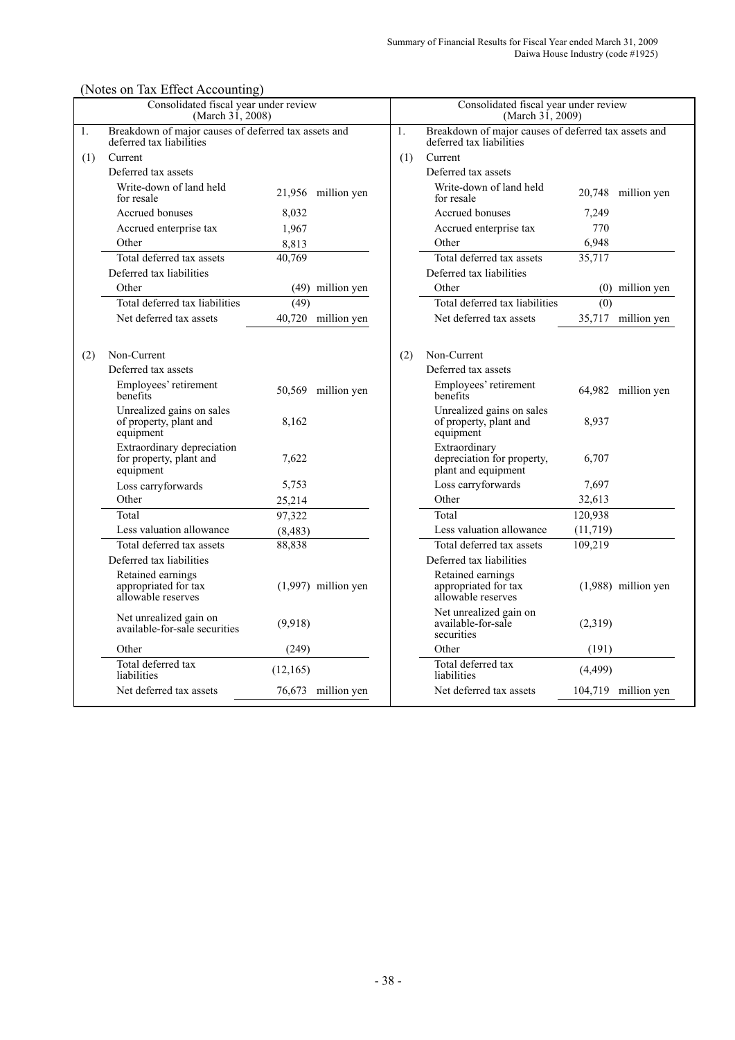# (Notes on Tax Effect Accounting)

|     | Consolidated fiscal year under review<br>(March 31, 2008)                        |           |                       | Consolidated fiscal year under review<br>(March 31, 2009) |                                                                                  |           |                       |
|-----|----------------------------------------------------------------------------------|-----------|-----------------------|-----------------------------------------------------------|----------------------------------------------------------------------------------|-----------|-----------------------|
| 1.  | Breakdown of major causes of deferred tax assets and<br>deferred tax liabilities |           |                       | 1.                                                        | Breakdown of major causes of deferred tax assets and<br>deferred tax liabilities |           |                       |
| (1) | Current                                                                          |           |                       | (1)                                                       | Current                                                                          |           |                       |
|     | Deferred tax assets                                                              |           |                       |                                                           | Deferred tax assets                                                              |           |                       |
|     | Write-down of land held<br>for resale                                            |           | 21,956 million yen    |                                                           | Write-down of land held<br>for resale                                            |           | 20,748 million yen    |
|     | Accrued bonuses                                                                  | 8.032     |                       |                                                           | Accrued bonuses                                                                  | 7,249     |                       |
|     | Accrued enterprise tax                                                           | 1,967     |                       |                                                           | Accrued enterprise tax                                                           | 770       |                       |
|     | Other                                                                            | 8,813     |                       |                                                           | Other                                                                            | 6,948     |                       |
|     | Total deferred tax assets                                                        | 40,769    |                       |                                                           | Total deferred tax assets                                                        | 35,717    |                       |
|     | Deferred tax liabilities                                                         |           |                       |                                                           | Deferred tax liabilities                                                         |           |                       |
|     | Other                                                                            |           | (49) million yen      |                                                           | Other                                                                            |           | (0) million yen       |
|     | Total deferred tax liabilities                                                   | (49)      |                       |                                                           | Total deferred tax liabilities                                                   | (0)       |                       |
|     | Net deferred tax assets                                                          |           | 40,720 million yen    |                                                           | Net deferred tax assets                                                          |           | 35,717 million yen    |
|     |                                                                                  |           |                       |                                                           |                                                                                  |           |                       |
| (2) | Non-Current                                                                      |           |                       | (2)                                                       | Non-Current                                                                      |           |                       |
|     | Deferred tax assets                                                              |           |                       |                                                           | Deferred tax assets                                                              |           |                       |
|     | Employees' retirement<br>benefits                                                |           | 50,569 million yen    |                                                           | Employees' retirement<br>benefits                                                |           | 64,982 million yen    |
|     | Unrealized gains on sales<br>of property, plant and<br>equipment                 | 8,162     |                       |                                                           | Unrealized gains on sales<br>of property, plant and<br>equipment                 | 8,937     |                       |
|     | Extraordinary depreciation<br>for property, plant and<br>equipment               | 7,622     |                       |                                                           | Extraordinary<br>depreciation for property,<br>plant and equipment               | 6,707     |                       |
|     | Loss carryforwards                                                               | 5,753     |                       |                                                           | Loss carryforwards                                                               | 7,697     |                       |
|     | Other                                                                            | 25,214    |                       |                                                           | Other                                                                            | 32,613    |                       |
|     | Total                                                                            | 97,322    |                       |                                                           | Total                                                                            | 120,938   |                       |
|     | Less valuation allowance                                                         | (8, 483)  |                       |                                                           | Less valuation allowance                                                         | (11, 719) |                       |
|     | Total deferred tax assets                                                        | 88,838    |                       |                                                           | Total deferred tax assets                                                        | 109,219   |                       |
|     | Deferred tax liabilities                                                         |           |                       |                                                           | Deferred tax liabilities                                                         |           |                       |
|     | Retained earnings<br>appropriated for tax<br>allowable reserves                  |           | $(1,997)$ million yen |                                                           | Retained earnings<br>appropriated for tax<br>allowable reserves                  |           | $(1,988)$ million yen |
|     | Net unrealized gain on<br>available-for-sale securities                          | (9.918)   |                       |                                                           | Net unrealized gain on<br>available-for-sale<br>securities                       | (2,319)   |                       |
|     | Other                                                                            | (249)     |                       |                                                           | Other                                                                            | (191)     |                       |
|     | Total deferred tax<br>liabilities                                                | (12, 165) |                       |                                                           | Total deferred tax<br>liabilities                                                | (4, 499)  |                       |
|     | Net deferred tax assets                                                          |           | 76,673 million yen    |                                                           | Net deferred tax assets                                                          |           | 104,719 million yen   |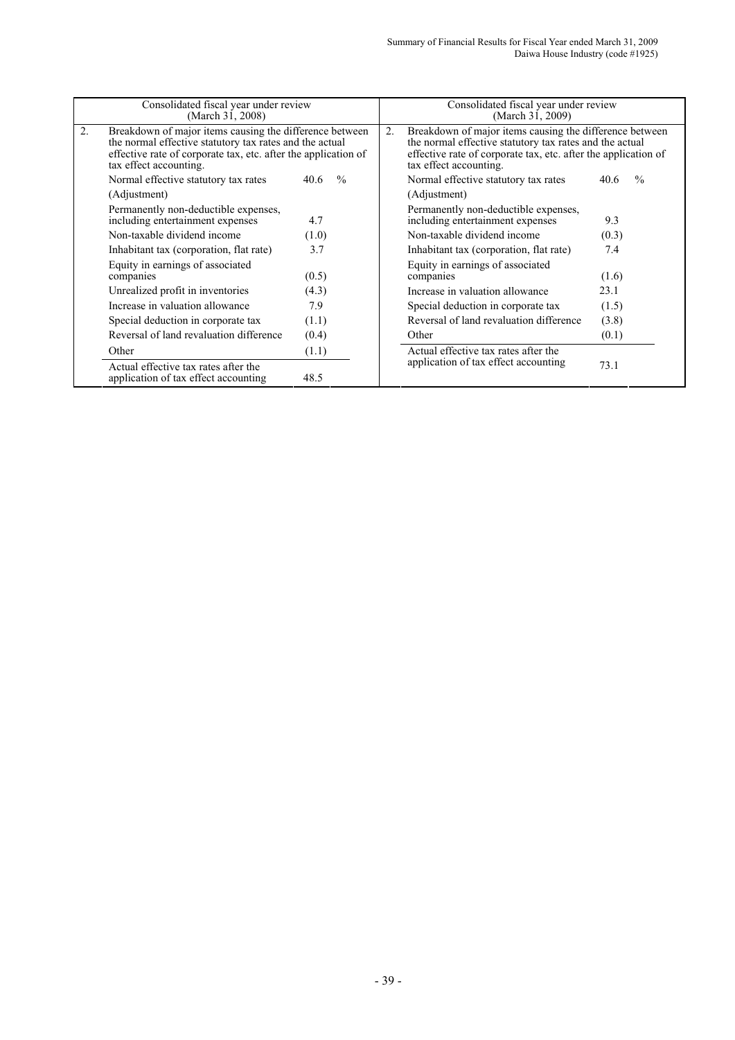|    | Consolidated fiscal year under review<br>(March 31, 2008)                                                                                                                                                      |       |               |                                                                                                                                                                                                                | Consolidated fiscal year under review<br>(March 31, 2009)                |                       |  |
|----|----------------------------------------------------------------------------------------------------------------------------------------------------------------------------------------------------------------|-------|---------------|----------------------------------------------------------------------------------------------------------------------------------------------------------------------------------------------------------------|--------------------------------------------------------------------------|-----------------------|--|
| 2. | Breakdown of major items causing the difference between<br>the normal effective statutory tax rates and the actual<br>effective rate of corporate tax, etc. after the application of<br>tax effect accounting. |       | 2.            | Breakdown of major items causing the difference between<br>the normal effective statutory tax rates and the actual<br>effective rate of corporate tax, etc. after the application of<br>tax effect accounting. |                                                                          |                       |  |
|    | Normal effective statutory tax rates                                                                                                                                                                           | 40.6  | $\frac{0}{0}$ |                                                                                                                                                                                                                | Normal effective statutory tax rates                                     | $\frac{0}{0}$<br>40.6 |  |
|    | (Adjustment)                                                                                                                                                                                                   |       |               |                                                                                                                                                                                                                | (Adjustment)                                                             |                       |  |
|    | Permanently non-deductible expenses,<br>including entertainment expenses                                                                                                                                       | 4.7   |               |                                                                                                                                                                                                                | Permanently non-deductible expenses,<br>including entertainment expenses | 9.3                   |  |
|    | Non-taxable dividend income                                                                                                                                                                                    | (1.0) |               |                                                                                                                                                                                                                | Non-taxable dividend income                                              | (0.3)                 |  |
|    | Inhabitant tax (corporation, flat rate)                                                                                                                                                                        | 3.7   |               |                                                                                                                                                                                                                | Inhabitant tax (corporation, flat rate)                                  | 7.4                   |  |
|    | Equity in earnings of associated<br>companies                                                                                                                                                                  | (0.5) |               |                                                                                                                                                                                                                | Equity in earnings of associated<br>companies                            | (1.6)                 |  |
|    | Unrealized profit in inventories                                                                                                                                                                               | (4.3) |               |                                                                                                                                                                                                                | Increase in valuation allowance                                          | 23.1                  |  |
|    | Increase in valuation allowance                                                                                                                                                                                | 7.9   |               |                                                                                                                                                                                                                | Special deduction in corporate tax                                       | (1.5)                 |  |
|    | Special deduction in corporate tax                                                                                                                                                                             | (1.1) |               |                                                                                                                                                                                                                | Reversal of land revaluation difference                                  | (3.8)                 |  |
|    | Reversal of land revaluation difference                                                                                                                                                                        | (0.4) |               |                                                                                                                                                                                                                | Other                                                                    | (0.1)                 |  |
|    | Other                                                                                                                                                                                                          | (1.1) |               |                                                                                                                                                                                                                | Actual effective tax rates after the                                     |                       |  |
|    | Actual effective tax rates after the<br>application of tax effect accounting                                                                                                                                   | 48.5  |               |                                                                                                                                                                                                                | application of tax effect accounting                                     | 73.1                  |  |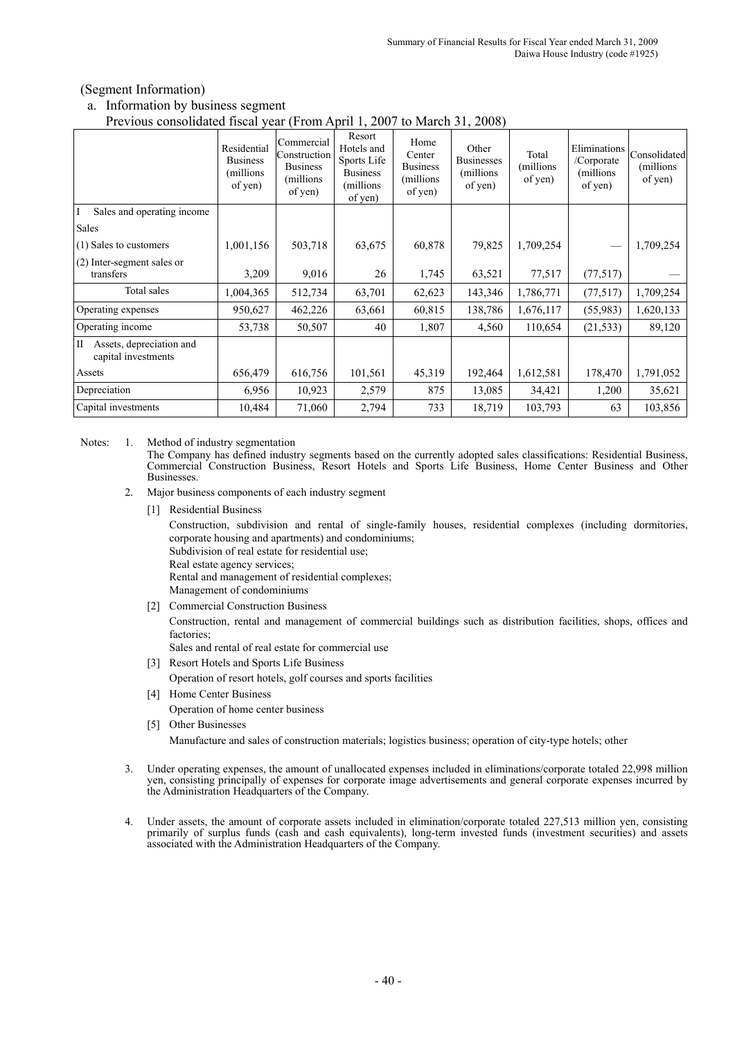### (Segment Information)

a. Information by business segment Previous consolidated fiscal year (From April 1, 2007 to March 31, 2008)

| Previous consonuated fiscal year (Profil April 1, 2007 to March 31, 2006) |                                                        |                                                                        |                                                                                 |                                                           |                                                    |                               |                                                     |                                       |
|---------------------------------------------------------------------------|--------------------------------------------------------|------------------------------------------------------------------------|---------------------------------------------------------------------------------|-----------------------------------------------------------|----------------------------------------------------|-------------------------------|-----------------------------------------------------|---------------------------------------|
|                                                                           | Residential<br><b>Business</b><br>(millions<br>of yen) | Commercial<br>Construction<br><b>Business</b><br>(millions)<br>of yen) | Resort<br>Hotels and<br>Sports Life<br><b>Business</b><br>(millions)<br>of yen) | Home<br>Center<br><b>Business</b><br>(millions<br>of yen) | Other<br><b>Businesses</b><br>(millions<br>of yen) | Total<br>(millions<br>of yen) | Eliminations<br>/Corporate<br>(millions)<br>of yen) | Consolidated<br>(millions)<br>of yen) |
| T<br>Sales and operating income                                           |                                                        |                                                                        |                                                                                 |                                                           |                                                    |                               |                                                     |                                       |
| Sales                                                                     |                                                        |                                                                        |                                                                                 |                                                           |                                                    |                               |                                                     |                                       |
| (1) Sales to customers                                                    | 1,001,156                                              | 503,718                                                                | 63,675                                                                          | 60,878                                                    | 79,825                                             | 1,709,254                     |                                                     | 1,709,254                             |
| (2) Inter-segment sales or<br>transfers                                   | 3,209                                                  | 9,016                                                                  | 26                                                                              | 1,745                                                     | 63,521                                             | 77,517                        | (77, 517)                                           |                                       |
| Total sales                                                               | 1,004,365                                              | 512,734                                                                | 63,701                                                                          | 62,623                                                    | 143,346                                            | 1,786,771                     | (77, 517)                                           | 1,709,254                             |
| Operating expenses                                                        | 950,627                                                | 462,226                                                                | 63,661                                                                          | 60,815                                                    | 138,786                                            | 1,676,117                     | (55,983)                                            | 1,620,133                             |
| Operating income                                                          | 53,738                                                 | 50,507                                                                 | 40                                                                              | 1,807                                                     | 4,560                                              | 110,654                       | (21, 533)                                           | 89,120                                |
| Assets, depreciation and<br>$\rm{II}$<br>capital investments              |                                                        |                                                                        |                                                                                 |                                                           |                                                    |                               |                                                     |                                       |
| Assets                                                                    | 656,479                                                | 616,756                                                                | 101,561                                                                         | 45,319                                                    | 192,464                                            | 1,612,581                     | 178,470                                             | 1,791,052                             |
| Depreciation                                                              | 6,956                                                  | 10,923                                                                 | 2,579                                                                           | 875                                                       | 13,085                                             | 34,421                        | 1,200                                               | 35,621                                |
| Capital investments                                                       | 10,484                                                 | 71,060                                                                 | 2,794                                                                           | 733                                                       | 18,719                                             | 103,793                       | 63                                                  | 103,856                               |

Notes: 1. Method of industry segmentation

The Company has defined industry segments based on the currently adopted sales classifications: Residential Business, Commercial Construction Business, Resort Hotels and Sports Life Business, Home Center Business and Other **Businesses** 

- 2. Major business components of each industry segment
	- [1] Residential Business

Construction, subdivision and rental of single-family houses, residential complexes (including dormitories, corporate housing and apartments) and condominiums;

Subdivision of real estate for residential use;

Real estate agency services;

Rental and management of residential complexes; Management of condominiums

[2] Commercial Construction Business

Construction, rental and management of commercial buildings such as distribution facilities, shops, offices and factories;

Sales and rental of real estate for commercial use

- [3] Resort Hotels and Sports Life Business Operation of resort hotels, golf courses and sports facilities
- [4] Home Center Business Operation of home center business
- [5] Other Businesses

Manufacture and sales of construction materials; logistics business; operation of city-type hotels; other

- 3. Under operating expenses, the amount of unallocated expenses included in eliminations/corporate totaled 22,998 million yen, consisting principally of expenses for corporate image advertisements and general corporate expenses incurred by the Administration Headquarters of the Company.
- 4. Under assets, the amount of corporate assets included in elimination/corporate totaled 227,513 million yen, consisting primarily of surplus funds (cash and cash equivalents), long-term invested funds (investment securities) and assets associated with the Administration Headquarters of the Company.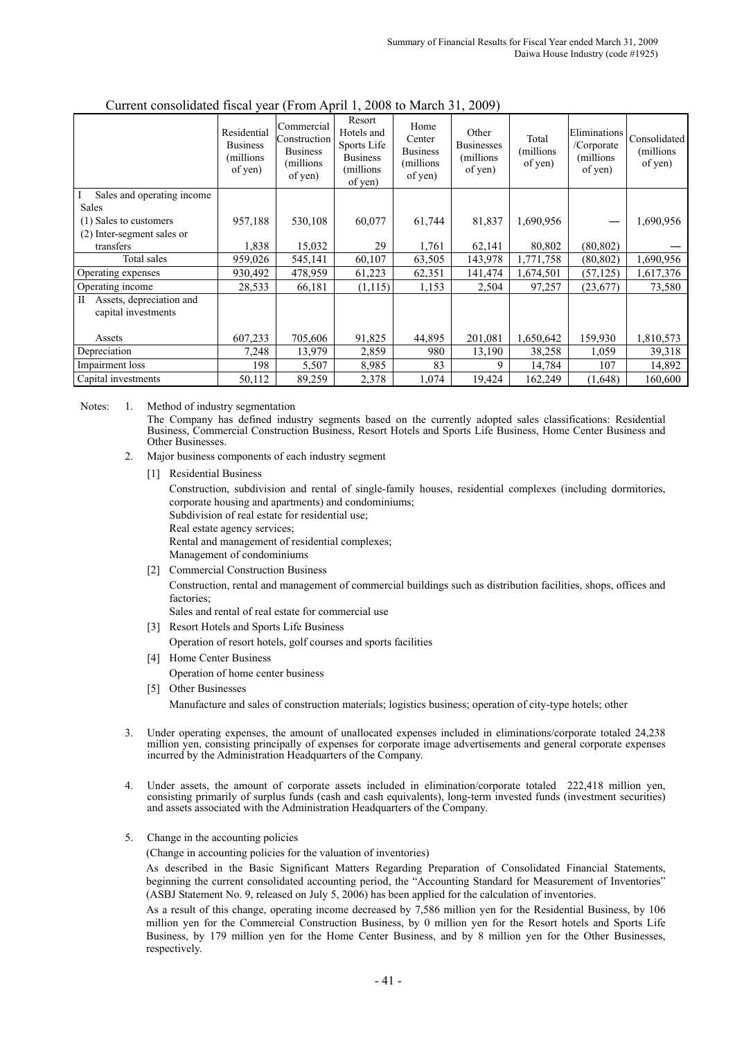|                                                                 | Residential<br><b>Business</b><br>(millions)<br>of yen) | Commercial<br><b>Construction</b><br><b>Business</b><br>(millions)<br>of yen) | Resort<br>Hotels and<br>Sports Life<br><b>Business</b><br>(millions)<br>of yen) | Home<br>Center<br><b>Business</b><br>(millions<br>of yen) | Other<br><b>Businesses</b><br>(millions)<br>of yen) | Total<br>(millions)<br>of yen) | Eliminations<br>/Corporate<br>(millions)<br>of yen) | Consolidated<br>(millions)<br>of yen) |
|-----------------------------------------------------------------|---------------------------------------------------------|-------------------------------------------------------------------------------|---------------------------------------------------------------------------------|-----------------------------------------------------------|-----------------------------------------------------|--------------------------------|-----------------------------------------------------|---------------------------------------|
| Sales and operating income<br>I                                 |                                                         |                                                                               |                                                                                 |                                                           |                                                     |                                |                                                     |                                       |
| Sales                                                           |                                                         |                                                                               |                                                                                 |                                                           |                                                     |                                |                                                     |                                       |
| (1) Sales to customers                                          | 957,188                                                 | 530,108                                                                       | 60,077                                                                          | 61,744                                                    | 81,837                                              | 1,690,956                      |                                                     | 1,690,956                             |
| (2) Inter-segment sales or                                      |                                                         |                                                                               |                                                                                 |                                                           |                                                     |                                |                                                     |                                       |
| transfers                                                       | 1,838                                                   | 15,032                                                                        | 29                                                                              | 1,761                                                     | 62,141                                              | 80,802                         | (80, 802)                                           |                                       |
| Total sales                                                     | 959,026                                                 | 545,141                                                                       | 60,107                                                                          | 63,505                                                    | 143,978                                             | 1,771,758                      | (80, 802)                                           | 1,690,956                             |
| Operating expenses                                              | 930,492                                                 | 478,959                                                                       | 61,223                                                                          | 62,351                                                    | 141,474                                             | 1,674,501                      | (57, 125)                                           | 1,617,376                             |
| Operating income                                                | 28,533                                                  | 66,181                                                                        | (1,115)                                                                         | 1,153                                                     | 2,504                                               | 97,257                         | (23, 677)                                           | 73,580                                |
| $\mathbf{I}$<br>Assets, depreciation and<br>capital investments |                                                         |                                                                               |                                                                                 |                                                           |                                                     |                                |                                                     |                                       |
| Assets                                                          | 607,233                                                 | 705,606                                                                       | 91,825                                                                          | 44,895                                                    | 201,081                                             | 1,650,642                      | 159,930                                             | 1,810,573                             |
| Depreciation                                                    | 7,248                                                   | 13,979                                                                        | 2,859                                                                           | 980                                                       | 13,190                                              | 38,258                         | 1,059                                               | 39,318                                |
| Impairment loss                                                 | 198                                                     | 5,507                                                                         | 8,985                                                                           | 83                                                        | 9                                                   | 14,784                         | 107                                                 | 14,892                                |
| Capital investments                                             | 50,112                                                  | 89,259                                                                        | 2,378                                                                           | 1,074                                                     | 19,424                                              | 162,249                        | (1,648)                                             | 160,600                               |

#### Current consolidated fiscal year (From April 1, 2008 to March 31, 2009)

Notes: 1. Method of industry segmentation The Company has defined industry segments based on the currently adopted sales classifications: Residential Business, Commercial Construction Business, Resort Hotels and Sports Life Business, Home Center Business and Other Businesses.

- 2. Major business components of each industry segment
	- [1] Residential Business

Construction, subdivision and rental of single-family houses, residential complexes (including dormitories, corporate housing and apartments) and condominiums;

Subdivision of real estate for residential use;

Real estate agency services; Rental and management of residential complexes;

- Management of condominiums
- [2] Commercial Construction Business

Construction, rental and management of commercial buildings such as distribution facilities, shops, offices and factories;

Sales and rental of real estate for commercial use

- [3] Resort Hotels and Sports Life Business
	- Operation of resort hotels, golf courses and sports facilities
- [4] Home Center Business
	- Operation of home center business
- [5] Other Businesses

Manufacture and sales of construction materials; logistics business; operation of city-type hotels; other

- 3. Under operating expenses, the amount of unallocated expenses included in eliminations/corporate totaled 24,238 million yen, consisting principally of expenses for corporate image advertisements and general corporate expenses incurred by the Administration Headquarters of the Company.
- 4. Under assets, the amount of corporate assets included in elimination/corporate totaled 222,418 million yen, consisting primarily of surplus funds (cash and cash equivalents), long-term invested funds (investment securities) and assets associated with the Administration Headquarters of the Company.
- 5. Change in the accounting policies

(Change in accounting policies for the valuation of inventories)

As described in the Basic Significant Matters Regarding Preparation of Consolidated Financial Statements, beginning the current consolidated accounting period, the "Accounting Standard for Measurement of Inventories" (ASBJ Statement No. 9, released on July 5, 2006) has been applied for the calculation of inventories.

As a result of this change, operating income decreased by 7,586 million yen for the Residential Business, by 106 million yen for the Commercial Construction Business, by 0 million yen for the Resort hotels and Sports Life Business, by 179 million yen for the Home Center Business, and by 8 million yen for the Other Businesses, respectively.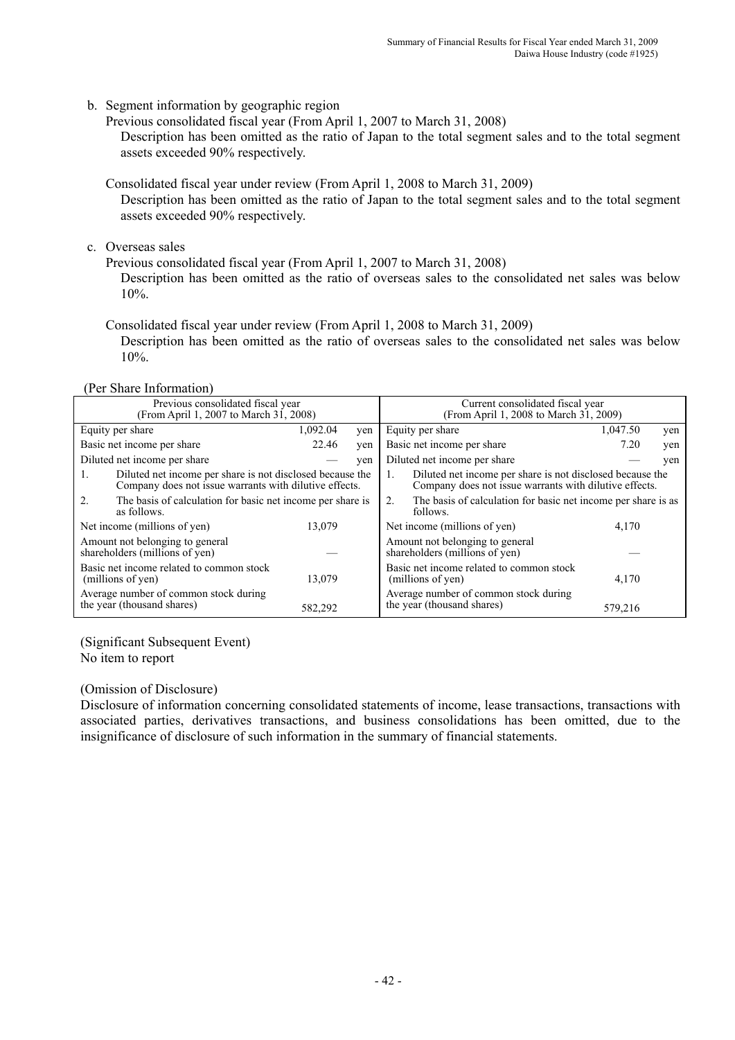b. Segment information by geographic region

Previous consolidated fiscal year (From April 1, 2007 to March 31, 2008)

Description has been omitted as the ratio of Japan to the total segment sales and to the total segment assets exceeded 90% respectively.

Consolidated fiscal year under review (From April 1, 2008 to March 31, 2009)

Description has been omitted as the ratio of Japan to the total segment sales and to the total segment assets exceeded 90% respectively.

c. Overseas sales

Previous consolidated fiscal year (From April 1, 2007 to March 31, 2008)

Description has been omitted as the ratio of overseas sales to the consolidated net sales was below 10%.

Consolidated fiscal year under review (From April 1, 2008 to March 31, 2009)

Description has been omitted as the ratio of overseas sales to the consolidated net sales was below 10%.

(Per Share Information)

|                                                                                                                     | Previous consolidated fiscal year<br>(From April 1, 2007 to March 31, 2008) |          | Current consolidated fiscal year<br>(From April 1, 2008 to March 31, 2009)                                                |                                                                                 |          |     |  |
|---------------------------------------------------------------------------------------------------------------------|-----------------------------------------------------------------------------|----------|---------------------------------------------------------------------------------------------------------------------------|---------------------------------------------------------------------------------|----------|-----|--|
|                                                                                                                     | Equity per share                                                            | 1,092.04 | yen                                                                                                                       | Equity per share                                                                | 1,047.50 | yen |  |
|                                                                                                                     | Basic net income per share                                                  | 22.46    | yen                                                                                                                       | Basic net income per share                                                      | 7.20     | yen |  |
|                                                                                                                     | Diluted net income per share                                                |          | yen                                                                                                                       | Diluted net income per share                                                    |          | ven |  |
| Diluted net income per share is not disclosed because the<br>Company does not issue warrants with dilutive effects. |                                                                             |          | Diluted net income per share is not disclosed because the<br>Company does not issue warrants with dilutive effects.<br>1. |                                                                                 |          |     |  |
| $2$ .                                                                                                               | The basis of calculation for basic net income per share is<br>as follows.   |          |                                                                                                                           | The basis of calculation for basic net income per share is as<br>2.<br>follows. |          |     |  |
|                                                                                                                     | Net income (millions of yen)                                                | 13,079   |                                                                                                                           | Net income (millions of yen)                                                    | 4,170    |     |  |
|                                                                                                                     | Amount not belonging to general<br>shareholders (millions of yen)           |          |                                                                                                                           | Amount not belonging to general<br>shareholders (millions of yen)               |          |     |  |
|                                                                                                                     | Basic net income related to common stock<br>(millions of yen)               | 13,079   |                                                                                                                           | Basic net income related to common stock<br>(millions of yen)                   | 4,170    |     |  |
|                                                                                                                     | Average number of common stock during<br>the year (thousand shares)         | 582,292  |                                                                                                                           | Average number of common stock during<br>the year (thousand shares)             | 579,216  |     |  |

(Significant Subsequent Event) No item to report

### (Omission of Disclosure)

Disclosure of information concerning consolidated statements of income, lease transactions, transactions with associated parties, derivatives transactions, and business consolidations has been omitted, due to the insignificance of disclosure of such information in the summary of financial statements.